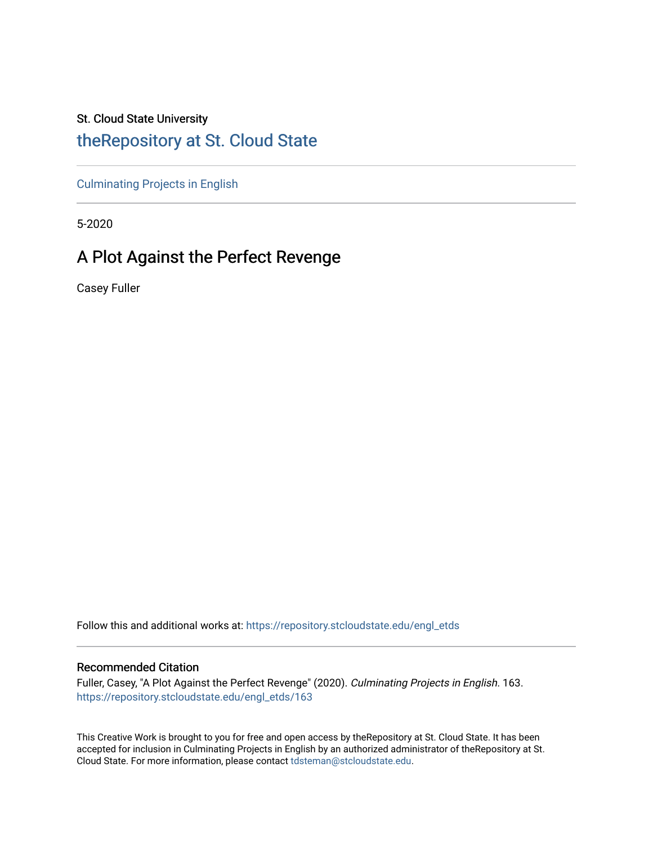# St. Cloud State University

# [theRepository at St. Cloud State](https://repository.stcloudstate.edu/)

[Culminating Projects in English](https://repository.stcloudstate.edu/engl_etds) 

5-2020

# A Plot Against the Perfect Revenge

Casey Fuller

Follow this and additional works at: [https://repository.stcloudstate.edu/engl\\_etds](https://repository.stcloudstate.edu/engl_etds?utm_source=repository.stcloudstate.edu%2Fengl_etds%2F163&utm_medium=PDF&utm_campaign=PDFCoverPages)

# Recommended Citation

Fuller, Casey, "A Plot Against the Perfect Revenge" (2020). Culminating Projects in English. 163. [https://repository.stcloudstate.edu/engl\\_etds/163](https://repository.stcloudstate.edu/engl_etds/163?utm_source=repository.stcloudstate.edu%2Fengl_etds%2F163&utm_medium=PDF&utm_campaign=PDFCoverPages)

This Creative Work is brought to you for free and open access by theRepository at St. Cloud State. It has been accepted for inclusion in Culminating Projects in English by an authorized administrator of theRepository at St. Cloud State. For more information, please contact [tdsteman@stcloudstate.edu.](mailto:tdsteman@stcloudstate.edu)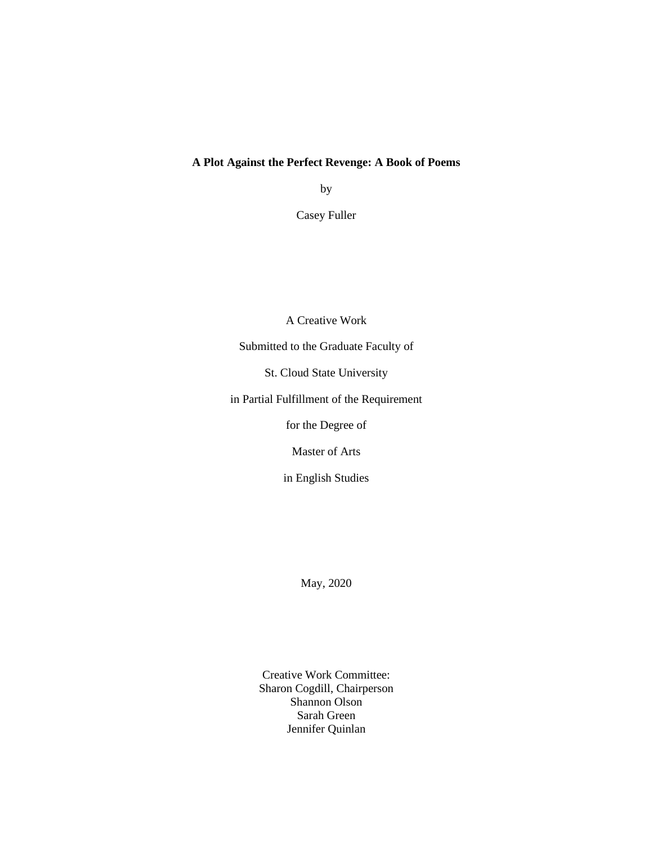# **A Plot Against the Perfect Revenge: A Book of Poems**

by

Casey Fuller

A Creative Work

Submitted to the Graduate Faculty of

St. Cloud State University

in Partial Fulfillment of the Requirement

for the Degree of

Master of Arts

in English Studies

May, 2020

Creative Work Committee: Sharon Cogdill, Chairperson Shannon Olson Sarah Green Jennifer Quinlan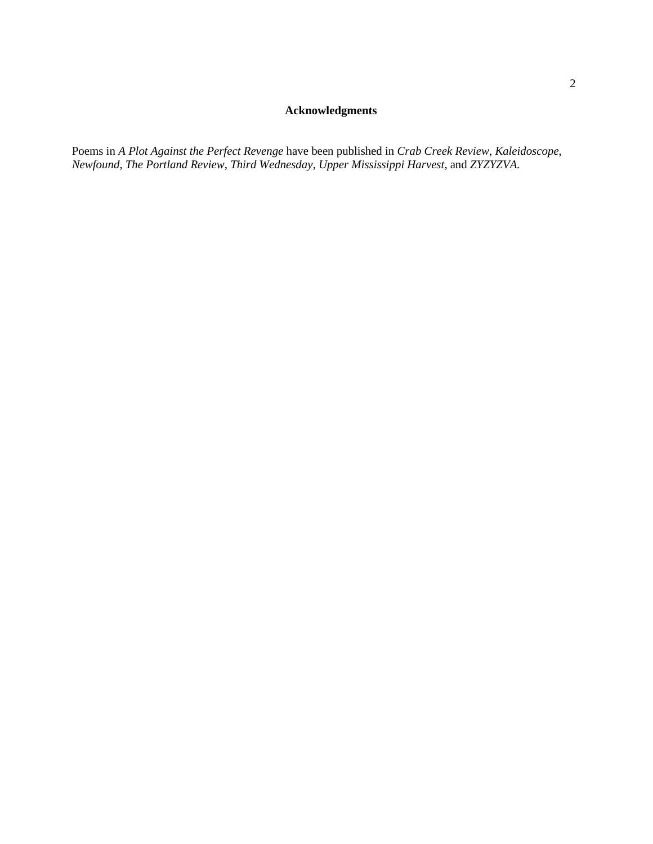# **Acknowledgments**

Poems in *A Plot Against the Perfect Revenge* have been published in *Crab Creek Review*, *Kaleidoscope*, *Newfound*, *The Portland Review*, *Third Wednesday*, *Upper Mississippi Harvest*, and *ZYZYZVA.*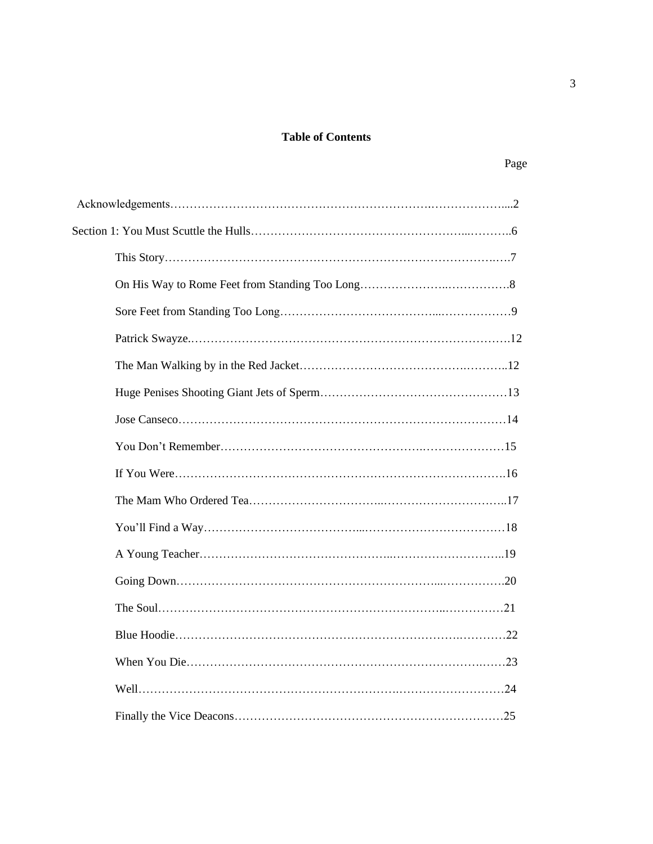# **Table of Contents**

Page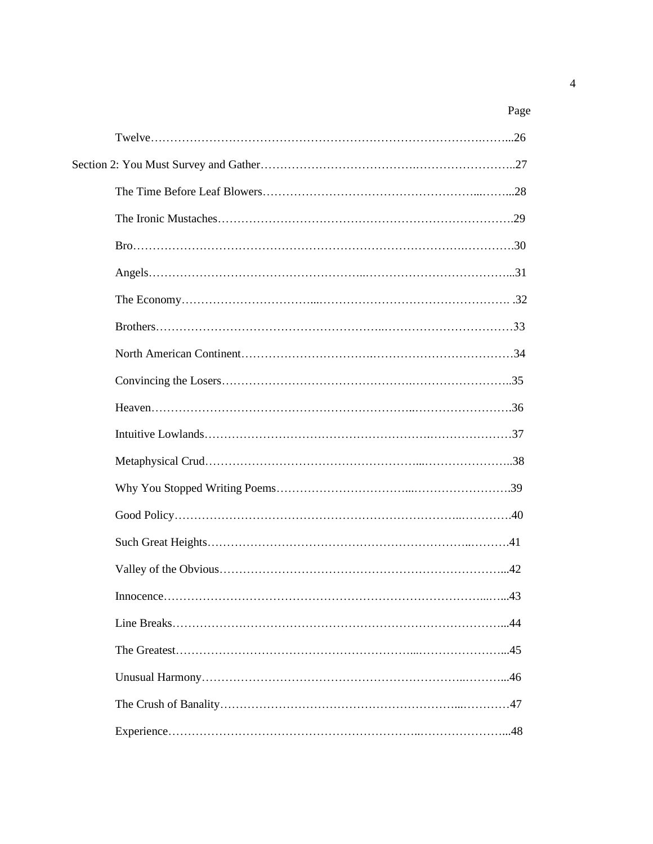4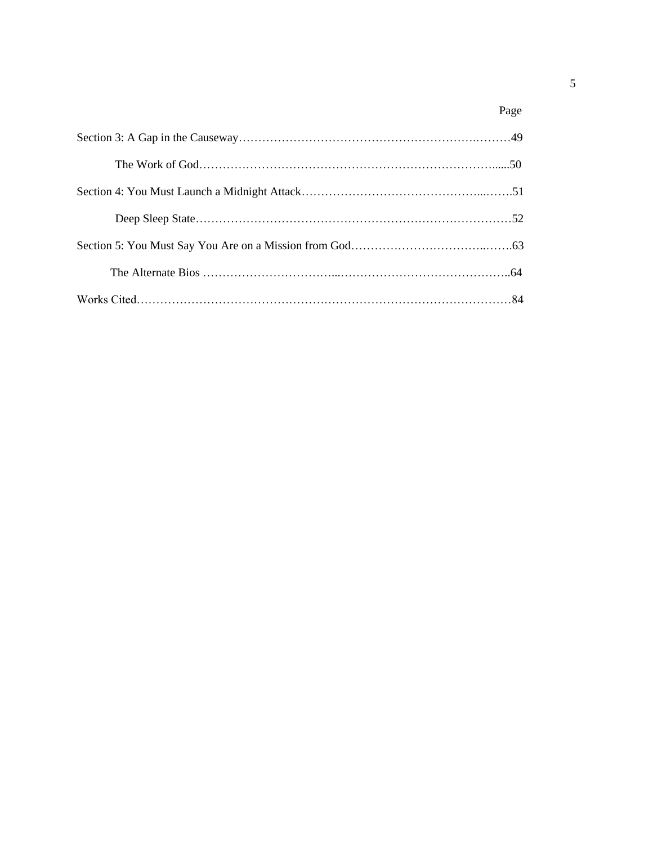Page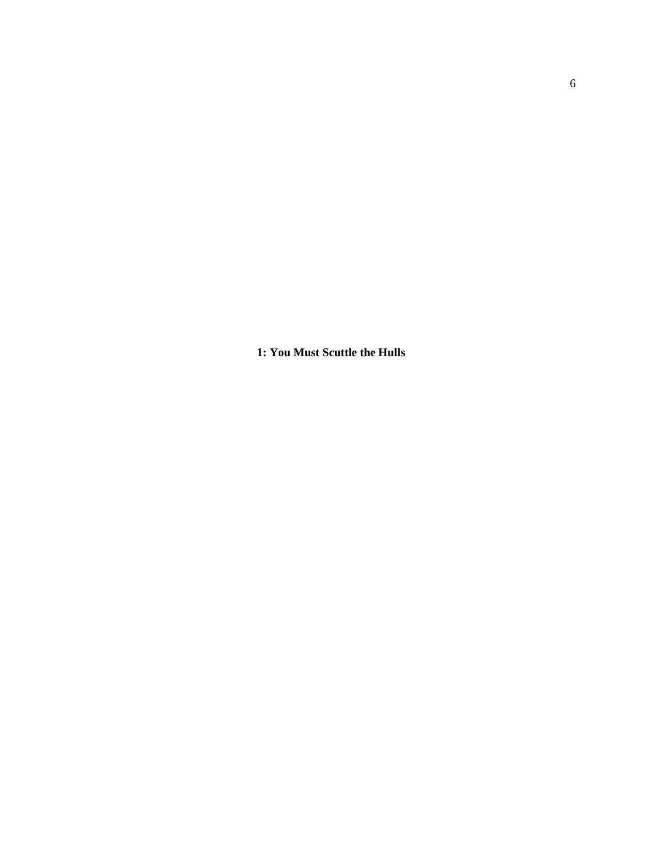**1: You Must Scuttle the Hulls**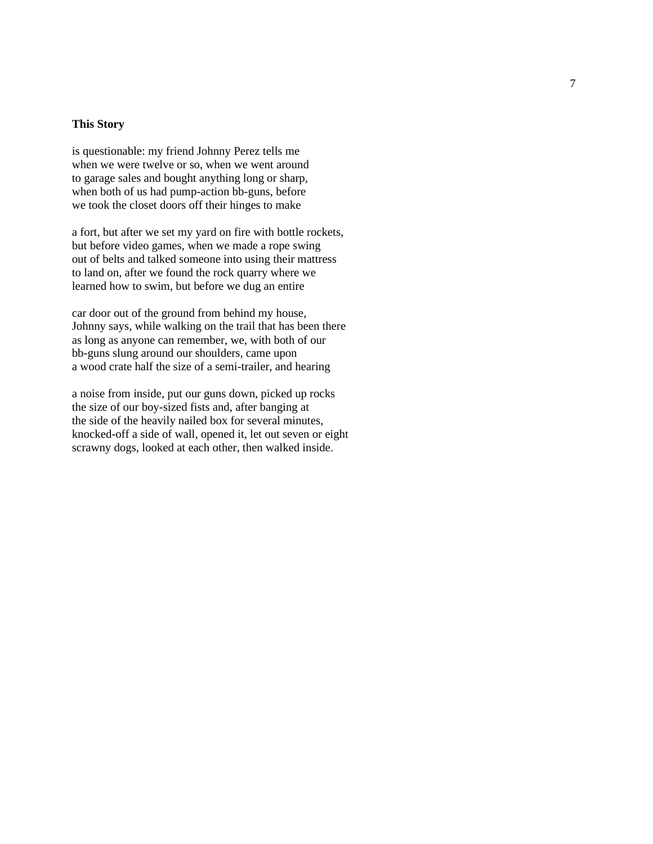# **This Story**

is questionable: my friend Johnny Perez tells me when we were twelve or so, when we went around to garage sales and bought anything long or sharp, when both of us had pump -action bb -guns, before we took the closet doors off their hinges to make

a fort, but after we set my yard on fire with bottle rockets, but before video games, when we made a rope swing out of belts and talked someone into using their mattress to land on, after we found the rock quarry where we learned how to swim, but before we dug an entire

car door out of the ground from behind my house, Johnny says, while walking on the trail that has been there as long as anyone can remember, we, with both of our bb -guns slung around our shoulders, came upon a wood crate half the size of a semi -trailer, and hearing

a noise from inside, put our guns down, picked up rocks the size of our boy -sized fists and, after banging at the side of the heavily nailed box for several minutes, knocked -off a side of wall, opened it, let out seven or eight scrawny dogs, looked at each other, then walked inside.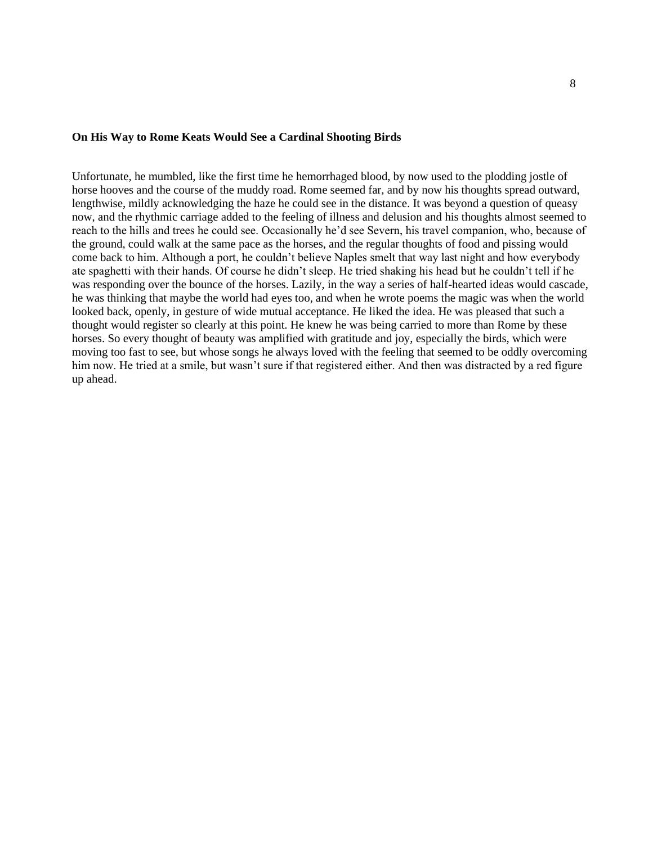# **On His Way to Rome Keats Would See a Cardinal Shooting Birds**

Unfortunate, he mumbled, like the first time he hemorrhaged blood, by now used to the plodding jostle of horse hooves and the course of the muddy road. Rome seemed far, and by now his thoughts spread outward, lengthwise, mildly acknowledging the haze he could see in the distance. It was beyond a question of queasy now, and the rhythmic carriage added to the feeling of illness and delusion and his thoughts almost seemed to reach to the hills and trees he could see. Occasionally he'd see Severn, his travel companion, who, because of the ground, could walk at the same pace as the horses, and the regular thoughts of food and pissing would come back to him. Although a port, he couldn't believe Naples smelt that way last night and how everybody ate spaghetti with their hands. Of course he didn't sleep. He tried shaking his head but he couldn't tell if he was responding over the bounce of the horses. Lazily, in the way a series of half-hearted ideas would cascade, he was thinking that maybe the world had eyes too, and when he wrote poems the magic was when the world looked back, openly, in gesture of wide mutual acceptance. He liked the idea. He was pleased that such a thought would register so clearly at this point. He knew he was being carried to more than Rome by these horses. So every thought of beauty was amplified with gratitude and joy, especially the birds, which were moving too fast to see, but whose songs he always loved with the feeling that seemed to be oddly overcoming him now. He tried at a smile, but wasn't sure if that registered either. And then was distracted by a red figure up ahead.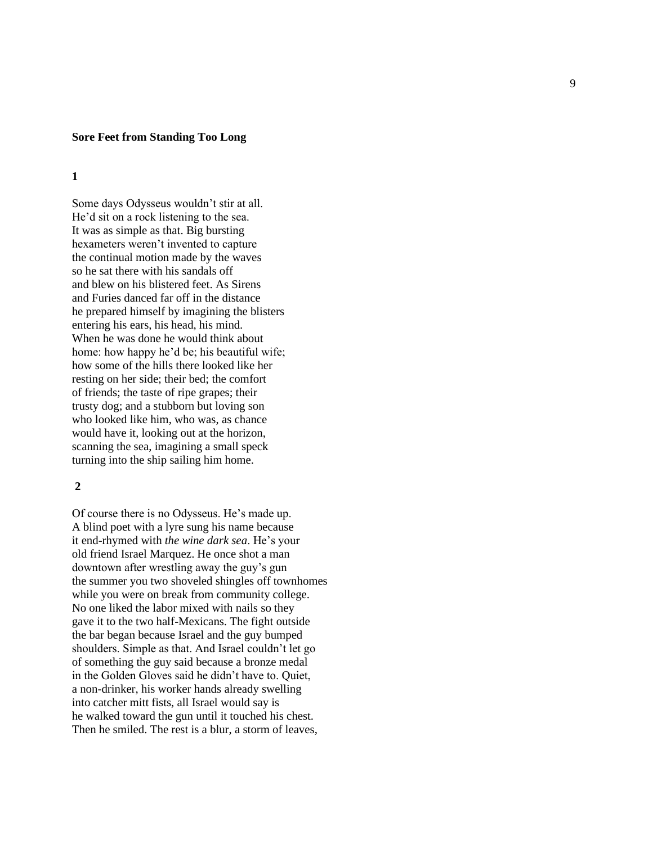#### **Sore Feet from Standing Too Long**

# **1**

Some days Odysseus wouldn't stir at all. He'd sit on a rock listening to the sea. It was as simple as that. Big bursting hexameters weren't invented to capture the continual motion made by the waves so he sat there with his sandals off and blew on his blistered feet. As Sirens and Furies danced far off in the distance he prepared himself by imagining the blisters entering his ears, his head, his mind. When he was done he would think about home: how happy he'd be; his beautiful wife; how some of the hills there looked like her resting on her side; their bed; the comfort of friends; the taste of ripe grapes; their trusty dog; and a stubborn but loving son who looked like him, who was, as chance would have it, looking out at the horizon, scanning the sea, imagining a small speck turning into the ship sailing him home.

# **2**

Of course there is no Odysseus. He's made up. A blind poet with a lyre sung his name because it end -rhymed with *the wine dark sea*. He's your old friend Israel Marquez. He once shot a man downtown after wrestling away the guy's gun the summer you two shoveled shingles off townhomes while you were on break from community college. No one liked the labor mixed with nails so they gave it to the two half-Mexicans. The fight outside the bar began because Israel and the guy bumped shoulders. Simple as that. And Israel couldn't let go of something the guy said because a bronze medal in the Golden Gloves said he didn't have to. Quiet, a non -drinker, his worker hands already swelling into catcher mitt fists, all Israel would say is he walked toward the gun until it touched his chest. Then he smiled. The rest is a blur, a storm of leaves,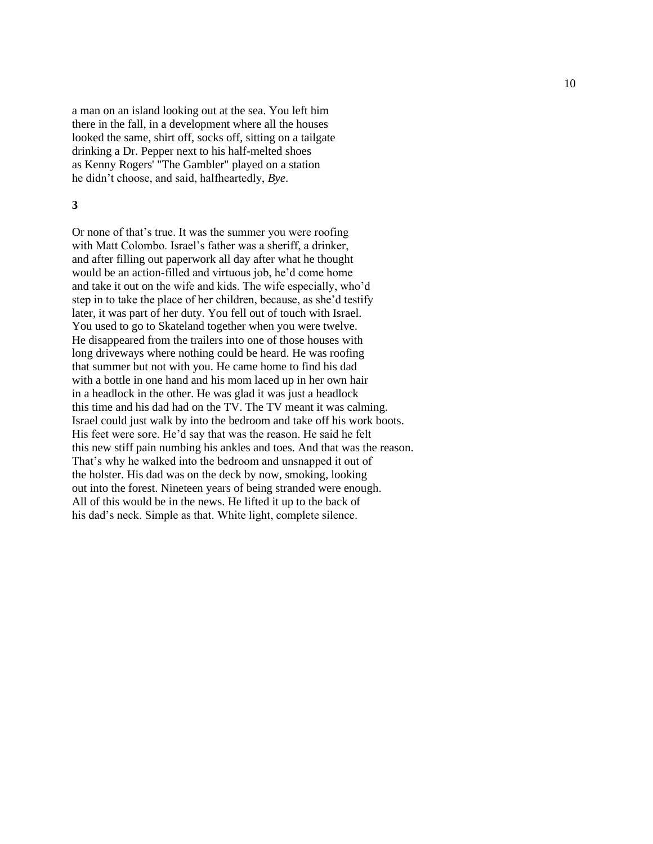a man on an island looking out at the sea. You left him there in the fall, in a development where all the houses looked the same, shirt off, socks off, sitting on a tailgate drinking a Dr. Pepper next to his half -melted shoes as Kenny Rogers' "The Gambler" played on a station he didn't choose, and said, halfheartedly, *Bye* .

# **3**

Or none of that's true. It was the summer you were roofing with Matt Colombo. Israel's father was a sheriff, a drinker, and after filling out paperwork all day after what he thought would be an action -filled and virtuous job, he'd come home and take it out on the wife and kids. The wife especially, who'd step in to take the place of her children, because, as she'd testify later, it was part of her duty. You fell out of touch with Israel. You used to go to Skateland together when you were twelve. He disappeared from the trailers into one of those houses with long driveways where nothing could be heard. He was roofing that summer but not with you. He came home to find his dad with a bottle in one hand and his mom laced up in her own hair in a headlock in the other. He was glad it was just a headlock this time and his dad had on the TV. The TV meant it was calming. Israel could just walk by into the bedroom and take off his work boots. His feet were sore. He'd say that was the reason. He said he felt this new stiff pain numbing his ankles and toes. And that was the reason. That's why he walked into the bedroom and unsnapped it out of the holster. His dad was on the deck by now, smoking, looking out into the forest. Nineteen years of being stranded were enough. All of this would be in the news. He lifted it up to the back of his dad's neck. Simple as that. White light, complete silence.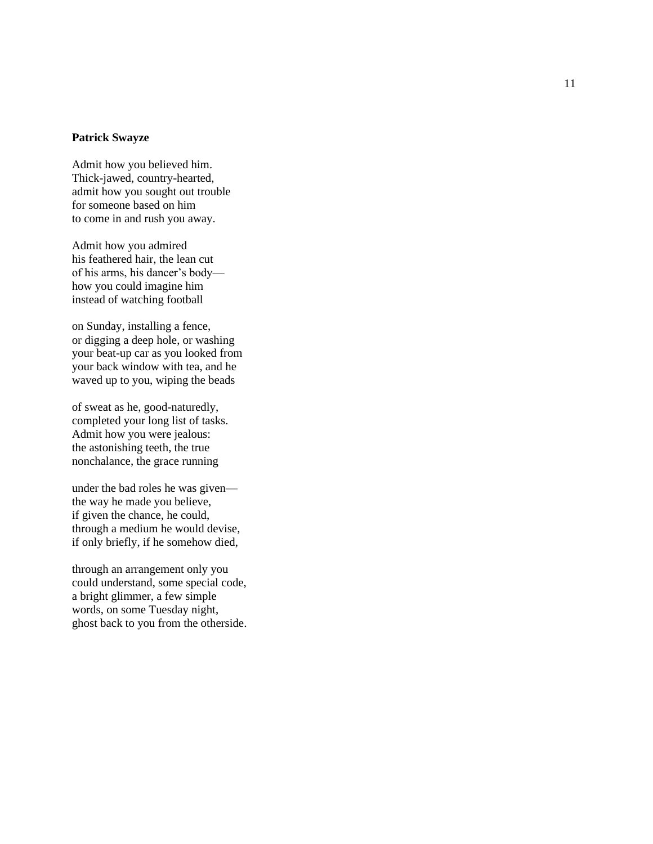#### **Patrick Swayze**

Admit how you believed him. Thick -jawed, country -hearted, admit how you sought out trouble for someone based on him to come in and rush you away.

Admit how you admired his feathered hair, the lean cut of his arms, his dancer's body how you could imagine him instead of watching football

on Sunday, installing a fence, or digging a deep hole, or washing your beat -up car as you looked from your back window with tea, and he waved up to you, wiping the beads

of sweat as he, good -naturedly, completed your long list of tasks. Admit how you were jealous: the astonishing teeth, the true nonchalance, the grace running

under the bad roles he was given the way he made you believe, if given the chance, he could, through a medium he would devise, if only briefly, if he somehow died,

through an arrangement only you could understand, some special code, a bright glimmer, a few simple words, on some Tuesday night, ghost back to you from the otherside.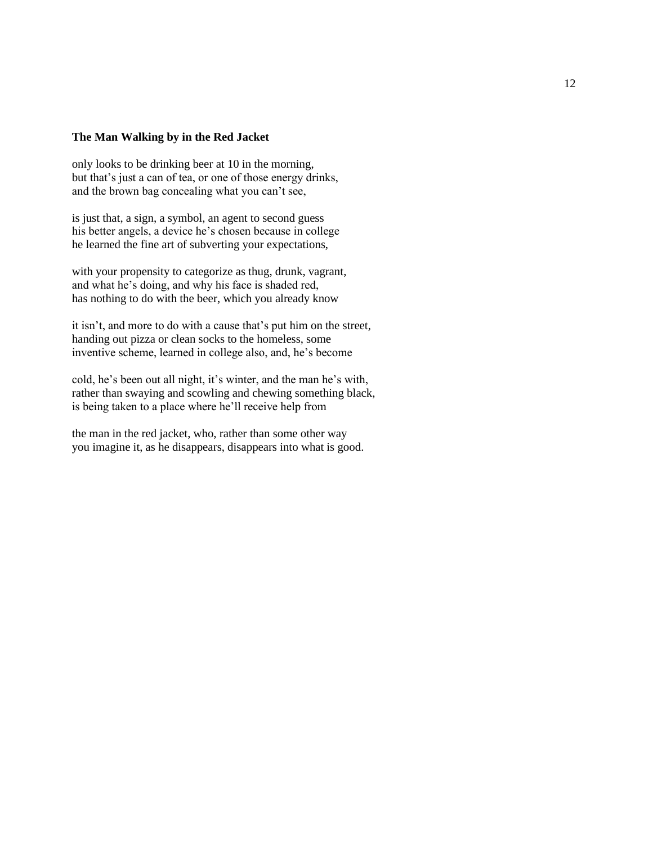# **The Man Walking by in the Red Jacket**

only looks to be drinking beer at 10 in the morning, but that's just a can of tea, or one of those energy drinks, and the brown bag concealing what you can't see,

is just that, a sign, a symbol, an agent to second guess his better angels, a device he's chosen because in college he learned the fine art of subverting your expectations,

with your propensity to categorize as thug, drunk, vagrant, and what he's doing, and why his face is shaded red, has nothing to do with the beer, which you already know

it isn't, and more to do with a cause that's put him on the street, handing out pizza or clean socks to the homeless, some inventive scheme, learned in college also, and, he's become

cold, he's been out all night, it's winter, and the man he's with, rather than swaying and scowling and chewing something black, is being taken to a place where he'll receive help from

the man in the red jacket, who, rather than some other way you imagine it, as he disappears, disappears into what is good.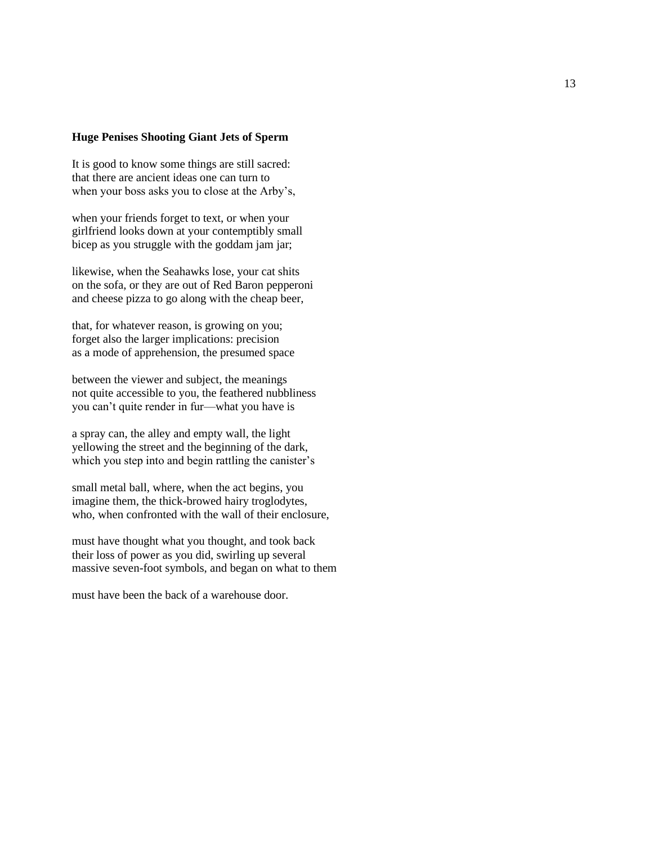# **Huge Penises Shooting Giant Jets of Sperm**

It is good to know some things are still sacred: that there are ancient ideas one can turn to when your boss asks you to close at the Arby's,

when your friends forget to text, or when your girlfriend looks down at your contemptibly small bicep as you struggle with the goddam jam jar;

likewise, when the Seahawks lose, your cat shits on the sofa, or they are out of Red Baron pepperoni and cheese pizza to go along with the cheap beer,

that, for whatever reason, is growing on you; forget also the larger implications: precision as a mode of apprehension, the presumed space

between the viewer and subject, the meanings not quite accessible to you, the feathered nubbliness you can't quite render in fur—what you have is

a spray can, the alley and empty wall, the light yellowing the street and the beginning of the dark, which you step into and begin rattling the canister's

small metal ball, where, when the act begins, you imagine them, the thick-browed hairy troglodytes, who, when confronted with the wall of their enclosure,

must have thought what you thought, and took back their loss of power as you did, swirling up several massive seven-foot symbols, and began on what to them

must have been the back of a warehouse door.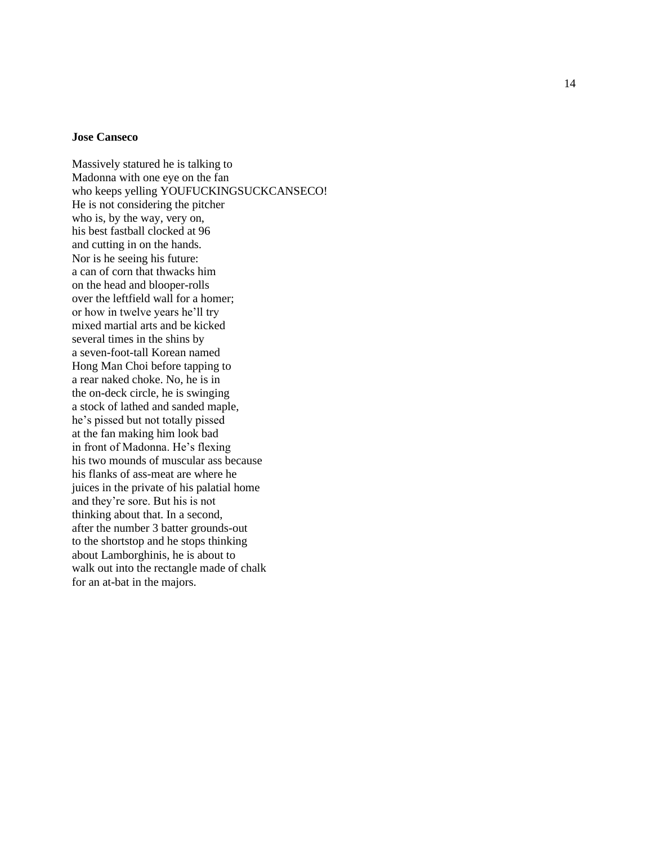### **Jose Canseco**

Massively statured he is talking to Madonna with one eye on the fan who keeps yelling YOUFUCKINGSUCKCANSECO! He is not considering the pitcher who is, by the way, very on, his best fastball clocked at 96 and cutting in on the hands. Nor is he seeing his future: a can of corn that thwacks him on the head and blooper -rolls over the leftfield wall for a homer; or how in twelve years he'll try mixed martial arts and be kicked several times in the shins by a seven -foot -tall Korean named Hong Man Choi before tapping to a rear naked choke. No, he is in the on -deck circle, he is swinging a stock of lathed and sanded maple, he's pissed but not totally pissed at the fan making him look bad in front of Madonna. He's flexing his two mounds of muscular ass because his flanks of ass -meat are where he juices in the private of his palatial home and they're sore. But his is not thinking about that. In a second, after the number 3 batter grounds -out to the shortstop and he stops thinking about Lamborghinis, he is about to walk out into the rectangle made of chalk for an at -bat in the majors.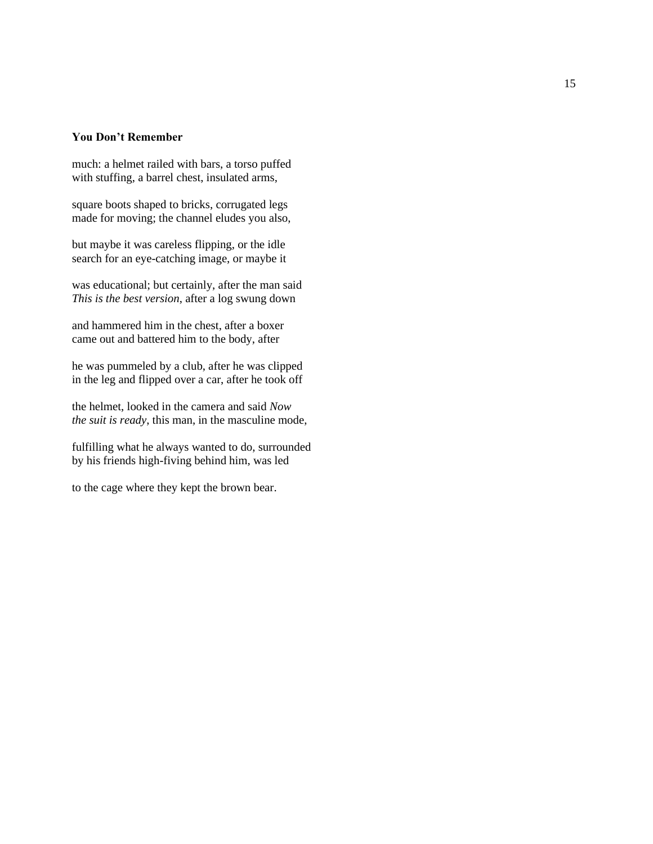# **You Don't Remember**

much: a helmet railed with bars, a torso puffed with stuffing, a barrel chest, insulated arms,

square boots shaped to bricks, corrugated legs made for moving; the channel eludes you also,

but maybe it was careless flipping, or the idle search for an eye-catching image, or maybe it

was educational; but certainly, after the man said *This is the best version*, after a log swung down

and hammered him in the chest, after a boxer came out and battered him to the body, after

he was pummeled by a club, after he was clipped in the leg and flipped over a car, after he took off

the helmet, looked in the camera and said *Now the suit is ready*, this man, in the masculine mode,

fulfilling what he always wanted to do, surrounded by his friends high-fiving behind him, was led

to the cage where they kept the brown bear.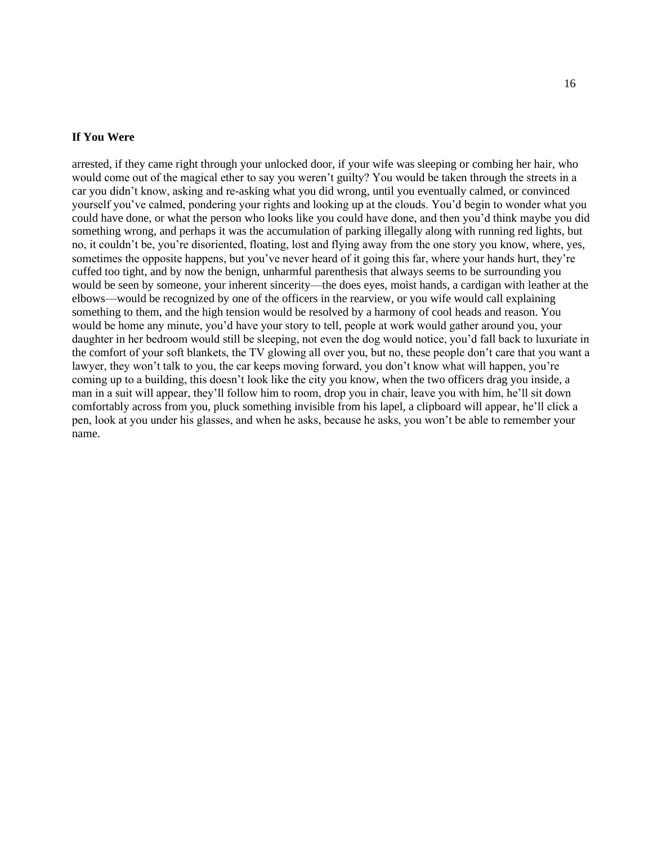## **If You Were**

arrested, if they came right through your unlocked door, if your wife was sleeping or combing her hair, who would come out of the magical ether to say you weren't guilty? You would be taken through the streets in a car you didn't know, asking and re-asking what you did wrong, until you eventually calmed, or convinced yourself you've calmed, pondering your rights and looking up at the clouds. You'd begin to wonder what you could have done, or what the person who looks like you could have done, and then you'd think maybe you did something wrong, and perhaps it was the accumulation of parking illegally along with running red lights, but no, it couldn't be, you're disoriented, floating, lost and flying away from the one story you know, where, yes, sometimes the opposite happens, but you've never heard of it going this far, where your hands hurt, they're cuffed too tight, and by now the benign, unharmful parenthesis that always seems to be surrounding you would be seen by someone, your inherent sincerity—the does eyes, moist hands, a cardigan with leather at the elbows—would be recognized by one of the officers in the rearview, or you wife would call explaining something to them, and the high tension would be resolved by a harmony of cool heads and reason. You would be home any minute, you'd have your story to tell, people at work would gather around you, your daughter in her bedroom would still be sleeping, not even the dog would notice, you'd fall back to luxuriate in the comfort of your soft blankets, the TV glowing all over you, but no, these people don't care that you want a lawyer, they won't talk to you, the car keeps moving forward, you don't know what will happen, you're coming up to a building, this doesn't look like the city you know, when the two officers drag you inside, a man in a suit will appear, they'll follow him to room, drop you in chair, leave you with him, he'll sit down comfortably across from you, pluck something invisible from his lapel, a clipboard will appear, he'll click a pen, look at you under his glasses, and when he asks, because he asks, you won't be able to remember your name.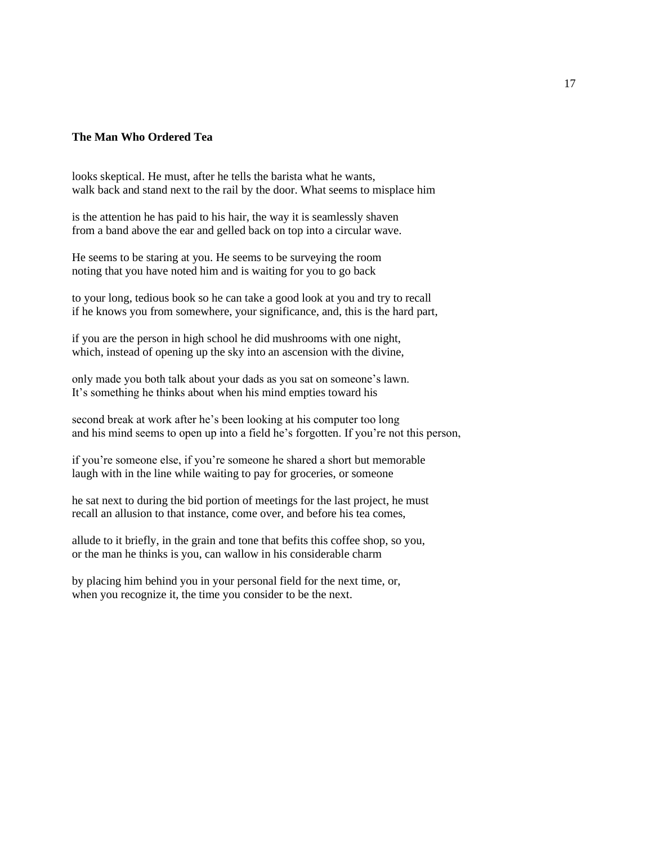# **The Man Who Ordered Tea**

looks skeptical. He must, after he tells the barista what he wants, walk back and stand next to the rail by the door. What seems to misplace him

is the attention he has paid to his hair, the way it is seamlessly shaven from a band above the ear and gelled back on top into a circular wave.

He seems to be staring at you. He seems to be surveying the room noting that you have noted him and is waiting for you to go back

to your long, tedious book so he can take a good look at you and try to recall if he knows you from somewhere, your significance, and, this is the hard part,

if you are the person in high school he did mushrooms with one night, which, instead of opening up the sky into an ascension with the divine,

only made you both talk about your dads as you sat on someone's lawn. It's something he thinks about when his mind empties toward his

second break at work after he's been looking at his computer too long and his mind seems to open up into a field he's forgotten. If you're not this person,

if you're someone else, if you're someone he shared a short but memorable laugh with in the line while waiting to pay for groceries, or someone

he sat next to during the bid portion of meetings for the last project, he must recall an allusion to that instance, come over, and before his tea comes,

allude to it briefly, in the grain and tone that befits this coffee shop, so you, or the man he thinks is you, can wallow in his considerable charm

by placing him behind you in your personal field for the next time, or, when you recognize it, the time you consider to be the next.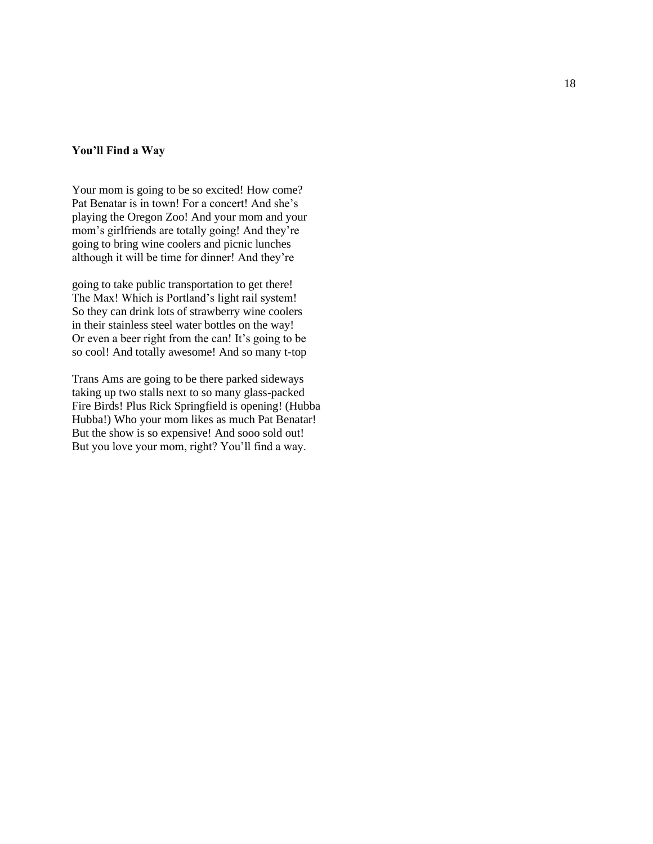#### **You'll Find a Way**

Your mom is going to be so excited! How come? Pat Benatar is in town! For a concert! And she's playing the Oregon Zoo! And your mom and your mom's girlfriends are totally going! And they're going to bring wine coolers and picnic lunches although it will be time for dinner! And they're

going to take public transportation to get there! The Max! Which is Portland's light rail system! So they can drink lots of strawberry wine coolers in their stainless steel water bottles on the way! Or even a beer right from the can! It's going to be so cool! And totally awesome! And so many t -top

Trans Ams are going to be there parked sideways taking up two stalls next to so many glass -packed Fire Birds! Plus Rick Springfield is opening! (Hubba Hubba!) Who your mom likes as much Pat Benatar! But the show is so expensive! And sooo sold out! But you love your mom, right? You'll find a way.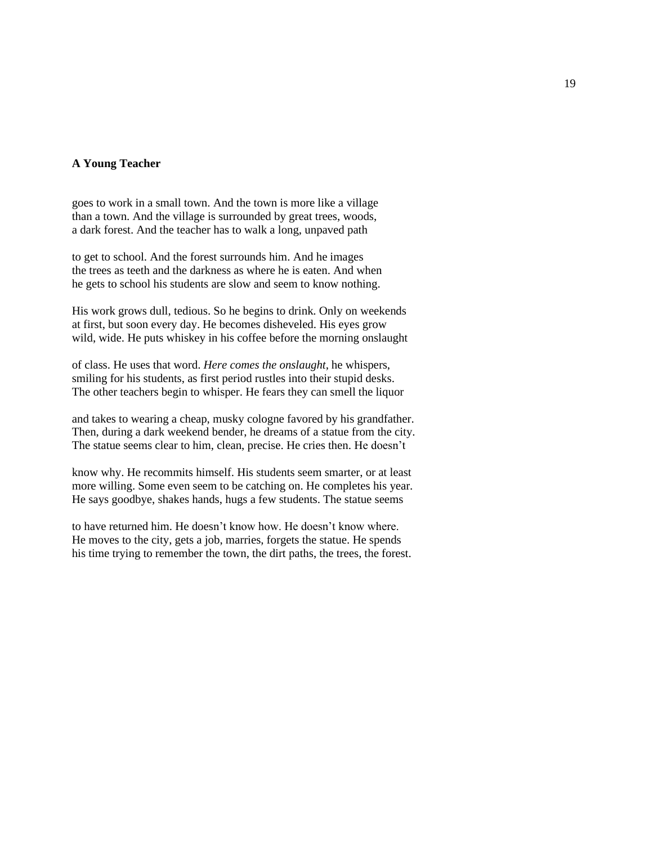## **A Young Teacher**

goes to work in a small town. And the town is more like a village than a town. And the village is surrounded by great trees, woods, a dark forest. And the teacher has to walk a long, unpaved path

to get to school. And the forest surrounds him. And he images the trees as teeth and the darkness as where he is eaten. And when he gets to school his students are slow and seem to know nothing.

His work grows dull, tedious. So he begins to drink. Only on weekends at first, but soon every day. He becomes disheveled. His eyes grow wild, wide. He puts whiskey in his coffee before the morning onslaught

of class. He uses that word. *Here comes the onslaught*, he whispers, smiling for his students, as first period rustles into their stupid desks. The other teachers begin to whisper. He fears they can smell the liquor

and takes to wearing a cheap, musky cologne favored by his grandfather. Then, during a dark weekend bender, he dreams of a statue from the city. The statue seems clear to him, clean, precise. He cries then. He doesn't

know why. He recommits himself. His students seem smarter, or at least more willing. Some even seem to be catching on. He completes his year. He says goodbye, shakes hands, hugs a few students. The statue seems

to have returned him. He doesn't know how. He doesn't know where. He moves to the city, gets a job, marries, forgets the statue. He spends his time trying to remember the town, the dirt paths, the trees, the forest.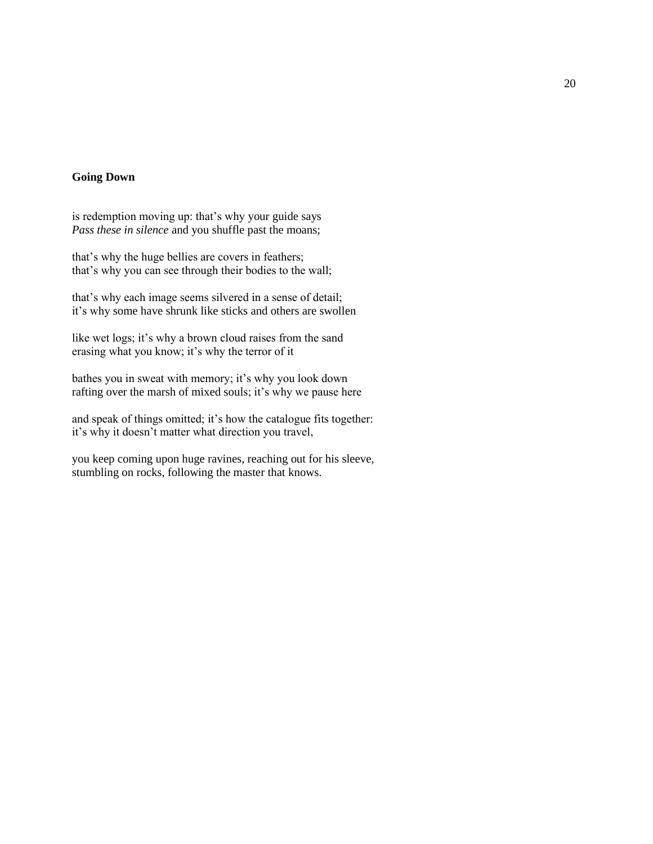# **Going Down**

is redemption moving up: that's why your guide says *Pass these in silence* and you shuffle past the moans;

that's why the huge bellies are covers in feathers; that's why you can see through their bodies to the wall;

that's why each image seems silvered in a sense of detail; it's why some have shrunk like sticks and others are swollen

like wet logs; it's why a brown cloud raises from the sand erasing what you know; it's why the terror of it

bathes you in sweat with memory; it's why you look down rafting over the marsh of mixed souls; it's why we pause here

and speak of things omitted; it's how the catalogue fits together: it's why it doesn't matter what direction you travel,

you keep coming upon huge ravines, reaching out for his sleeve, stumbling on rocks, following the master that knows.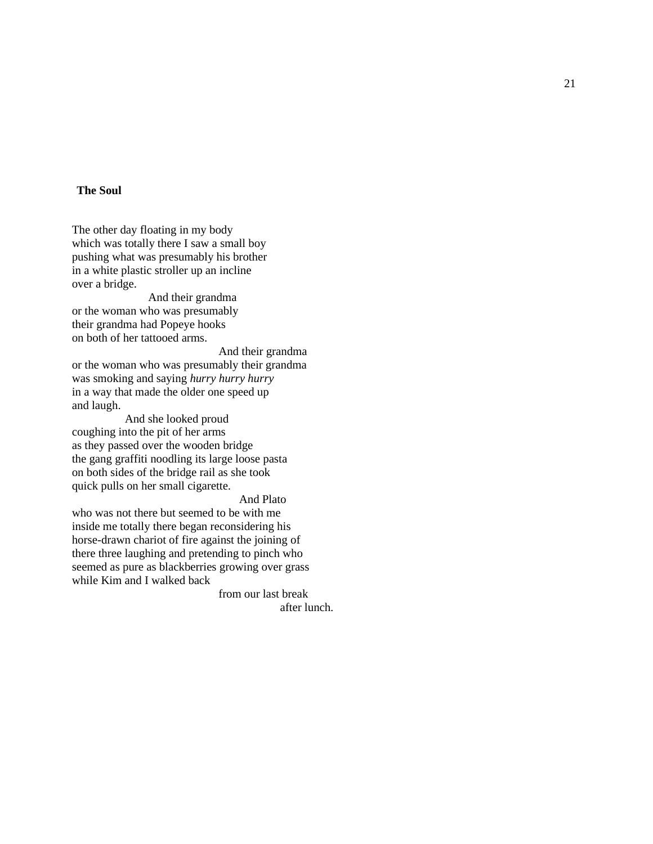#### **The Soul**

The other day floating in my body which was totally there I saw a small boy pushing what was presumably his brother in a white plastic stroller up an incline over a bridge.

 And their grandma or the woman who was presumably their grandma had Popeye hooks on both of her tattooed arms.

 And their grandma or the woman who was presumably their grandma was smoking and saying *hurry hurry hurry* in a way that made the older one speed up and laugh.

 And she looked proud coughing into the pit of her arms as they passed over the wooden bridge the gang graffiti noodling its large loose pasta on both sides of the bridge rail as she took quick pulls on her small cigarette.

#### And Plato

who was not there but seemed to be with me inside me totally there began reconsidering his horse -drawn chariot of fire against the joining of there three laughing and pretending to pinch who seemed as pure as blackberries growing over grass while Kim and I walked back

> from our last break after lunch.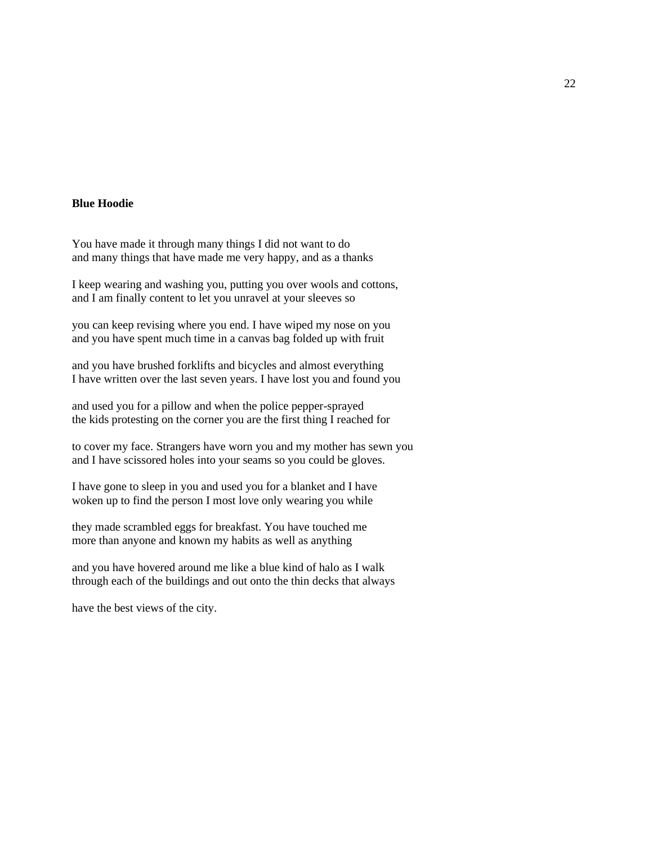#### **Blue Hoodie**

You have made it through many things I did not want to do and many things that have made me very happy, and as a thanks

I keep wearing and washing you, putting you over wools and cottons, and I am finally content to let you unravel at your sleeves so

you can keep revising where you end. I have wiped my nose on you and you have spent much time in a canvas bag folded up with fruit

and you have brushed forklifts and bicycles and almost everything I have written over the last seven years. I have lost you and found you

and used you for a pillow and when the police pepper-sprayed the kids protesting on the corner you are the first thing I reached for

to cover my face. Strangers have worn you and my mother has sewn you and I have scissored holes into your seams so you could be gloves.

I have gone to sleep in you and used you for a blanket and I have woken up to find the person I most love only wearing you while

they made scrambled eggs for breakfast. You have touched me more than anyone and known my habits as well as anything

and you have hovered around me like a blue kind of halo as I walk through each of the buildings and out onto the thin decks that always

have the best views of the city.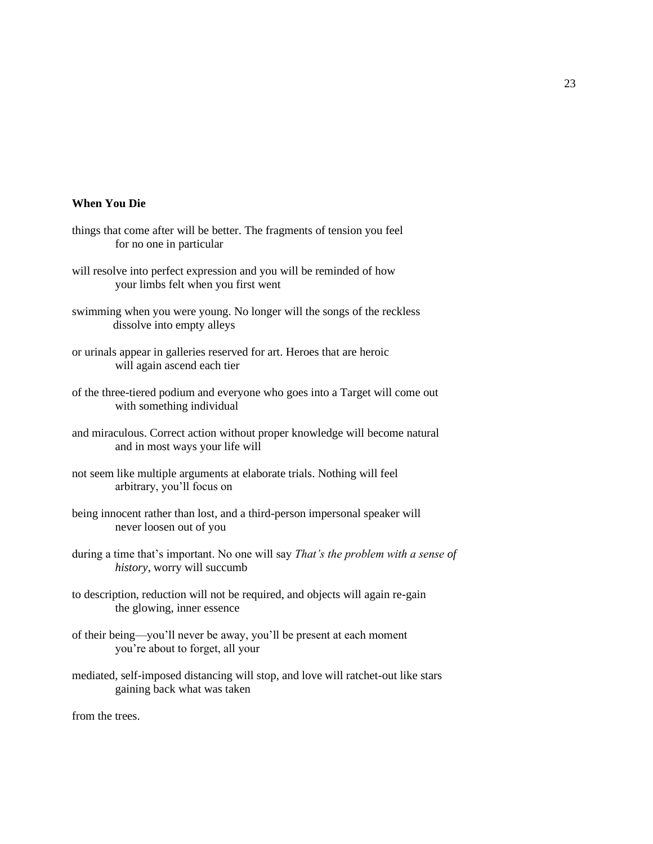## **When You Die**

- things that come after will be better. The fragments of tension you feel for no one in particular
- will resolve into perfect expression and you will be reminded of how your limbs felt when you first went
- swimming when you were young. No longer will the songs of the reckless dissolve into empty alleys
- or urinals appear in galleries reserved for art. Heroes that are heroic will again ascend each tier
- of the three-tiered podium and everyone who goes into a Target will come out with something individual
- and miraculous. Correct action without proper knowledge will become natural and in most ways your life will
- not seem like multiple arguments at elaborate trials. Nothing will feel arbitrary, you'll focus on
- being innocent rather than lost, and a third-person impersonal speaker will never loosen out of you
- during a time that's important. No one will say *That's the problem with a sense of history*, worry will succumb
- to description, reduction will not be required, and objects will again re-gain the glowing, inner essence
- of their being—you'll never be away, you'll be present at each moment you're about to forget, all your
- mediated, self-imposed distancing will stop, and love will ratchet-out like stars gaining back what was taken

from the trees.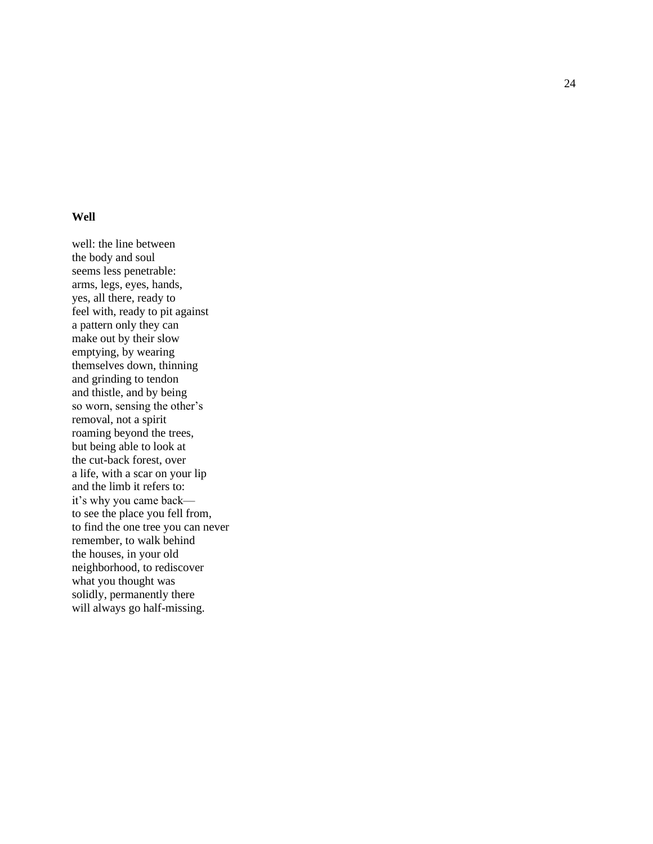# **Well**

well: the line between the body and soul seems less penetrable: arms, legs, eyes, hands, yes, all there, ready to feel with, ready to pit against a pattern only they can make out by their slow emptying, by wearing themselves down, thinning and grinding to tendon and thistle, and by being so worn, sensing the other's removal, not a spirit roaming beyond the trees, but being able to look at the cut -back forest, over a life, with a scar on your lip and the limb it refers to: it's why you came back to see the place you fell from, to find the one tree you can never remember, to walk behind the houses, in your old neighborhood, to rediscover what you thought was solidly, permanently there will always go half-missing.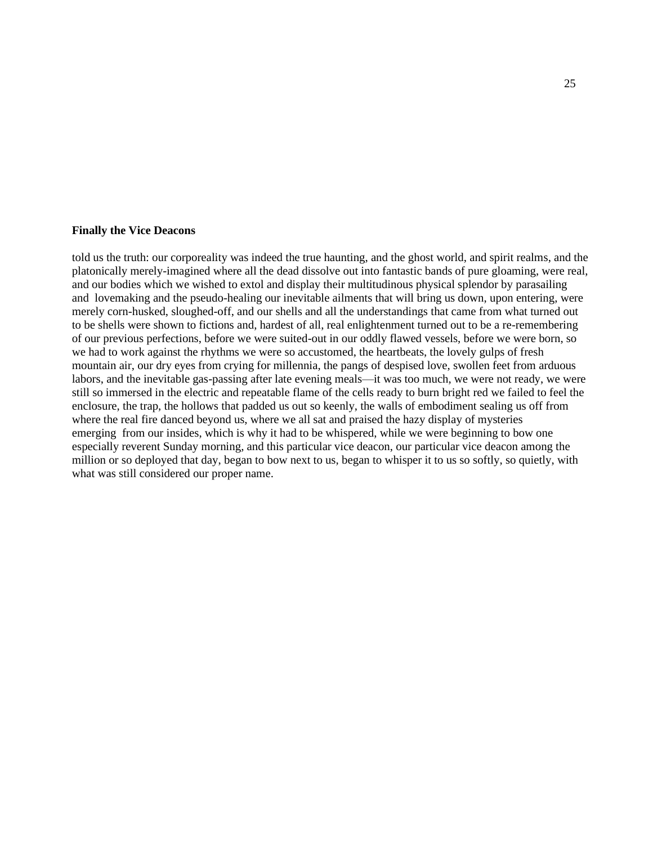#### **Finally the Vice Deacons**

told us the truth: our corporeality was indeed the true haunting, and the ghost world, and spirit realms, and the platonically merely-imagined where all the dead dissolve out into fantastic bands of pure gloaming, were real, and our bodies which we wished to extol and display their multitudinous physical splendor by parasailing and lovemaking and the pseudo-healing our inevitable ailments that will bring us down, upon entering, were merely corn-husked, sloughed-off, and our shells and all the understandings that came from what turned out to be shells were shown to fictions and, hardest of all, real enlightenment turned out to be a re-remembering of our previous perfections, before we were suited-out in our oddly flawed vessels, before we were born, so we had to work against the rhythms we were so accustomed, the heartbeats, the lovely gulps of fresh mountain air, our dry eyes from crying for millennia, the pangs of despised love, swollen feet from arduous labors, and the inevitable gas-passing after late evening meals—it was too much, we were not ready, we were still so immersed in the electric and repeatable flame of the cells ready to burn bright red we failed to feel the enclosure, the trap, the hollows that padded us out so keenly, the walls of embodiment sealing us off from where the real fire danced beyond us, where we all sat and praised the hazy display of mysteries emerging from our insides, which is why it had to be whispered, while we were beginning to bow one especially reverent Sunday morning, and this particular vice deacon, our particular vice deacon among the million or so deployed that day, began to bow next to us, began to whisper it to us so softly, so quietly, with what was still considered our proper name.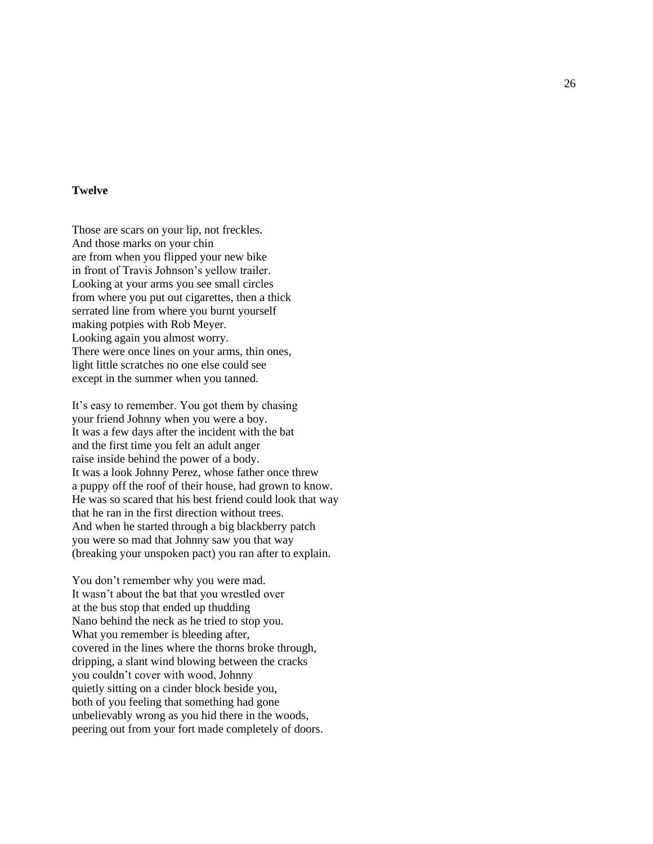#### **Twelve**

Those are scars on your lip, not freckles. And those marks on your chin are from when you flipped your new bike in front of Travis Johnson's yellow trailer. Looking at your arms you see small circles from where you put out cigarettes, then a thick serrated line from where you burnt yourself making potpies with Rob Meyer. Looking again you almost worry. There were once lines on your arms, thin ones, light little scratches no one else could see except in the summer when you tanned.

It's easy to remember. You got them by chasing your friend Johnny when you were a boy. It was a few days after the incident with the bat and the first time you felt an adult anger raise inside behind the power of a body. It was a look Johnny Perez, whose father once threw a puppy off the roof of their house, had grown to know. He was so scared that his best friend could look that way that he ran in the first direction without trees. And when he started through a big blackberry patch you were so mad that Johnny saw you that way (breaking your unspoken pact) you ran after to explain.

You don't remember why you were mad. It wasn't about the bat that you wrestled over at the bus stop that ended up thudding Nano behind the neck as he tried to stop you. What you remember is bleeding after, covered in the lines where the thorns broke through, dripping, a slant wind blowing between the cracks you couldn't cover with wood, Johnny quietly sitting on a cinder block beside you, both of you feeling that something had gone unbelievably wrong as you hid there in the woods, peering out from your fort made completely of doors.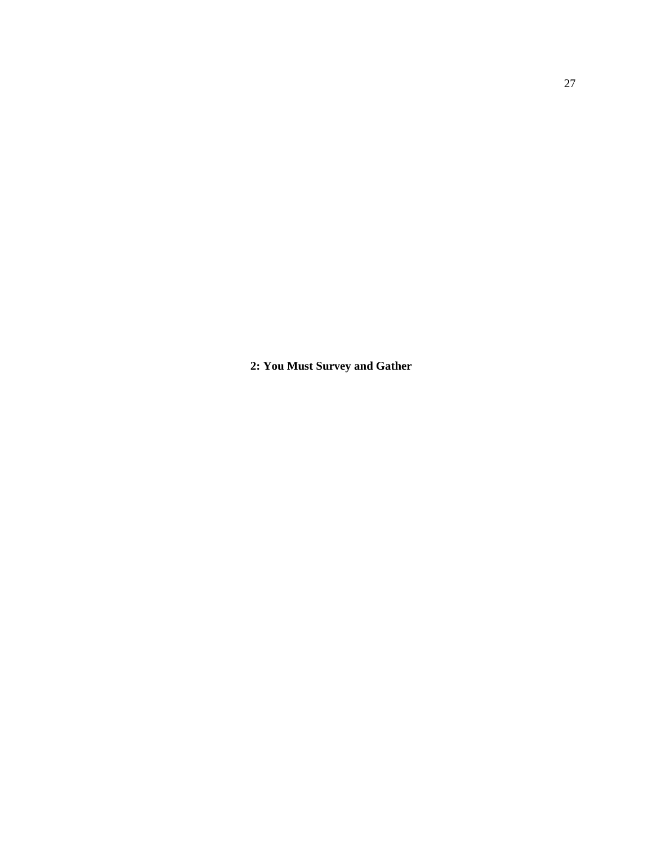**2: You Must Survey and Gather**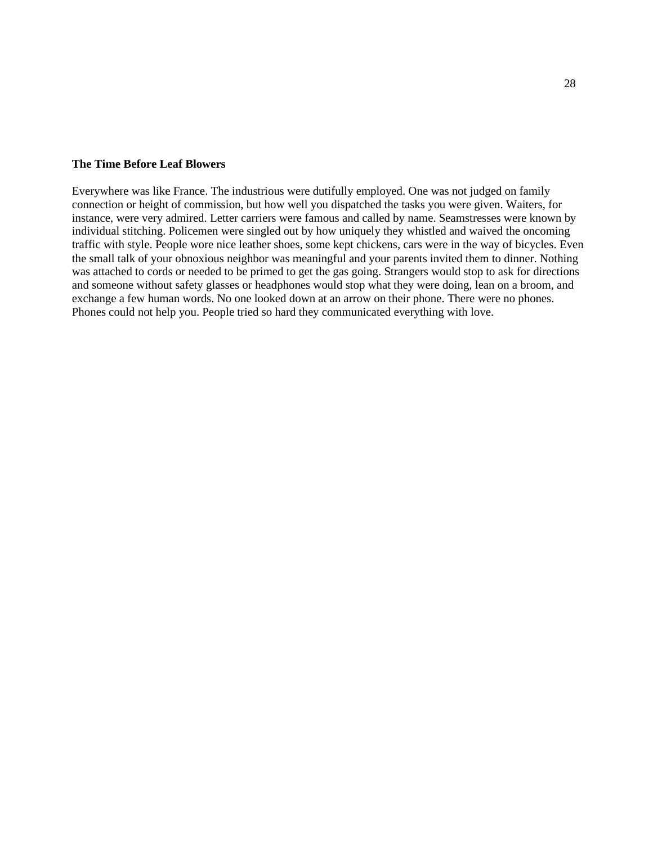# **The Time Before Leaf Blowers**

Everywhere was like France. The industrious were dutifully employed. One was not judged on family connection or height of commission, but how well you dispatched the tasks you were given. Waiters, for instance, were very admired. Letter carriers were famous and called by name. Seamstresses were known by individual stitching. Policemen were singled out by how uniquely they whistled and waived the oncoming traffic with style. People wore nice leather shoes, some kept chickens, cars were in the way of bicycles. Even the small talk of your obnoxious neighbor was meaningful and your parents invited them to dinner. Nothing was attached to cords or needed to be primed to get the gas going. Strangers would stop to ask for directions and someone without safety glasses or headphones would stop what they were doing, lean on a broom, and exchange a few human words. No one looked down at an arrow on their phone. There were no phones. Phones could not help you. People tried so hard they communicated everything with love.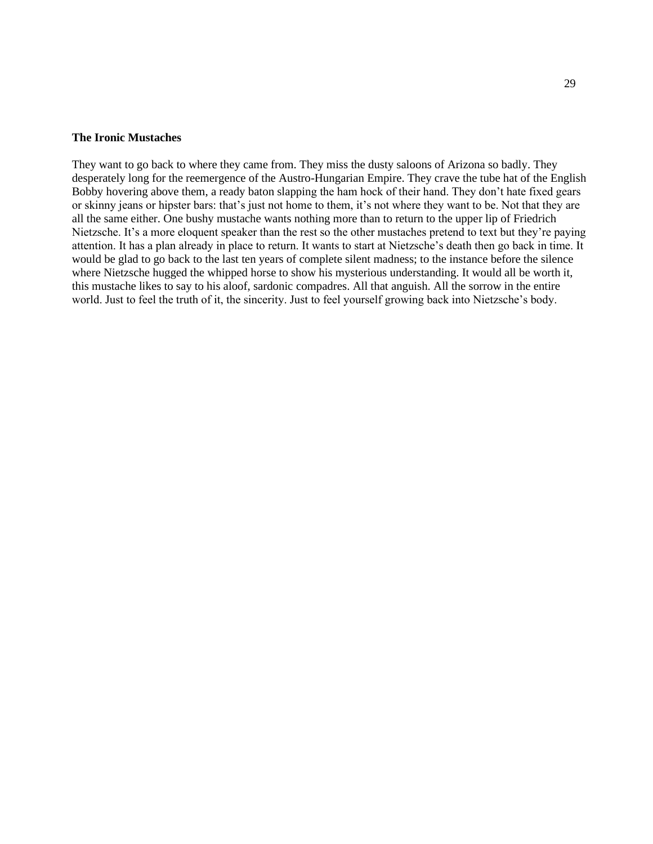#### **The Ironic Mustaches**

They want to go back to where they came from. They miss the dusty saloons of Arizona so badly. They desperately long for the reemergence of the Austro-Hungarian Empire. They crave the tube hat of the English Bobby hovering above them, a ready baton slapping the ham hock of their hand. They don't hate fixed gears or skinny jeans or hipster bars: that's just not home to them, it's not where they want to be. Not that they are all the same either. One bushy mustache wants nothing more than to return to the upper lip of Friedrich Nietzsche. It's a more eloquent speaker than the rest so the other mustaches pretend to text but they're paying attention. It has a plan already in place to return. It wants to start at Nietzsche's death then go back in time. It would be glad to go back to the last ten years of complete silent madness; to the instance before the silence where Nietzsche hugged the whipped horse to show his mysterious understanding. It would all be worth it, this mustache likes to say to his aloof, sardonic compadres. All that anguish. All the sorrow in the entire world. Just to feel the truth of it, the sincerity. Just to feel yourself growing back into Nietzsche's body.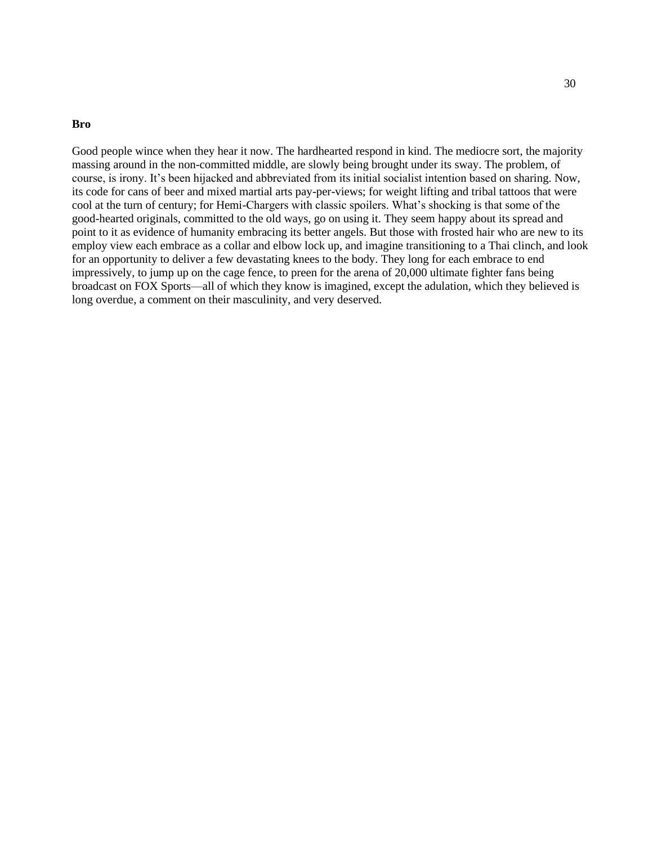#### **Bro**

Good people wince when they hear it now. The hardhearted respond in kind. The mediocre sort, the majority massing around in the non-committed middle, are slowly being brought under its sway. The problem, of course, is irony. It's been hijacked and abbreviated from its initial socialist intention based on sharing. Now, its code for cans of beer and mixed martial arts pay-per-views; for weight lifting and tribal tattoos that were cool at the turn of century; for Hemi-Chargers with classic spoilers. What's shocking is that some of the good-hearted originals, committed to the old ways, go on using it. They seem happy about its spread and point to it as evidence of humanity embracing its better angels. But those with frosted hair who are new to its employ view each embrace as a collar and elbow lock up, and imagine transitioning to a Thai clinch, and look for an opportunity to deliver a few devastating knees to the body. They long for each embrace to end impressively, to jump up on the cage fence, to preen for the arena of 20,000 ultimate fighter fans being broadcast on FOX Sports—all of which they know is imagined, except the adulation, which they believed is long overdue, a comment on their masculinity, and very deserved.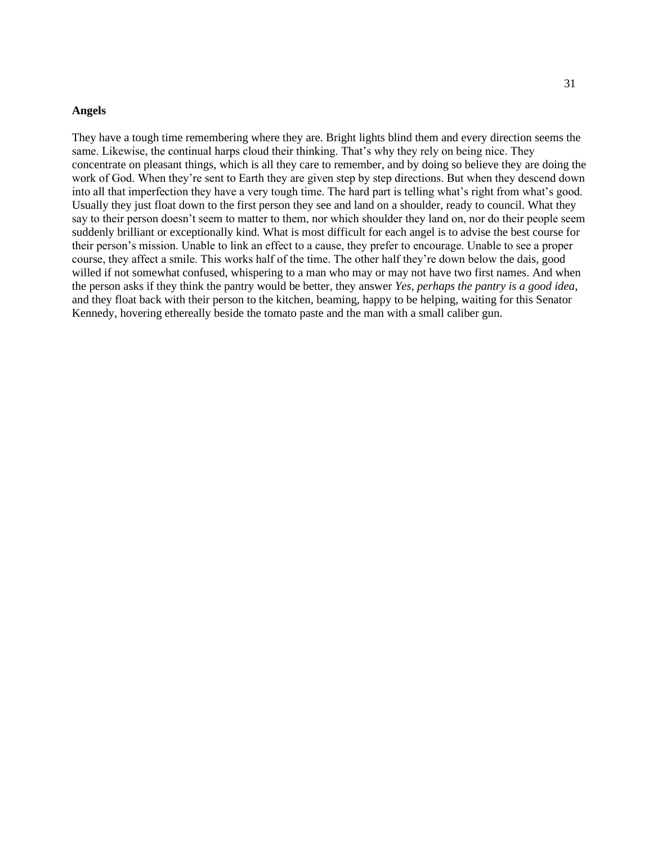#### **Angels**

They have a tough time remembering where they are. Bright lights blind them and every direction seems the same. Likewise, the continual harps cloud their thinking. That's why they rely on being nice. They concentrate on pleasant things, which is all they care to remember, and by doing so believe they are doing the work of God. When they're sent to Earth they are given step by step directions. But when they descend down into all that imperfection they have a very tough time. The hard part is telling what's right from what's good. Usually they just float down to the first person they see and land on a shoulder, ready to council. What they say to their person doesn't seem to matter to them, nor which shoulder they land on, nor do their people seem suddenly brilliant or exceptionally kind. What is most difficult for each angel is to advise the best course for their person's mission. Unable to link an effect to a cause, they prefer to encourage. Unable to see a proper course, they affect a smile. This works half of the time. The other half they're down below the dais, good willed if not somewhat confused, whispering to a man who may or may not have two first names. And when the person asks if they think the pantry would be better, they answer *Yes, perhaps the pantry is a good idea*, and they float back with their person to the kitchen, beaming, happy to be helping, waiting for this Senator Kennedy, hovering ethereally beside the tomato paste and the man with a small caliber gun.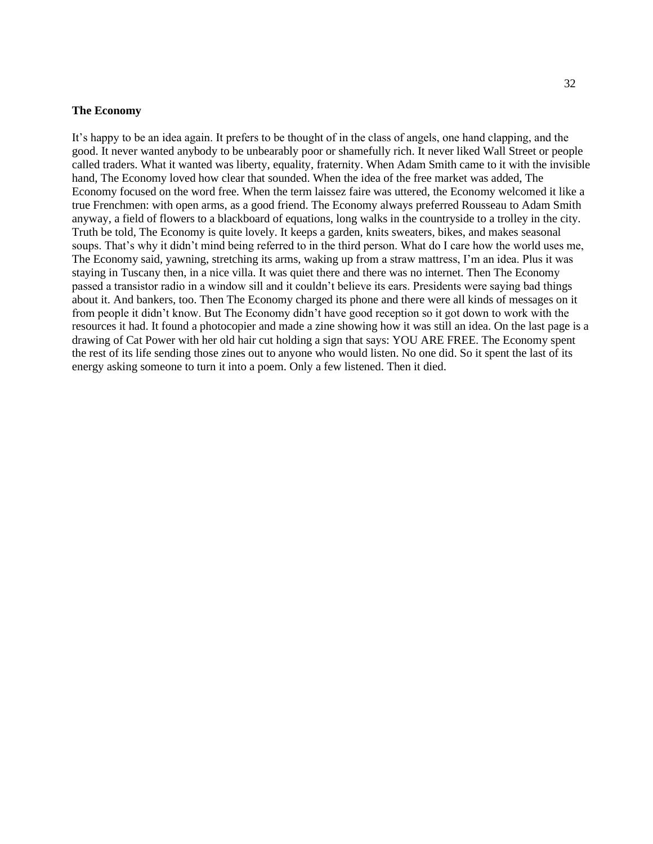#### **The Economy**

It's happy to be an idea again. It prefers to be thought of in the class of angels, one hand clapping, and the good. It never wanted anybody to be unbearably poor or shamefully rich. It never liked Wall Street or people called traders. What it wanted was liberty, equality, fraternity. When Adam Smith came to it with the invisible hand, The Economy loved how clear that sounded. When the idea of the free market was added, The Economy focused on the word free. When the term laissez faire was uttered, the Economy welcomed it like a true Frenchmen: with open arms, as a good friend. The Economy always preferred Rousseau to Adam Smith anyway, a field of flowers to a blackboard of equations, long walks in the countryside to a trolley in the city. Truth be told, The Economy is quite lovely. It keeps a garden, knits sweaters, bikes, and makes seasonal soups. That's why it didn't mind being referred to in the third person. What do I care how the world uses me, The Economy said, yawning, stretching its arms, waking up from a straw mattress, I'm an idea. Plus it was staying in Tuscany then, in a nice villa. It was quiet there and there was no internet. Then The Economy passed a transistor radio in a window sill and it couldn't believe its ears. Presidents were saying bad things about it. And bankers, too. Then The Economy charged its phone and there were all kinds of messages on it from people it didn't know. But The Economy didn't have good reception so it got down to work with the resources it had. It found a photocopier and made a zine showing how it was still an idea. On the last page is a drawing of Cat Power with her old hair cut holding a sign that says: YOU ARE FREE. The Economy spent the rest of its life sending those zines out to anyone who would listen. No one did. So it spent the last of its energy asking someone to turn it into a poem. Only a few listened. Then it died.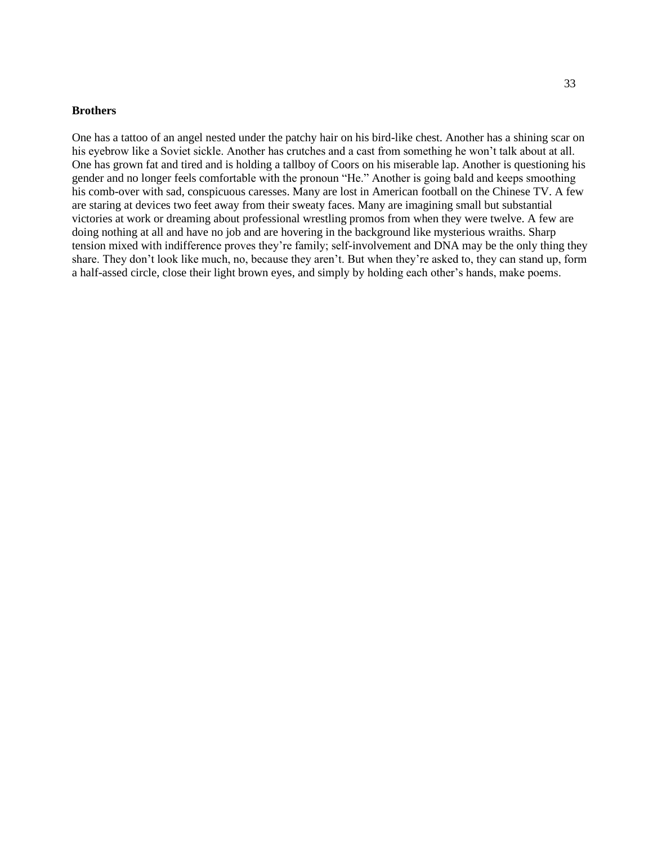#### **Brothers**

One has a tattoo of an angel nested under the patchy hair on his bird-like chest. Another has a shining scar on his eyebrow like a Soviet sickle. Another has crutches and a cast from something he won't talk about at all. One has grown fat and tired and is holding a tallboy of Coors on his miserable lap. Another is questioning his gender and no longer feels comfortable with the pronoun "He." Another is going bald and keeps smoothing his comb-over with sad, conspicuous caresses. Many are lost in American football on the Chinese TV. A few are staring at devices two feet away from their sweaty faces. Many are imagining small but substantial victories at work or dreaming about professional wrestling promos from when they were twelve. A few are doing nothing at all and have no job and are hovering in the background like mysterious wraiths. Sharp tension mixed with indifference proves they're family; self-involvement and DNA may be the only thing they share. They don't look like much, no, because they aren't. But when they're asked to, they can stand up, form a half-assed circle, close their light brown eyes, and simply by holding each other's hands, make poems.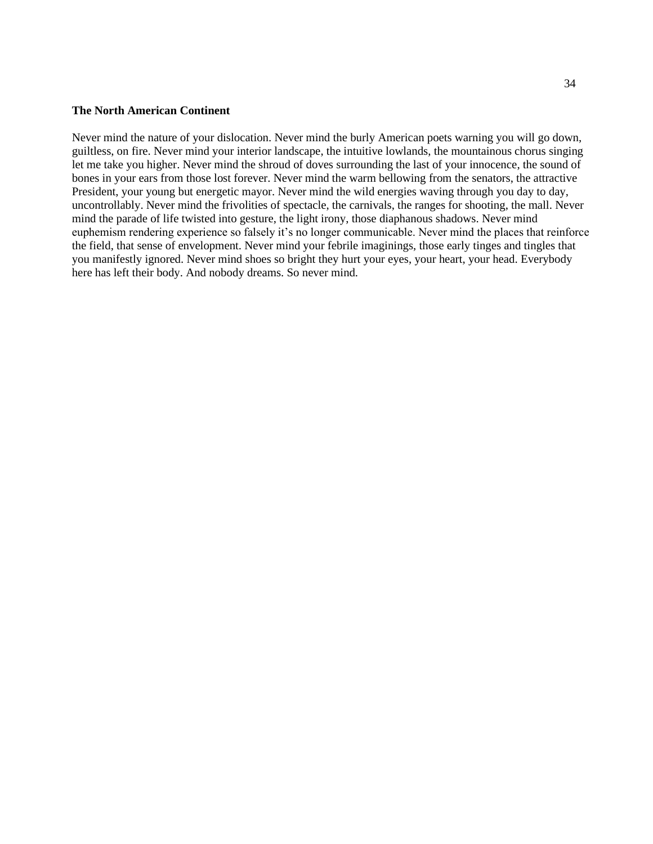# **The North American Continent**

Never mind the nature of your dislocation. Never mind the burly American poets warning you will go down, guiltless, on fire. Never mind your interior landscape, the intuitive lowlands, the mountainous chorus singing let me take you higher. Never mind the shroud of doves surrounding the last of your innocence, the sound of bones in your ears from those lost forever. Never mind the warm bellowing from the senators, the attractive President, your young but energetic mayor. Never mind the wild energies waving through you day to day, uncontrollably. Never mind the frivolities of spectacle, the carnivals, the ranges for shooting, the mall. Never mind the parade of life twisted into gesture, the light irony, those diaphanous shadows. Never mind euphemism rendering experience so falsely it's no longer communicable. Never mind the places that reinforce the field, that sense of envelopment. Never mind your febrile imaginings, those early tinges and tingles that you manifestly ignored. Never mind shoes so bright they hurt your eyes, your heart, your head. Everybody here has left their body. And nobody dreams. So never mind.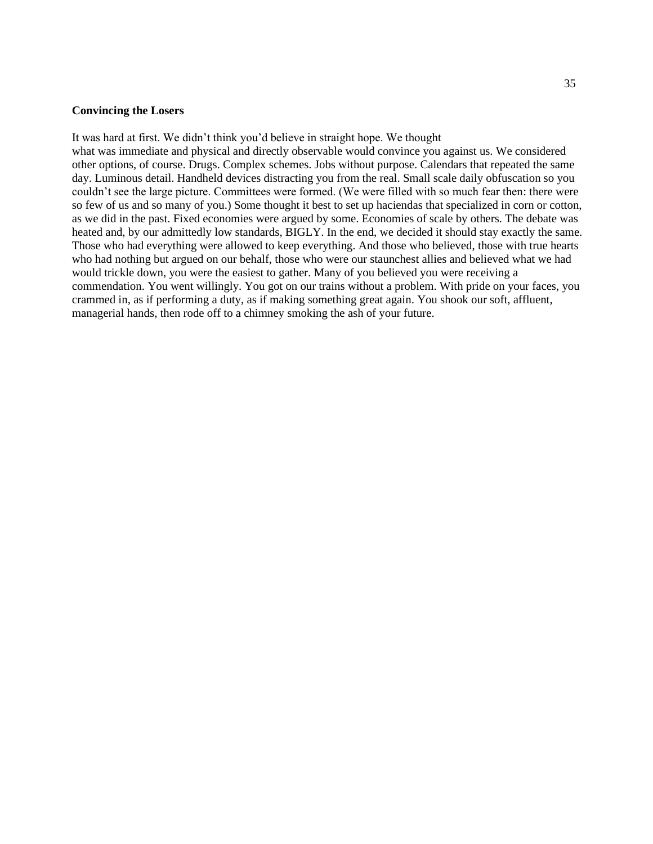#### **Convincing the Losers**

It was hard at first. We didn't think you'd believe in straight hope. We thought what was immediate and physical and directly observable would convince you against us. We considered other options, of course. Drugs. Complex schemes. Jobs without purpose. Calendars that repeated the same day. Luminous detail. Handheld devices distracting you from the real. Small scale daily obfuscation so you couldn't see the large picture. Committees were formed. (We were filled with so much fear then: there were so few of us and so many of you.) Some thought it best to set up haciendas that specialized in corn or cotton, as we did in the past. Fixed economies were argued by some. Economies of scale by others. The debate was heated and, by our admittedly low standards, BIGLY. In the end, we decided it should stay exactly the same. Those who had everything were allowed to keep everything. And those who believed, those with true hearts who had nothing but argued on our behalf, those who were our staunchest allies and believed what we had would trickle down, you were the easiest to gather. Many of you believed you were receiving a commendation. You went willingly. You got on our trains without a problem. With pride on your faces, you crammed in, as if performing a duty, as if making something great again. You shook our soft, affluent, managerial hands, then rode off to a chimney smoking the ash of your future.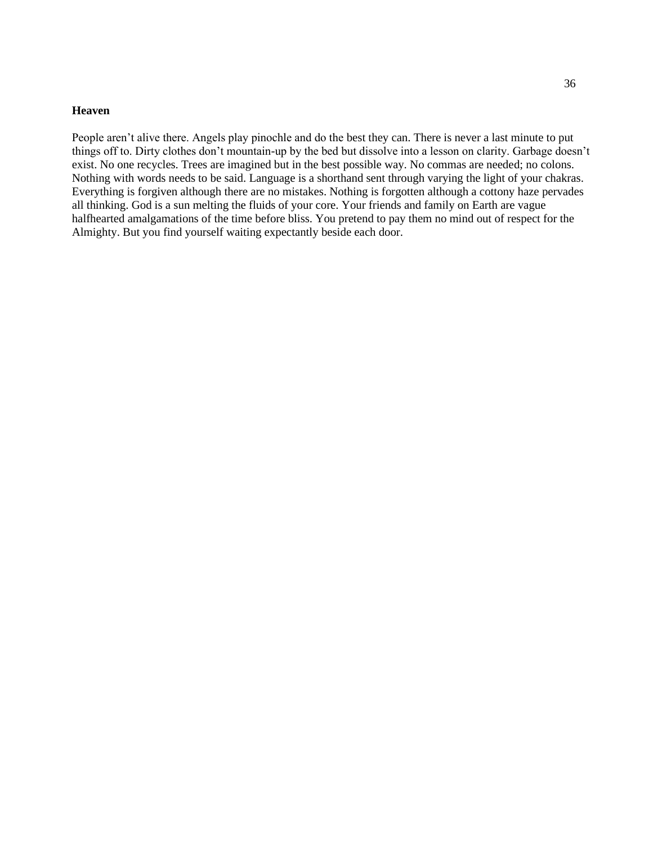#### **Heaven**

People aren't alive there. Angels play pinochle and do the best they can. There is never a last minute to put things off to. Dirty clothes don't mountain-up by the bed but dissolve into a lesson on clarity. Garbage doesn't exist. No one recycles. Trees are imagined but in the best possible way. No commas are needed; no colons. Nothing with words needs to be said. Language is a shorthand sent through varying the light of your chakras. Everything is forgiven although there are no mistakes. Nothing is forgotten although a cottony haze pervades all thinking. God is a sun melting the fluids of your core. Your friends and family on Earth are vague halfhearted amalgamations of the time before bliss. You pretend to pay them no mind out of respect for the Almighty. But you find yourself waiting expectantly beside each door.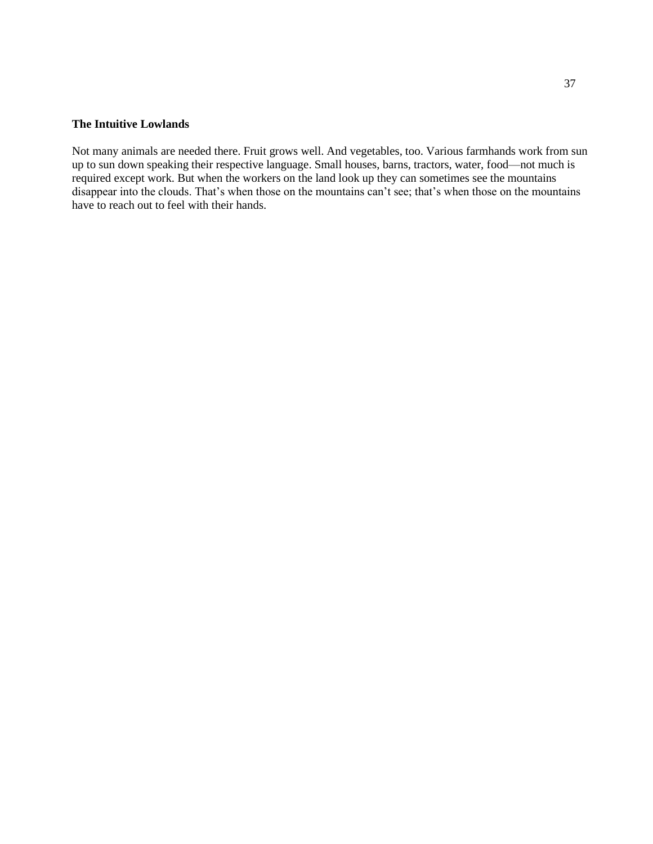# **The Intuitive Lowlands**

Not many animals are needed there. Fruit grows well. And vegetables, too. Various farmhands work from sun up to sun down speaking their respective language. Small houses, barns, tractors, water, food—not much is required except work. But when the workers on the land look up they can sometimes see the mountains disappear into the clouds. That's when those on the mountains can't see; that's when those on the mountains have to reach out to feel with their hands.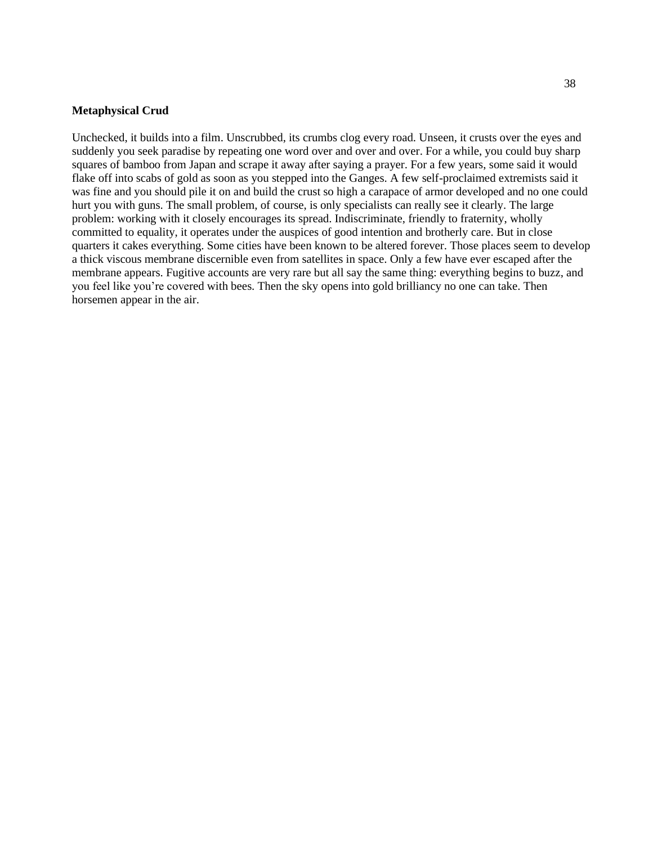## **Metaphysical Crud**

Unchecked, it builds into a film. Unscrubbed, its crumbs clog every road. Unseen, it crusts over the eyes and suddenly you seek paradise by repeating one word over and over and over. For a while, you could buy sharp squares of bamboo from Japan and scrape it away after saying a prayer. For a few years, some said it would flake off into scabs of gold as soon as you stepped into the Ganges. A few self-proclaimed extremists said it was fine and you should pile it on and build the crust so high a carapace of armor developed and no one could hurt you with guns. The small problem, of course, is only specialists can really see it clearly. The large problem: working with it closely encourages its spread. Indiscriminate, friendly to fraternity, wholly committed to equality, it operates under the auspices of good intention and brotherly care. But in close quarters it cakes everything. Some cities have been known to be altered forever. Those places seem to develop a thick viscous membrane discernible even from satellites in space. Only a few have ever escaped after the membrane appears. Fugitive accounts are very rare but all say the same thing: everything begins to buzz, and you feel like you're covered with bees. Then the sky opens into gold brilliancy no one can take. Then horsemen appear in the air.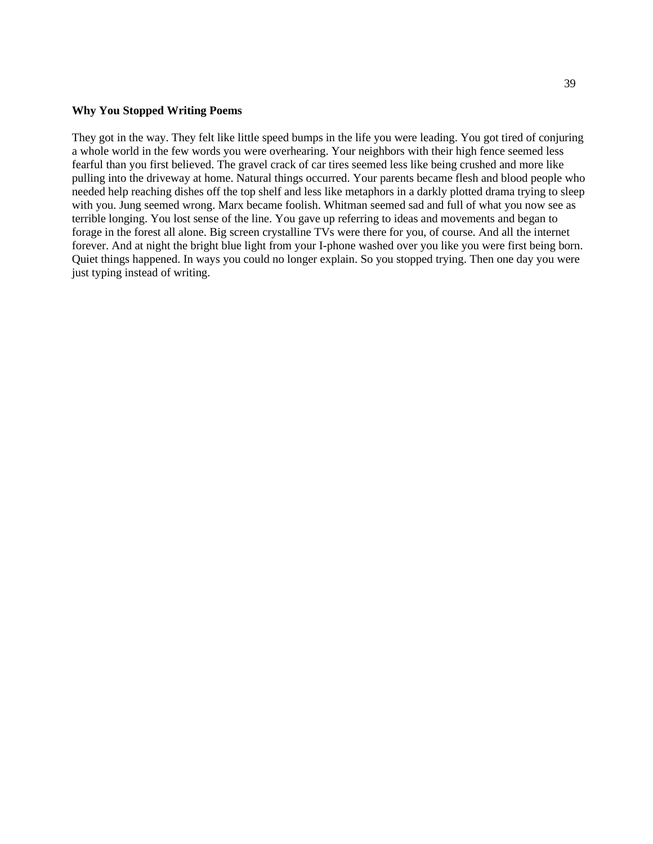## **Why You Stopped Writing Poems**

They got in the way. They felt like little speed bumps in the life you were leading. You got tired of conjuring a whole world in the few words you were overhearing. Your neighbors with their high fence seemed less fearful than you first believed. The gravel crack of car tires seemed less like being crushed and more like pulling into the driveway at home. Natural things occurred. Your parents became flesh and blood people who needed help reaching dishes off the top shelf and less like metaphors in a darkly plotted drama trying to sleep with you. Jung seemed wrong. Marx became foolish. Whitman seemed sad and full of what you now see as terrible longing. You lost sense of the line. You gave up referring to ideas and movements and began to forage in the forest all alone. Big screen crystalline TVs were there for you, of course. And all the internet forever. And at night the bright blue light from your I-phone washed over you like you were first being born. Quiet things happened. In ways you could no longer explain. So you stopped trying. Then one day you were just typing instead of writing.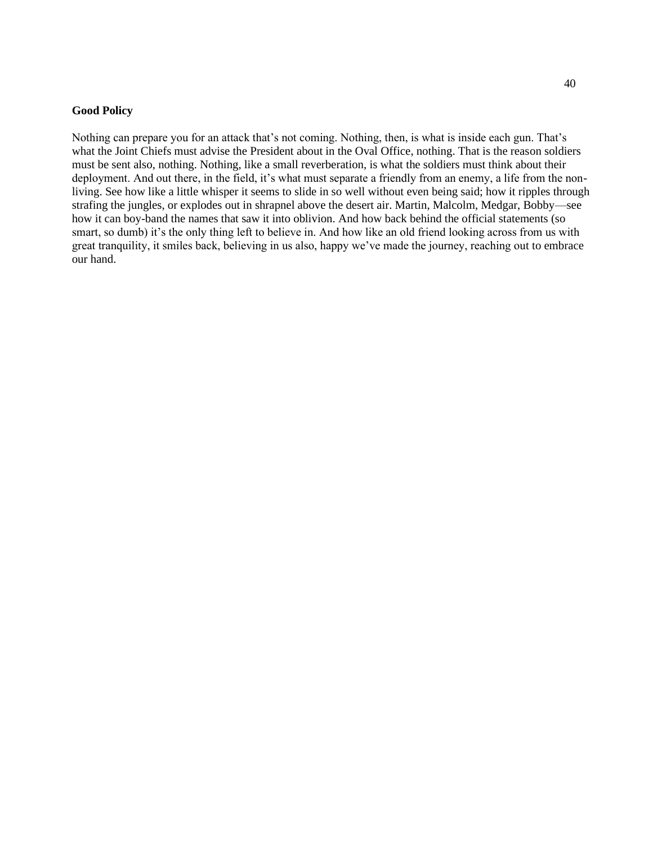## **Good Policy**

Nothing can prepare you for an attack that's not coming. Nothing, then, is what is inside each gun. That's what the Joint Chiefs must advise the President about in the Oval Office, nothing. That is the reason soldiers must be sent also, nothing. Nothing, like a small reverberation, is what the soldiers must think about their deployment. And out there, in the field, it's what must separate a friendly from an enemy, a life from the nonliving. See how like a little whisper it seems to slide in so well without even being said; how it ripples through strafing the jungles, or explodes out in shrapnel above the desert air. Martin, Malcolm, Medgar, Bobby—see how it can boy-band the names that saw it into oblivion. And how back behind the official statements (so smart, so dumb) it's the only thing left to believe in. And how like an old friend looking across from us with great tranquility, it smiles back, believing in us also, happy we've made the journey, reaching out to embrace our hand.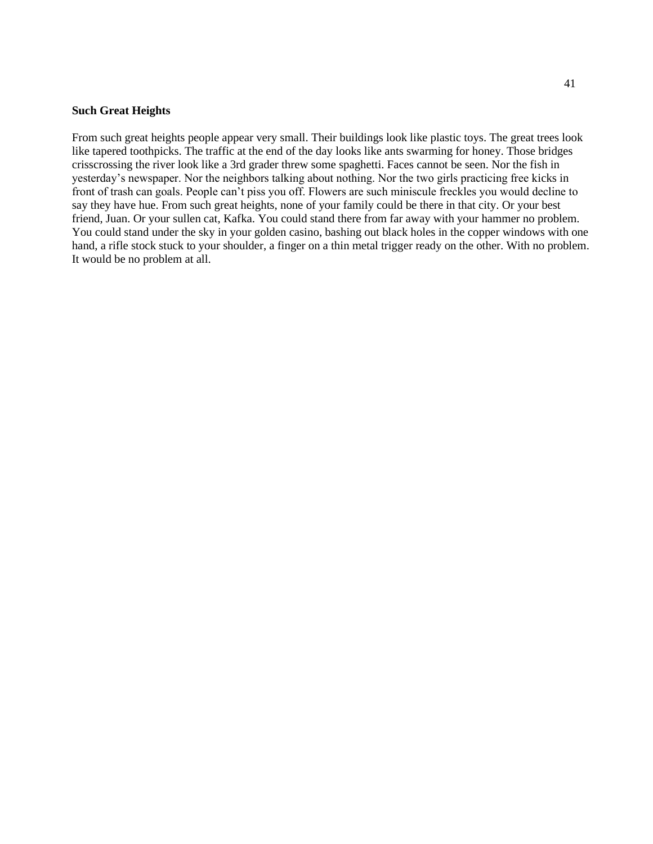## **Such Great Heights**

From such great heights people appear very small. Their buildings look like plastic toys. The great trees look like tapered toothpicks. The traffic at the end of the day looks like ants swarming for honey. Those bridges crisscrossing the river look like a 3rd grader threw some spaghetti. Faces cannot be seen. Nor the fish in yesterday's newspaper. Nor the neighbors talking about nothing. Nor the two girls practicing free kicks in front of trash can goals. People can't piss you off. Flowers are such miniscule freckles you would decline to say they have hue. From such great heights, none of your family could be there in that city. Or your best friend, Juan. Or your sullen cat, Kafka. You could stand there from far away with your hammer no problem. You could stand under the sky in your golden casino, bashing out black holes in the copper windows with one hand, a rifle stock stuck to your shoulder, a finger on a thin metal trigger ready on the other. With no problem. It would be no problem at all.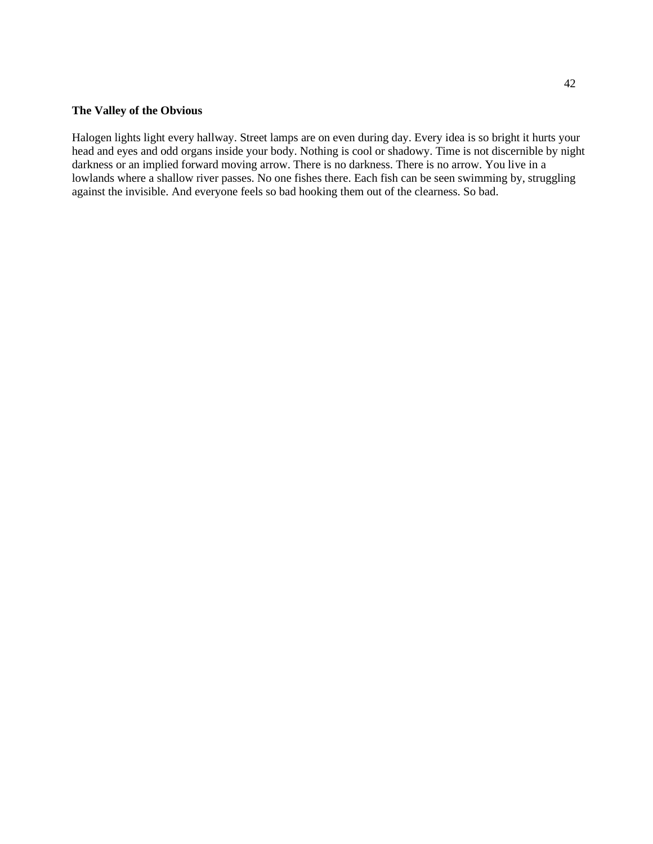# **The Valley of the Obvious**

Halogen lights light every hallway. Street lamps are on even during day. Every idea is so bright it hurts your head and eyes and odd organs inside your body. Nothing is cool or shadowy. Time is not discernible by night darkness or an implied forward moving arrow. There is no darkness. There is no arrow. You live in a lowlands where a shallow river passes. No one fishes there. Each fish can be seen swimming by, struggling against the invisible. And everyone feels so bad hooking them out of the clearness. So bad.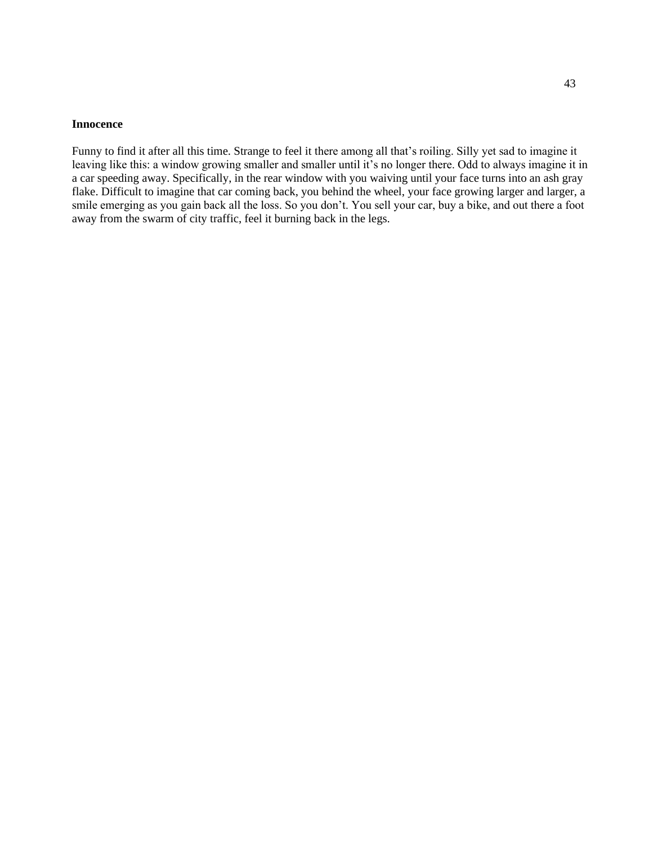# **Innocence**

Funny to find it after all this time. Strange to feel it there among all that's roiling. Silly yet sad to imagine it leaving like this: a window growing smaller and smaller until it's no longer there. Odd to always imagine it in a car speeding away. Specifically, in the rear window with you waiving until your face turns into an ash gray flake. Difficult to imagine that car coming back, you behind the wheel, your face growing larger and larger, a smile emerging as you gain back all the loss. So you don't. You sell your car, buy a bike, and out there a foot away from the swarm of city traffic, feel it burning back in the legs.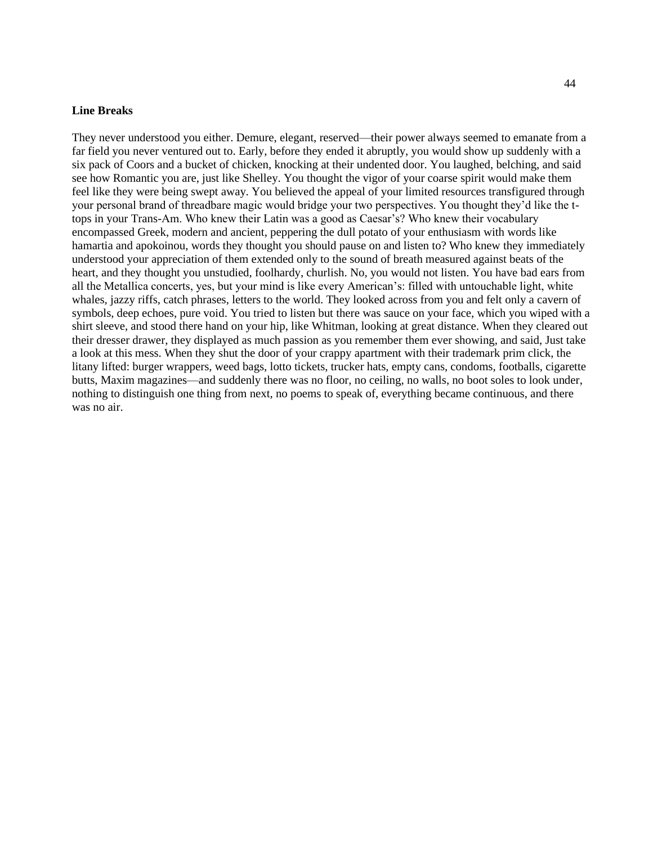#### **Line Breaks**

They never understood you either. Demure, elegant, reserved—their power always seemed to emanate from a far field you never ventured out to. Early, before they ended it abruptly, you would show up suddenly with a six pack of Coors and a bucket of chicken, knocking at their undented door. You laughed, belching, and said see how Romantic you are, just like Shelley. You thought the vigor of your coarse spirit would make them feel like they were being swept away. You believed the appeal of your limited resources transfigured through your personal brand of threadbare magic would bridge your two perspectives. You thought they'd like the ttops in your Trans-Am. Who knew their Latin was a good as Caesar's? Who knew their vocabulary encompassed Greek, modern and ancient, peppering the dull potato of your enthusiasm with words like hamartia and apokoinou, words they thought you should pause on and listen to? Who knew they immediately understood your appreciation of them extended only to the sound of breath measured against beats of the heart, and they thought you unstudied, foolhardy, churlish. No, you would not listen. You have bad ears from all the Metallica concerts, yes, but your mind is like every American's: filled with untouchable light, white whales, jazzy riffs, catch phrases, letters to the world. They looked across from you and felt only a cavern of symbols, deep echoes, pure void. You tried to listen but there was sauce on your face, which you wiped with a shirt sleeve, and stood there hand on your hip, like Whitman, looking at great distance. When they cleared out their dresser drawer, they displayed as much passion as you remember them ever showing, and said, Just take a look at this mess. When they shut the door of your crappy apartment with their trademark prim click, the litany lifted: burger wrappers, weed bags, lotto tickets, trucker hats, empty cans, condoms, footballs, cigarette butts, Maxim magazines—and suddenly there was no floor, no ceiling, no walls, no boot soles to look under, nothing to distinguish one thing from next, no poems to speak of, everything became continuous, and there was no air.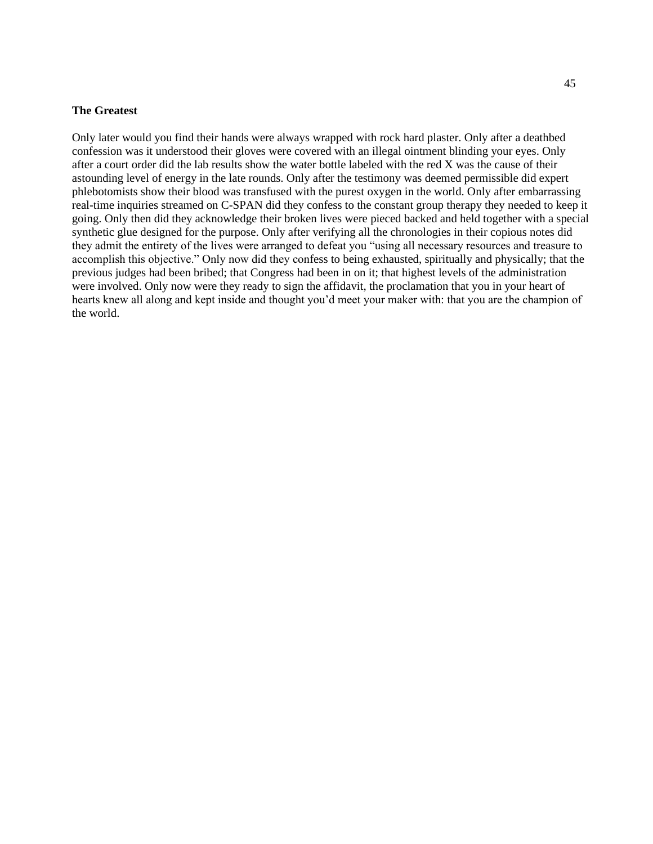## **The Greatest**

Only later would you find their hands were always wrapped with rock hard plaster. Only after a deathbed confession was it understood their gloves were covered with an illegal ointment blinding your eyes. Only after a court order did the lab results show the water bottle labeled with the red X was the cause of their astounding level of energy in the late rounds. Only after the testimony was deemed permissible did expert phlebotomists show their blood was transfused with the purest oxygen in the world. Only after embarrassing real-time inquiries streamed on C-SPAN did they confess to the constant group therapy they needed to keep it going. Only then did they acknowledge their broken lives were pieced backed and held together with a special synthetic glue designed for the purpose. Only after verifying all the chronologies in their copious notes did they admit the entirety of the lives were arranged to defeat you "using all necessary resources and treasure to accomplish this objective." Only now did they confess to being exhausted, spiritually and physically; that the previous judges had been bribed; that Congress had been in on it; that highest levels of the administration were involved. Only now were they ready to sign the affidavit, the proclamation that you in your heart of hearts knew all along and kept inside and thought you'd meet your maker with: that you are the champion of the world.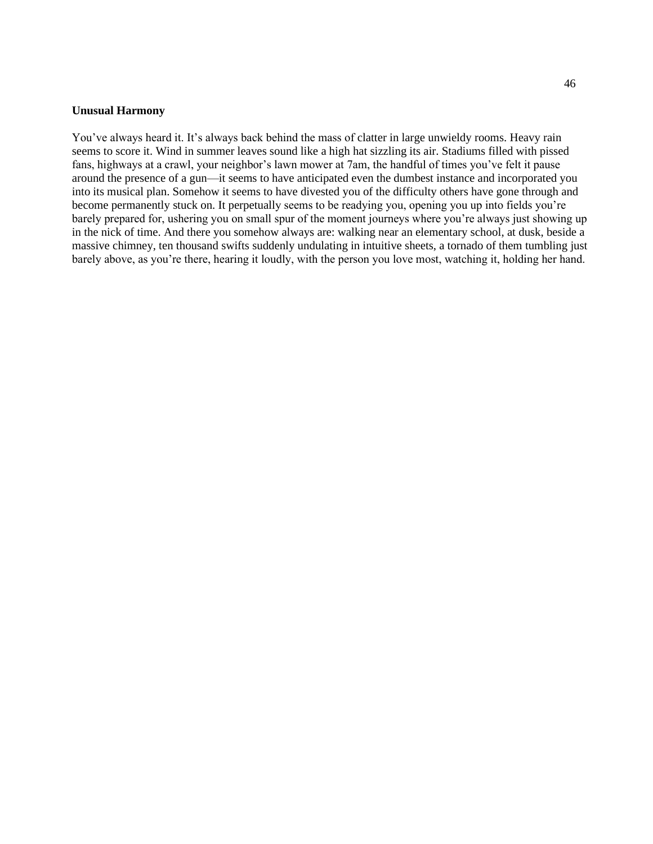## **Unusual Harmony**

You've always heard it. It's always back behind the mass of clatter in large unwieldy rooms. Heavy rain seems to score it. Wind in summer leaves sound like a high hat sizzling its air. Stadiums filled with pissed fans, highways at a crawl, your neighbor's lawn mower at 7am, the handful of times you've felt it pause around the presence of a gun—it seems to have anticipated even the dumbest instance and incorporated you into its musical plan. Somehow it seems to have divested you of the difficulty others have gone through and become permanently stuck on. It perpetually seems to be readying you, opening you up into fields you're barely prepared for, ushering you on small spur of the moment journeys where you're always just showing up in the nick of time. And there you somehow always are: walking near an elementary school, at dusk, beside a massive chimney, ten thousand swifts suddenly undulating in intuitive sheets, a tornado of them tumbling just barely above, as you're there, hearing it loudly, with the person you love most, watching it, holding her hand.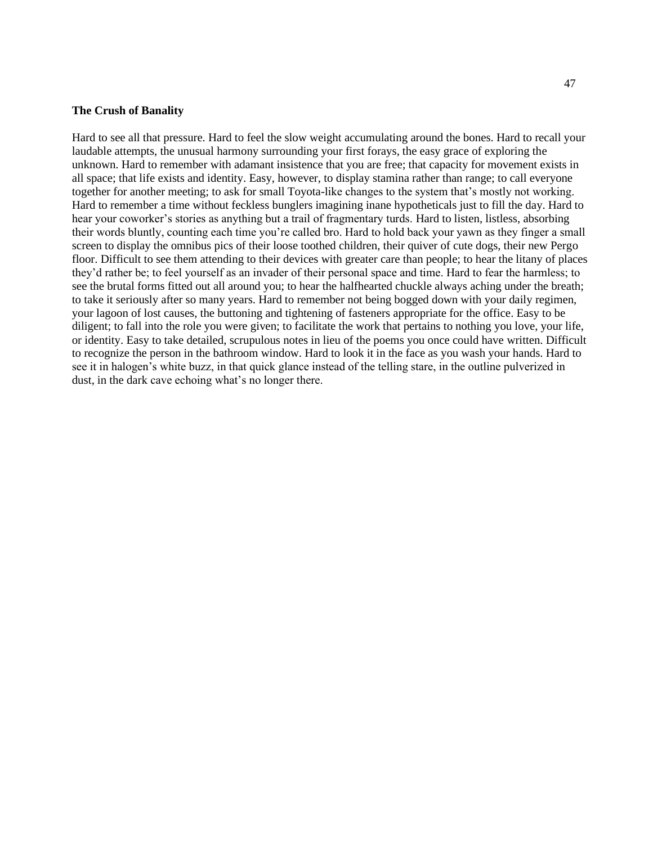## **The Crush of Banality**

Hard to see all that pressure. Hard to feel the slow weight accumulating around the bones. Hard to recall your laudable attempts, the unusual harmony surrounding your first forays, the easy grace of exploring the unknown. Hard to remember with adamant insistence that you are free; that capacity for movement exists in all space; that life exists and identity. Easy, however, to display stamina rather than range; to call everyone together for another meeting; to ask for small Toyota-like changes to the system that's mostly not working. Hard to remember a time without feckless bunglers imagining inane hypotheticals just to fill the day. Hard to hear your coworker's stories as anything but a trail of fragmentary turds. Hard to listen, listless, absorbing their words bluntly, counting each time you're called bro. Hard to hold back your yawn as they finger a small screen to display the omnibus pics of their loose toothed children, their quiver of cute dogs, their new Pergo floor. Difficult to see them attending to their devices with greater care than people; to hear the litany of places they'd rather be; to feel yourself as an invader of their personal space and time. Hard to fear the harmless; to see the brutal forms fitted out all around you; to hear the halfhearted chuckle always aching under the breath; to take it seriously after so many years. Hard to remember not being bogged down with your daily regimen, your lagoon of lost causes, the buttoning and tightening of fasteners appropriate for the office. Easy to be diligent; to fall into the role you were given; to facilitate the work that pertains to nothing you love, your life, or identity. Easy to take detailed, scrupulous notes in lieu of the poems you once could have written. Difficult to recognize the person in the bathroom window. Hard to look it in the face as you wash your hands. Hard to see it in halogen's white buzz, in that quick glance instead of the telling stare, in the outline pulverized in dust, in the dark cave echoing what's no longer there.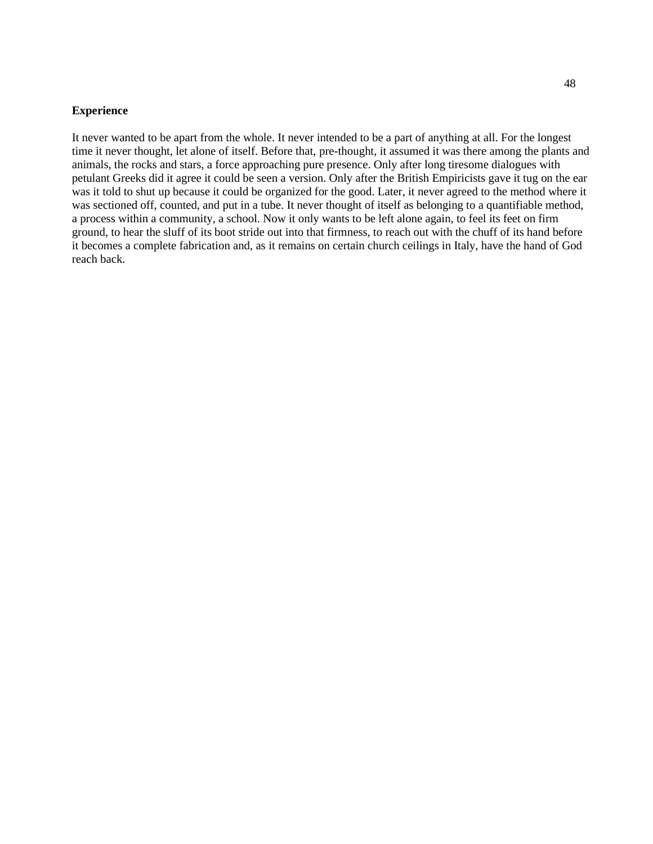## **Experience**

It never wanted to be apart from the whole. It never intended to be a part of anything at all. For the longest time it never thought, let alone of itself. Before that, pre-thought, it assumed it was there among the plants and animals, the rocks and stars, a force approaching pure presence. Only after long tiresome dialogues with petulant Greeks did it agree it could be seen a version. Only after the British Empiricists gave it tug on the ear was it told to shut up because it could be organized for the good. Later, it never agreed to the method where it was sectioned off, counted, and put in a tube. It never thought of itself as belonging to a quantifiable method, a process within a community, a school. Now it only wants to be left alone again, to feel its feet on firm ground, to hear the sluff of its boot stride out into that firmness, to reach out with the chuff of its hand before it becomes a complete fabrication and, as it remains on certain church ceilings in Italy, have the hand of God reach back.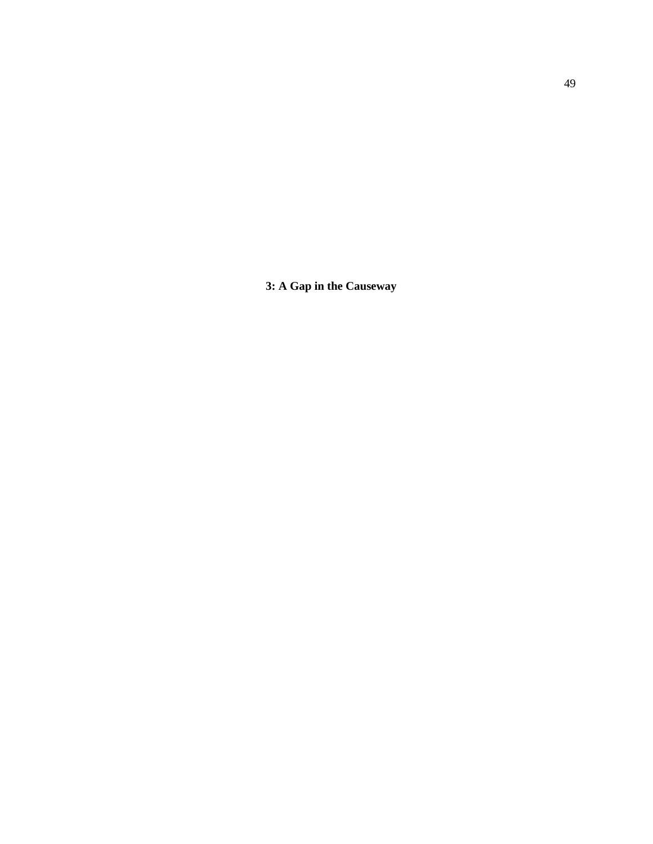**3: A Gap in the Causeway**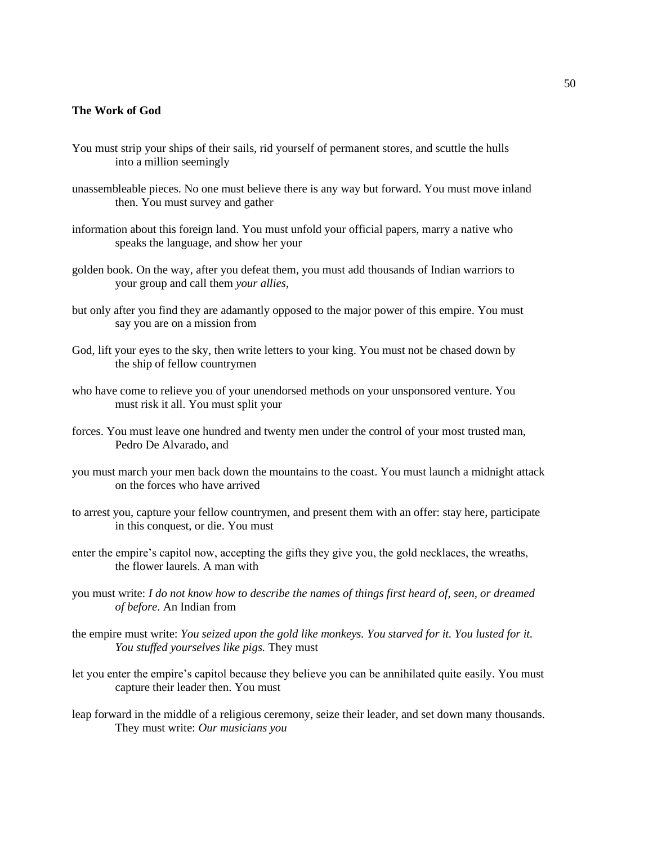# **The Work of God**

- You must strip your ships of their sails, rid yourself of permanent stores, and scuttle the hulls into a million seemingly
- unassembleable pieces. No one must believe there is any way but forward. You must move inland then. You must survey and gather
- information about this foreign land. You must unfold your official papers, marry a native who speaks the language, and show her your
- golden book. On the way, after you defeat them, you must add thousands of Indian warriors to your group and call them *your allies*,
- but only after you find they are adamantly opposed to the major power of this empire. You must say you are on a mission from
- God, lift your eyes to the sky, then write letters to your king. You must not be chased down by the ship of fellow countrymen
- who have come to relieve you of your unendorsed methods on your unsponsored venture. You must risk it all. You must split your
- forces. You must leave one hundred and twenty men under the control of your most trusted man, Pedro De Alvarado, and
- you must march your men back down the mountains to the coast. You must launch a midnight attack on the forces who have arrived
- to arrest you, capture your fellow countrymen, and present them with an offer: stay here, participate in this conquest, or die. You must
- enter the empire's capitol now, accepting the gifts they give you, the gold necklaces, the wreaths, the flower laurels. A man with
- you must write: *I do not know how to describe the names of things first heard of, seen, or dreamed of before*. An Indian from
- the empire must write: *You seized upon the gold like monkeys. You starved for it. You lusted for it. You stuffed yourselves like pigs.* They must
- let you enter the empire's capitol because they believe you can be annihilated quite easily. You must capture their leader then. You must
- leap forward in the middle of a religious ceremony, seize their leader, and set down many thousands. They must write: *Our musicians you*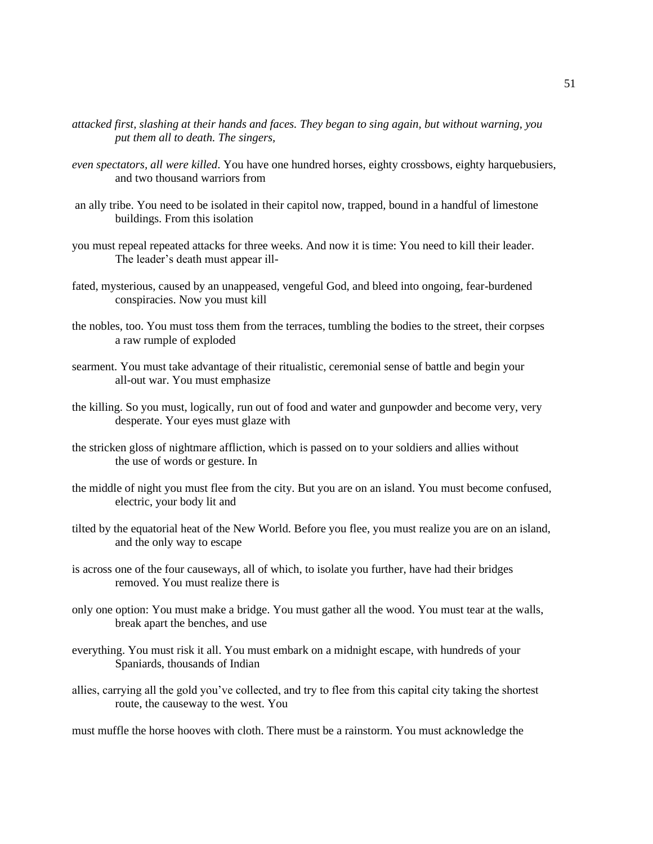- *attacked first, slashing at their hands and faces. They began to sing again, but without warning, you put them all to death. The singers,*
- *even spectators, all were killed*. You have one hundred horses, eighty crossbows, eighty harquebusiers, and two thousand warriors from
- an ally tribe. You need to be isolated in their capitol now, trapped, bound in a handful of limestone buildings. From this isolation
- you must repeal repeated attacks for three weeks. And now it is time: You need to kill their leader. The leader's death must appear ill-
- fated, mysterious, caused by an unappeased, vengeful God, and bleed into ongoing, fear-burdened conspiracies. Now you must kill
- the nobles, too. You must toss them from the terraces, tumbling the bodies to the street, their corpses a raw rumple of exploded
- searment. You must take advantage of their ritualistic, ceremonial sense of battle and begin your all-out war. You must emphasize
- the killing. So you must, logically, run out of food and water and gunpowder and become very, very desperate. Your eyes must glaze with
- the stricken gloss of nightmare affliction, which is passed on to your soldiers and allies without the use of words or gesture. In
- the middle of night you must flee from the city. But you are on an island. You must become confused, electric, your body lit and
- tilted by the equatorial heat of the New World. Before you flee, you must realize you are on an island, and the only way to escape
- is across one of the four causeways, all of which, to isolate you further, have had their bridges removed. You must realize there is
- only one option: You must make a bridge. You must gather all the wood. You must tear at the walls, break apart the benches, and use
- everything. You must risk it all. You must embark on a midnight escape, with hundreds of your Spaniards, thousands of Indian
- allies, carrying all the gold you've collected, and try to flee from this capital city taking the shortest route, the causeway to the west. You

must muffle the horse hooves with cloth. There must be a rainstorm. You must acknowledge the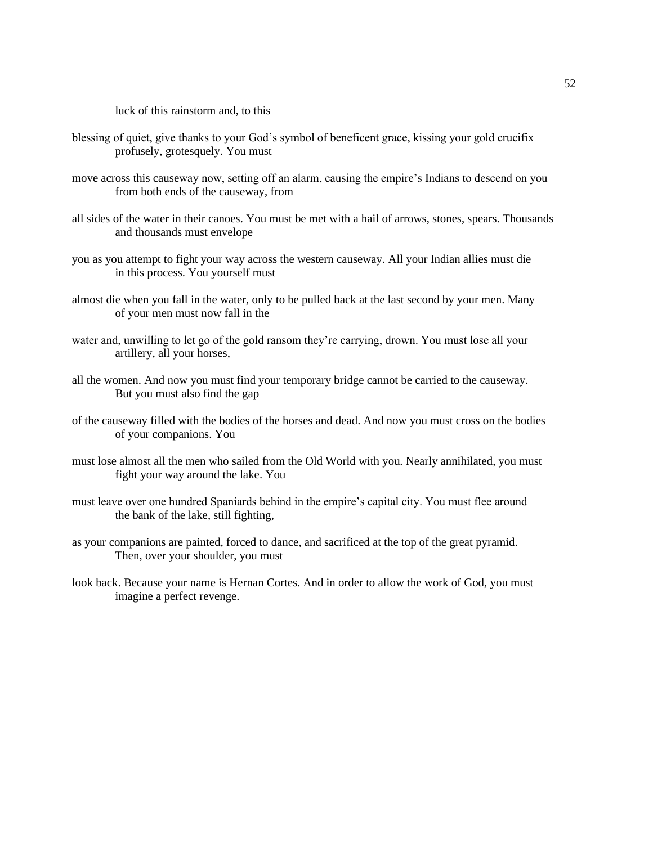luck of this rainstorm and, to this

- blessing of quiet, give thanks to your God's symbol of beneficent grace, kissing your gold crucifix profusely, grotesquely. You must
- move across this causeway now, setting off an alarm, causing the empire's Indians to descend on you from both ends of the causeway, from
- all sides of the water in their canoes. You must be met with a hail of arrows, stones, spears. Thousands and thousands must envelope
- you as you attempt to fight your way across the western causeway. All your Indian allies must die in this process. You yourself must
- almost die when you fall in the water, only to be pulled back at the last second by your men. Many of your men must now fall in the
- water and, unwilling to let go of the gold ransom they're carrying, drown. You must lose all your artillery, all your horses,
- all the women. And now you must find your temporary bridge cannot be carried to the causeway. But you must also find the gap
- of the causeway filled with the bodies of the horses and dead. And now you must cross on the bodies of your companions. You
- must lose almost all the men who sailed from the Old World with you. Nearly annihilated, you must fight your way around the lake. You
- must leave over one hundred Spaniards behind in the empire's capital city. You must flee around the bank of the lake, still fighting,
- as your companions are painted, forced to dance, and sacrificed at the top of the great pyramid. Then, over your shoulder, you must
- look back. Because your name is Hernan Cortes. And in order to allow the work of God, you must imagine a perfect revenge.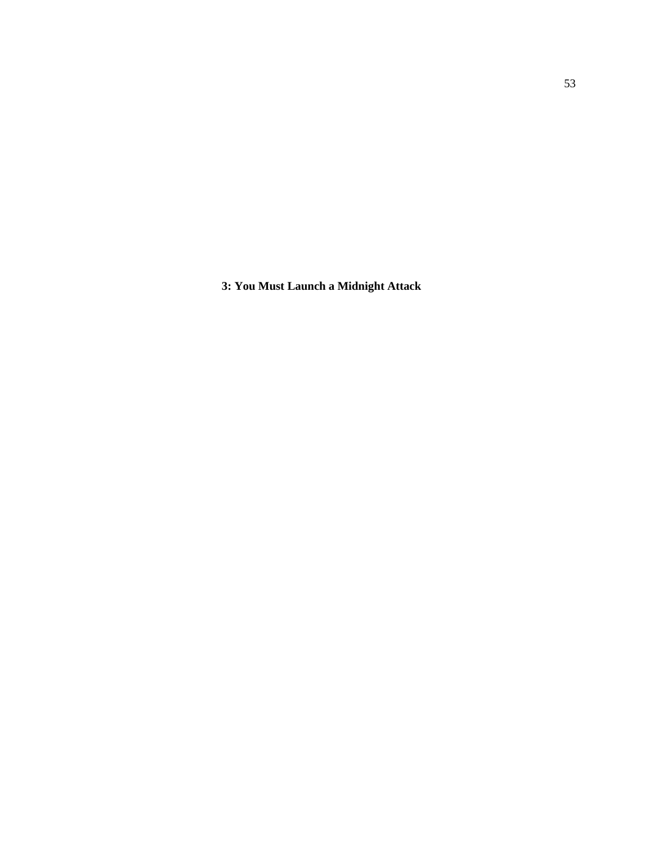**3: You Must Launch a Midnight Attack**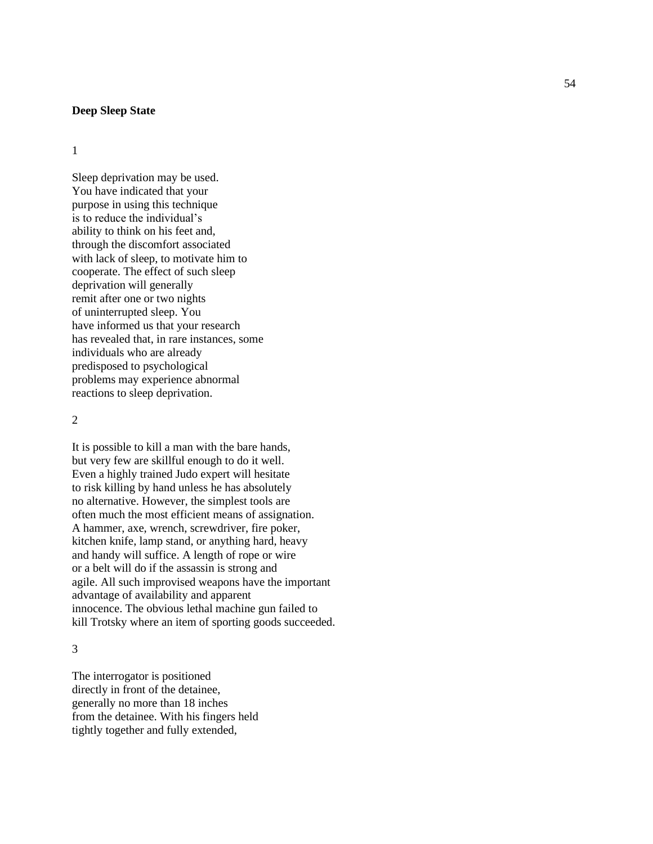# **Deep Sleep State**

1

Sleep deprivation may be used. You have indicated that your purpose in using this technique is to reduce the individual's ability to think on his feet and, through the discomfort associated with lack of sleep, to motivate him to cooperate. The effect of such sleep deprivation will generally remit after one or two nights of uninterrupted sleep. You have informed us that your research has revealed that, in rare instances, some individuals who are already predisposed to psychological problems may experience abnormal reactions to sleep deprivation.

# $\mathcal{L}$

It is possible to kill a man with the bare hands, but very few are skillful enough to do it well. Even a highly trained Judo expert will hesitate to risk killing by hand unless he has absolutely no alternative. However, the simplest tools are often much the most efficient means of assignation. A hammer, axe, wrench, screwdriver, fire poker, kitchen knife, lamp stand, or anything hard, heavy and handy will suffice. A length of rope or wire or a belt will do if the assassin is strong and agile. All such improvised weapons have the important advantage of availability and apparent innocence. The obvious lethal machine gun failed to kill Trotsky where an item of sporting goods succeeded. 3

The interrogator is positioned directly in front of the detainee, generally no more than 18 inches from the detainee. With his fingers held tightly together and fully extended,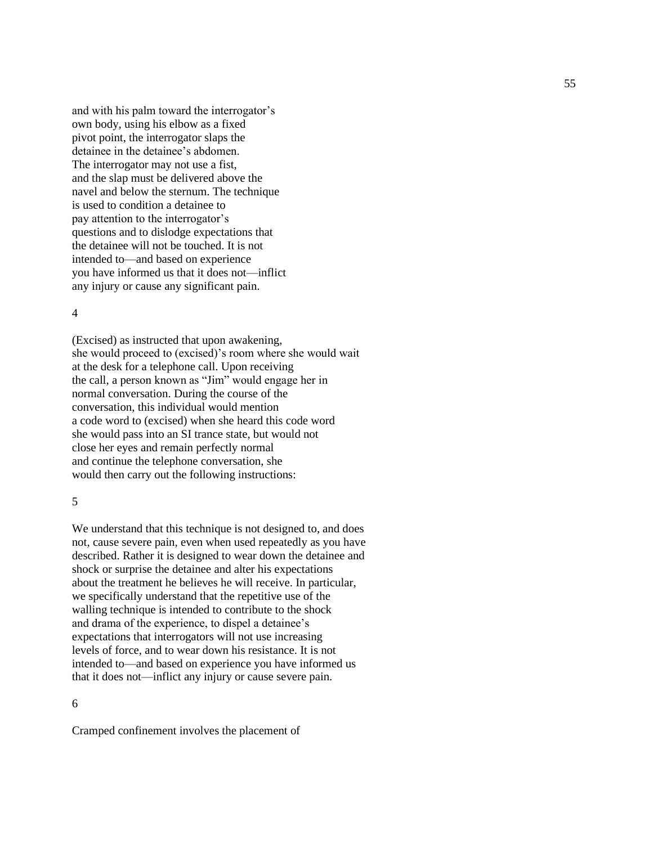and with his palm toward the interrogator's own body, using his elbow as a fixed pivot point, the interrogator slaps the detainee in the detainee's abdomen. The interrogator may not use a fist, and the slap must be delivered above the navel and below the sternum. The technique is used to condition a detainee to pay attention to the interrogator's questions and to dislodge expectations that the detainee will not be touched. It is not intended to —and based on experience you have informed us that it does not —inflict any injury or cause any significant pain. 4

(Excised) as instructed that upon awakening, she would proceed to (excised)'s room where she would wait at the desk for a telephone call. Upon receiving the call, a person known as "Jim" would engage her in normal conversation. During the course of the conversation, this individual would mention a code word to (excised) when she heard this code word she would pass into an SI trance state, but would not close her eyes and remain perfectly normal and continue the telephone conversation, she would then carry out the following instructions: 5

We understand that this technique is not designed to, and does not, cause severe pain, even when used repeatedly as you have described. Rather it is designed to wear down the detainee and shock or surprise the detainee and alter his expectations about the treatment he believes he will receive. In particular, we specifically understand that the repetitive use of the walling technique is intended to contribute to the shock and drama of the experience, to dispel a detainee's expectations that interrogators will not use increasing levels of force, and to wear down his resistance. It is not intended to —and based on experience you have informed us that it does not—inflict any injury or cause severe pain.

# 6

Cramped confinement involves the placement of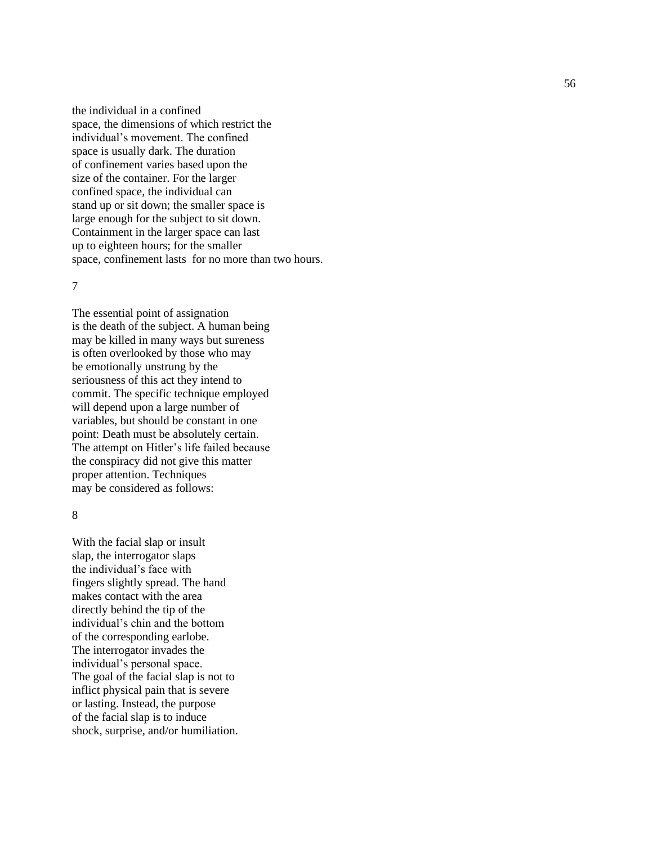the individual in a confined space, the dimensions of which restrict the individual's movement. The confined space is usually dark. The duration of confinement varies based upon the size of the container. For the larger confined space, the individual can stand up or sit down; the smaller space is large enough for the subject to sit down. Containment in the larger space can last up to eighteen hours; for the smaller space, confinement lasts for no more than two hours.

### 7

The essential point of assignation is the death of the subject. A human being may be killed in many ways but sureness is often overlooked by those who may be emotionally unstrung by the seriousness of this act they intend to commit. The specific technique employed will depend upon a large number of variables, but should be constant in one point: Death must be absolutely certain. The attempt on Hitler's life failed because the conspiracy did not give this matter proper attention. Techniques may be considered as follows:

#### 8

With the facial slap or insult slap, the interrogator slaps the individual's face with fingers slightly spread. The hand makes contact with the area directly behind the tip of the individual's chin and the bottom of the corresponding earlobe. The interrogator invades the individual's personal space. The goal of the facial slap is not to inflict physical pain that is severe or lasting. Instead, the purpose of the facial slap is to induce shock, surprise, and/or humiliation.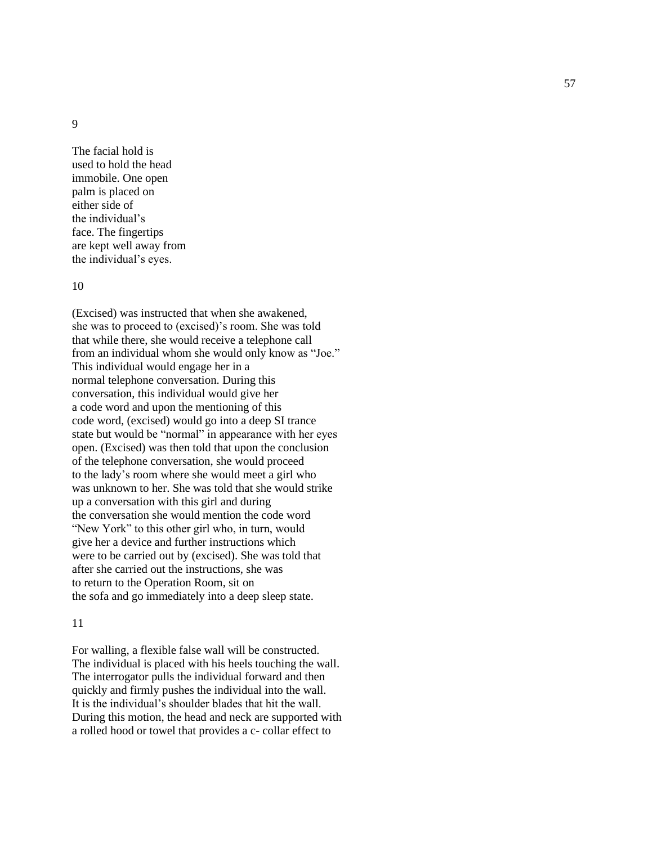### 9

The facial hold is used to hold the head immobile. One open palm is placed on either side of the individual's face. The fingertips are kept well away from the individual's eyes.

#### 10

(Excised) was instructed that when she awakened, she was to proceed to (excised)'s room. She was told that while there, she would receive a telephone call from an individual whom she would only know as "Joe." This individual would engage her in a normal telephone conversation. During this conversation, this individual would give her a code word and upon the mentioning of this code word, (excised) would go into a deep SI trance state but would be "normal" in appearance with her eyes open. (Excised) was then told that upon the conclusion of the telephone conversation, she would proceed to the lady's room where she would meet a girl who was unknown to her. She was told that she would strike up a conversation with this girl and during the conversation she would mention the code word "New York" to this other girl who, in turn, would give her a device and further instructions which were to be carried out by (excised). She was told that after she carried out the instructions, she was to return to the Operation Room, sit on the sofa and go immediately into a deep sleep state.

#### 11

For walling, a flexible false wall will be constructed. The individual is placed with his heels touching the wall. The interrogator pulls the individual forward and then quickly and firmly pushes the individual into the wall. It is the individual's shoulder blades that hit the wall. During this motion, the head and neck are supported with a rolled hood or towel that provides a c - collar effect to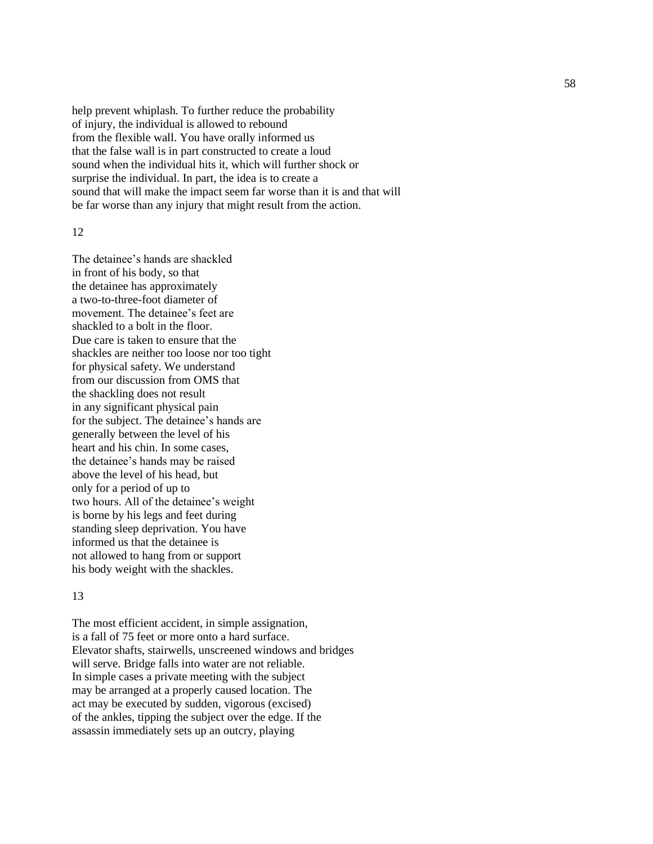help prevent whiplash. To further reduce the probability of injury, the individual is allowed to rebound from the flexible wall. You have orally informed us that the false wall is in part constructed to create a loud sound when the individual hits it, which will further shock or surprise the individual. In part, the idea is to create a sound that will make the impact seem far worse than it is and that will be far worse than any injury that might result from the action.

#### 12

The detainee's hands are shackled in front of his body, so that the detainee has approximately a two-to-three-foot diameter of movement. The detainee's feet are shackled to a bolt in the floor. Due care is taken to ensure that the shackles are neither too loose nor too tight for physical safety. We understand from our discussion from OMS that the shackling does not result in any significant physical pain for the subject. The detainee's hands are generally between the level of his heart and his chin. In some cases, the detainee's hands may be raised above the level of his head, but only for a period of up to two hours. All of the detainee's weight is borne by his legs and feet during standing sleep deprivation. You have informed us that the detainee is not allowed to hang from or support his body weight with the shackles.

# 13

The most efficient accident, in simple assignation, is a fall of 75 feet or more onto a hard surface. Elevator shafts, stairwells, unscreened windows and bridges will serve. Bridge falls into water are not reliable. In simple cases a private meeting with the subject may be arranged at a properly caused location. The act may be executed by sudden, vigorous (excised) of the ankles, tipping the subject over the edge. If the assassin immediately sets up an outcry, playing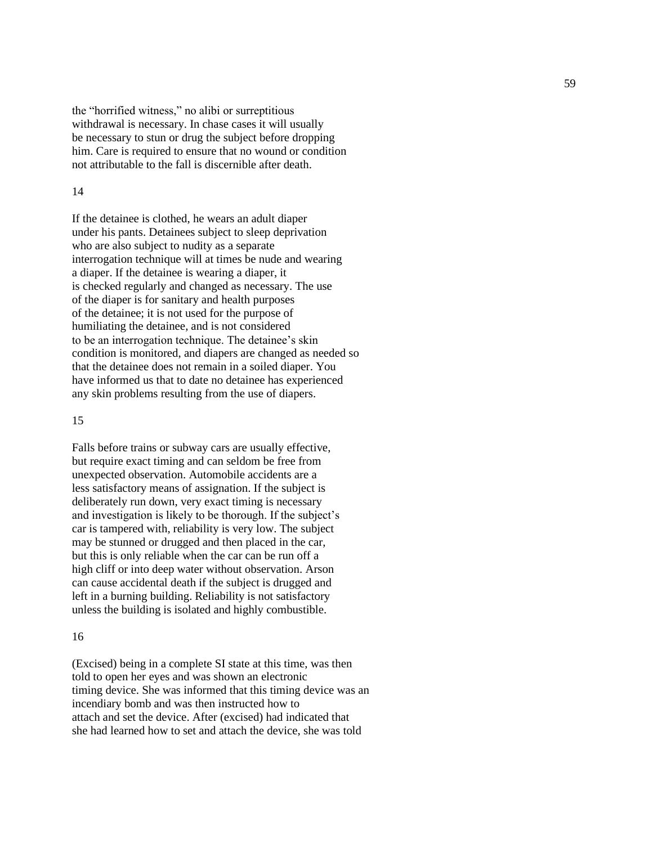the "horrified witness," no alibi or surreptitious withdrawal is necessary. In chase cases it will usually be necessary to stun or drug the subject before dropping him. Care is required to ensure that no wound or condition not attributable to the fall is discernible after death.

#### 14

If the detainee is clothed, he wears an adult diaper under his pants. Detainees subject to sleep deprivation who are also subject to nudity as a separate interrogation technique will at times be nude and wearing a diaper. If the detainee is wearing a diaper, it is checked regularly and changed as necessary. The use of the diaper is for sanitary and health purposes of the detainee; it is not used for the purpose of humiliating the detainee, and is not considered to be an interrogation technique. The detainee's skin condition is monitored, and diapers are changed as needed so that the detainee does not remain in a soiled diaper. You have informed us that to date no detainee has experienced any skin problems resulting from the use of diapers.

## 15

Falls before trains or subway cars are usually effective, but require exact timing and can seldom be free from unexpected observation. Automobile accidents are a less satisfactory means of assignation. If the subject is deliberately run down, very exact timing is necessary and investigation is likely to be thorough. If the subject's car is tampered with, reliability is very low. The subject may be stunned or drugged and then placed in the car, but this is only reliable when the car can be run off a high cliff or into deep water without observation. Arson can cause accidental death if the subject is drugged and left in a burning building. Reliability is not satisfactory unless the building is isolated and highly combustible.

# 16

(Excised) being in a complete SI state at this time, was then told to open her eyes and was shown an electronic timing device. She was informed that this timing device was an incendiary bomb and was then instructed how to attach and set the device. After (excised) had indicated that she had learned how to set and attach the device, she was told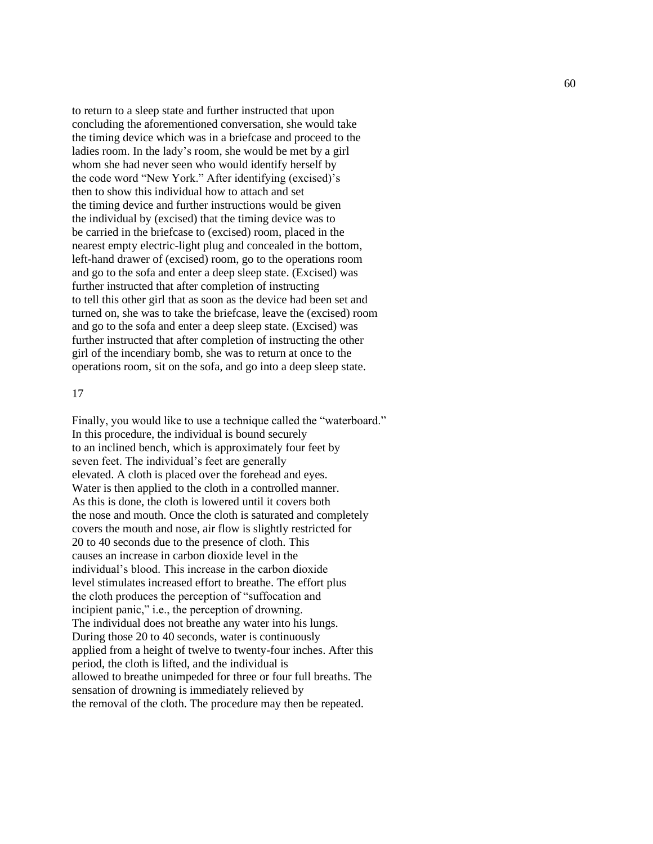to return to a sleep state and further instructed that upon concluding the aforementioned conversation, she would take the timing device which was in a briefcase and proceed to the ladies room. In the lady's room, she would be met by a girl whom she had never seen who would identify herself by the code word "New York." After identifying (excised)'s then to show this individual how to attach and set the timing device and further instructions would be given the individual by (excised) that the timing device was to be carried in the briefcase to (excised) room, placed in the nearest empty electric -light plug and concealed in the bottom, left -hand drawer of (excised) room, go to the operations room and go to the sofa and enter a deep sleep state. (Excised) was further instructed that after completion of instructing to tell this other girl that as soon as the device had been set and turned on, she was to take the briefcase, leave the (excised) room and go to the sofa and enter a deep sleep state. (Excised) was further instructed that after completion of instructing the other girl of the incendiary bomb, she was to return at once to the operations room, sit on the sofa, and go into a deep sleep state.

#### 17

Finally, you would like to use a technique called the "waterboard." In this procedure, the individual is bound securely to an inclined bench, which is approximately four feet by seven feet. The individual's feet are generally elevated. A cloth is placed over the forehead and eyes. Water is then applied to the cloth in a controlled manner. As this is done, the cloth is lowered until it covers both the nose and mouth. Once the cloth is saturated and completely covers the mouth and nose, air flow is slightly restricted for 20 to 40 seconds due to the presence of cloth. This causes an increase in carbon dioxide level in the individual's blood. This increase in the carbon dioxide level stimulates increased effort to breathe. The effort plus the cloth produces the perception of "suffocation and incipient panic," i.e., the perception of drowning. The individual does not breathe any water into his lungs. During those 20 to 40 seconds, water is continuously applied from a height of twelve to twenty -four inches. After this period, the cloth is lifted, and the individual is allowed to breathe unimpeded for three or four full breaths. The sensation of drowning is immediately relieved by the removal of the cloth. The procedure may then be repeated.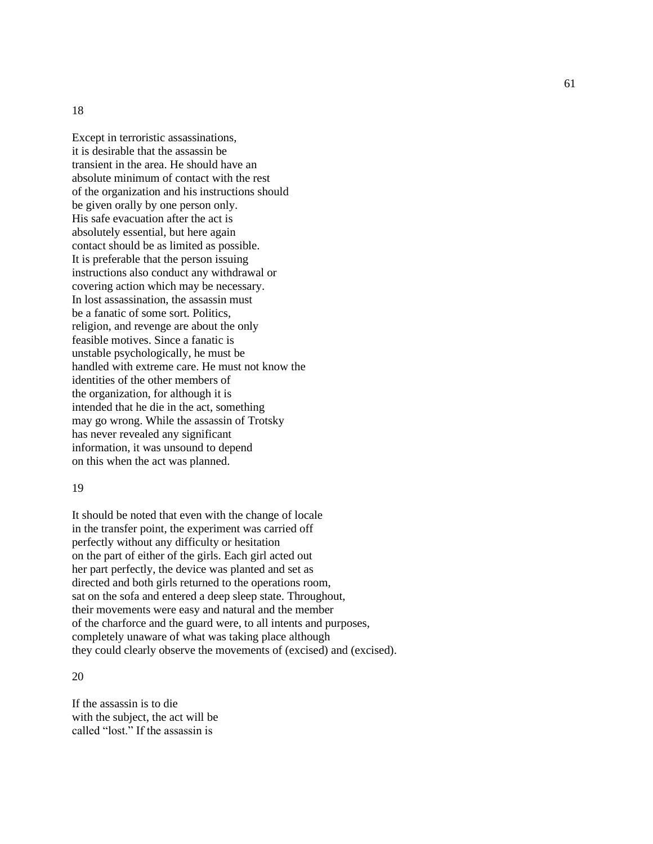18

Except in terroristic assassinations, it is desirable that the assassin be transient in the area. He should have an absolute minimum of contact with the rest of the organization and his instructions should be given orally by one person only. His safe evacuation after the act is absolutely essential, but here again contact should be as limited as possible. It is preferable that the person issuing instructions also conduct any withdrawal or covering action which may be necessary. In lost assassination, the assassin must be a fanatic of some sort. Politics, religion, and revenge are about the only feasible motives. Since a fanatic is unstable psychologically, he must be handled with extreme care. He must not know the identities of the other members of the organization, for although it is intended that he die in the act, something may go wrong. While the assassin of Trotsky has never revealed any significant information, it was unsound to depend on this when the act was planned.

## 19

It should be noted that even with the change of locale in the transfer point, the experiment was carried off perfectly without any difficulty or hesitation on the part of either of the girls. Each girl acted out her part perfectly, the device was planted and set as directed and both girls returned to the operations room, sat on the sofa and entered a deep sleep state. Throughout, their movements were easy and natural and the member of the charforce and the guard were, to all intents and purposes, completely unaware of what was taking place although they could clearly observe the movements of (excised) and (excised).

# 20

If the assassin is to die with the subject, the act will be called "lost." If the assassin is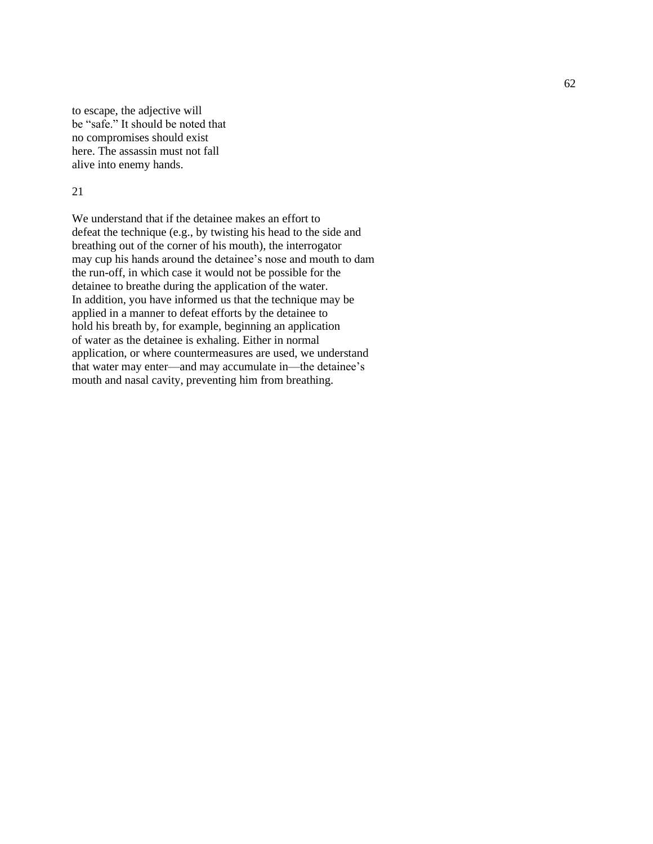to escape, the adjective will be "safe." It should be noted that no compromises should exist here. The assassin must not fall alive into enemy hands.

# 21

We understand that if the detainee makes an effort to defeat the technique (e.g., by twisting his head to the side and breathing out of the corner of his mouth), the interrogator may cup his hands around the detainee's nose and mouth to dam the run -off, in which case it would not be possible for the detainee to breathe during the application of the water. In addition, you have informed us that the technique may be applied in a manner to defeat efforts by the detainee to hold his breath by, for example, beginning an application of water as the detainee is exhaling. Either in normal application, or where countermeasures are used, we understand that water may enter—and may accumulate in —the detainee's mouth and nasal cavity, preventing him from breathing.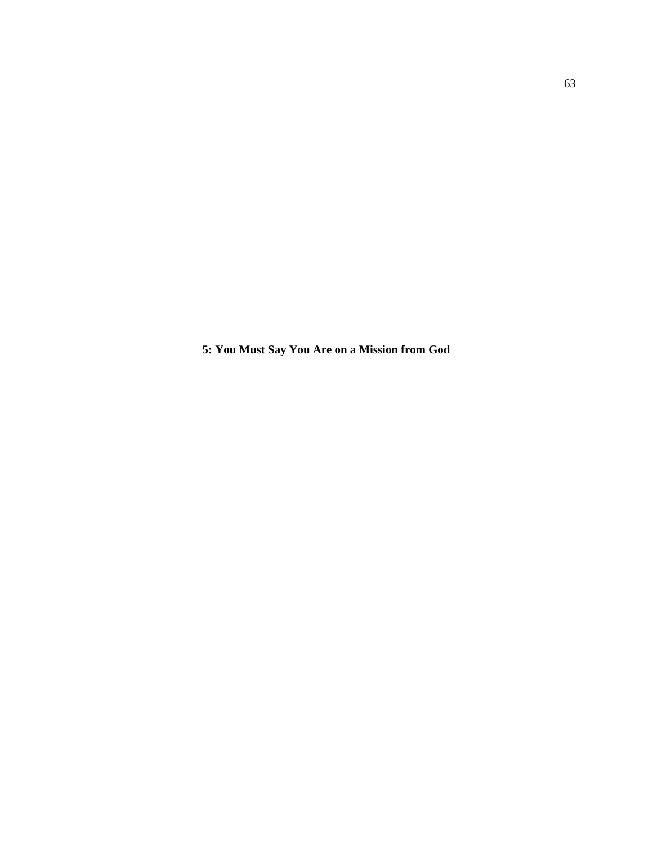**5: You Must Say You Are on a Mission from God**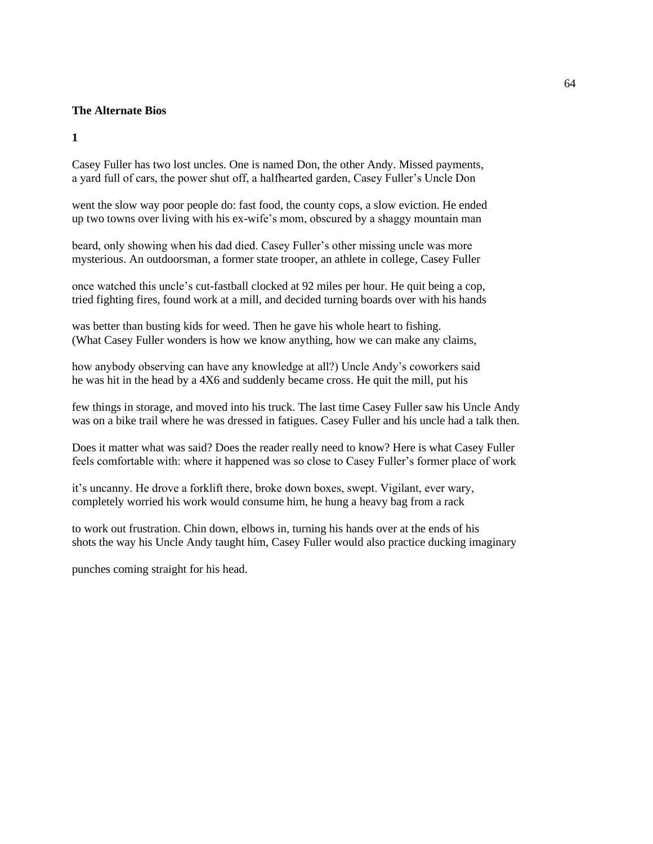# **The Alternate Bios**

**1**

Casey Fuller has two lost uncles. One is named Don, the other Andy. Missed payments, a yard full of cars, the power shut off, a halfhearted garden, Casey Fuller's Uncle Don

went the slow way poor people do: fast food, the county cops, a slow eviction. He ended up two towns over living with his ex-wife's mom, obscured by a shaggy mountain man

beard, only showing when his dad died. Casey Fuller's other missing uncle was more mysterious. An outdoorsman, a former state trooper, an athlete in college, Casey Fuller

once watched this uncle's cut-fastball clocked at 92 miles per hour. He quit being a cop, tried fighting fires, found work at a mill, and decided turning boards over with his hands

was better than busting kids for weed. Then he gave his whole heart to fishing. (What Casey Fuller wonders is how we know anything, how we can make any claims,

how anybody observing can have any knowledge at all?) Uncle Andy's coworkers said he was hit in the head by a 4X6 and suddenly became cross. He quit the mill, put his

few things in storage, and moved into his truck. The last time Casey Fuller saw his Uncle Andy was on a bike trail where he was dressed in fatigues. Casey Fuller and his uncle had a talk then.

Does it matter what was said? Does the reader really need to know? Here is what Casey Fuller feels comfortable with: where it happened was so close to Casey Fuller's former place of work

it's uncanny. He drove a forklift there, broke down boxes, swept. Vigilant, ever wary, completely worried his work would consume him, he hung a heavy bag from a rack

to work out frustration. Chin down, elbows in, turning his hands over at the ends of his shots the way his Uncle Andy taught him, Casey Fuller would also practice ducking imaginary

punches coming straight for his head.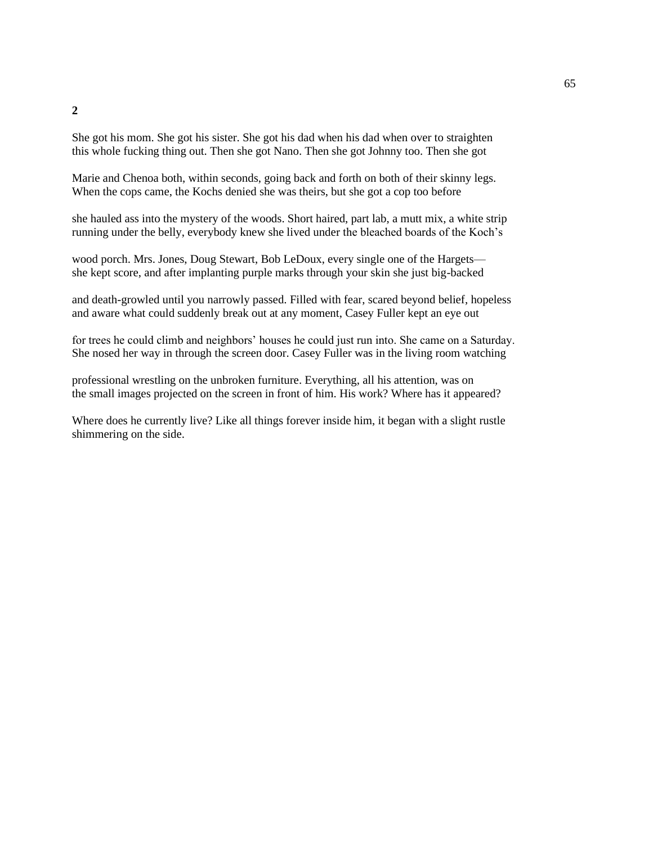She got his mom. She got his sister. She got his dad when his dad when over to straighten this whole fucking thing out. Then she got Nano. Then she got Johnny too. Then she got

Marie and Chenoa both, within seconds, going back and forth on both of their skinny legs. When the cops came, the Kochs denied she was theirs, but she got a cop too before

she hauled ass into the mystery of the woods. Short haired, part lab, a mutt mix, a white strip running under the belly, everybody knew she lived under the bleached boards of the Koch's

wood porch. Mrs. Jones, Doug Stewart, Bob LeDoux, every single one of the Hargets she kept score, and after implanting purple marks through your skin she just big-backed

and death-growled until you narrowly passed. Filled with fear, scared beyond belief, hopeless and aware what could suddenly break out at any moment, Casey Fuller kept an eye out

for trees he could climb and neighbors' houses he could just run into. She came on a Saturday. She nosed her way in through the screen door. Casey Fuller was in the living room watching

professional wrestling on the unbroken furniture. Everything, all his attention, was on the small images projected on the screen in front of him. His work? Where has it appeared?

Where does he currently live? Like all things forever inside him, it began with a slight rustle shimmering on the side.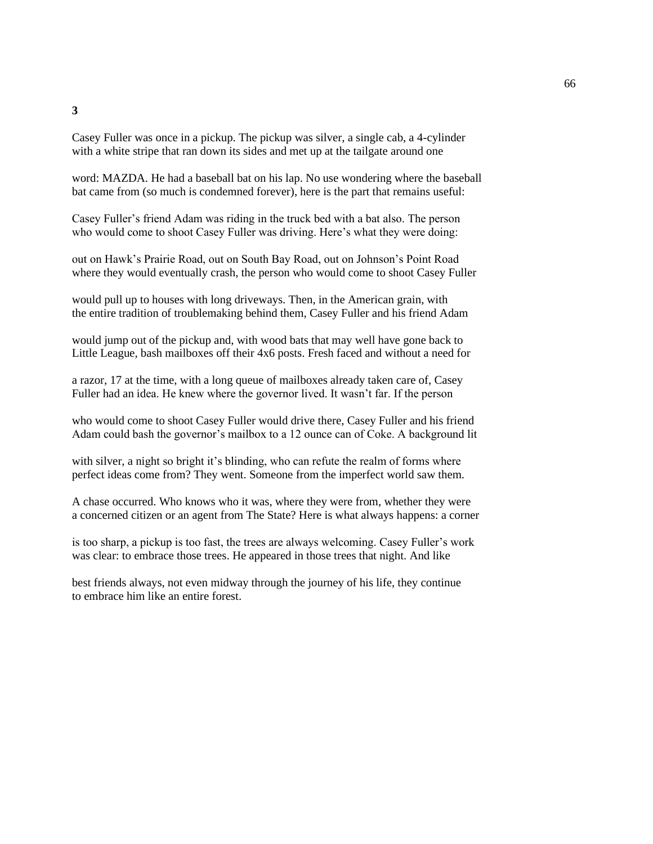Casey Fuller was once in a pickup. The pickup was silver, a single cab, a 4-cylinder with a white stripe that ran down its sides and met up at the tailgate around one

word: MAZDA. He had a baseball bat on his lap. No use wondering where the baseball bat came from (so much is condemned forever), here is the part that remains useful:

Casey Fuller's friend Adam was riding in the truck bed with a bat also. The person who would come to shoot Casey Fuller was driving. Here's what they were doing:

out on Hawk's Prairie Road, out on South Bay Road, out on Johnson's Point Road where they would eventually crash, the person who would come to shoot Casey Fuller

would pull up to houses with long driveways. Then, in the American grain, with the entire tradition of troublemaking behind them, Casey Fuller and his friend Adam

would jump out of the pickup and, with wood bats that may well have gone back to Little League, bash mailboxes off their 4x6 posts. Fresh faced and without a need for

a razor, 17 at the time, with a long queue of mailboxes already taken care of, Casey Fuller had an idea. He knew where the governor lived. It wasn't far. If the person

who would come to shoot Casey Fuller would drive there, Casey Fuller and his friend Adam could bash the governor's mailbox to a 12 ounce can of Coke. A background lit

with silver, a night so bright it's blinding, who can refute the realm of forms where perfect ideas come from? They went. Someone from the imperfect world saw them.

A chase occurred. Who knows who it was, where they were from, whether they were a concerned citizen or an agent from The State? Here is what always happens: a corner

is too sharp, a pickup is too fast, the trees are always welcoming. Casey Fuller's work was clear: to embrace those trees. He appeared in those trees that night. And like

best friends always, not even midway through the journey of his life, they continue to embrace him like an entire forest.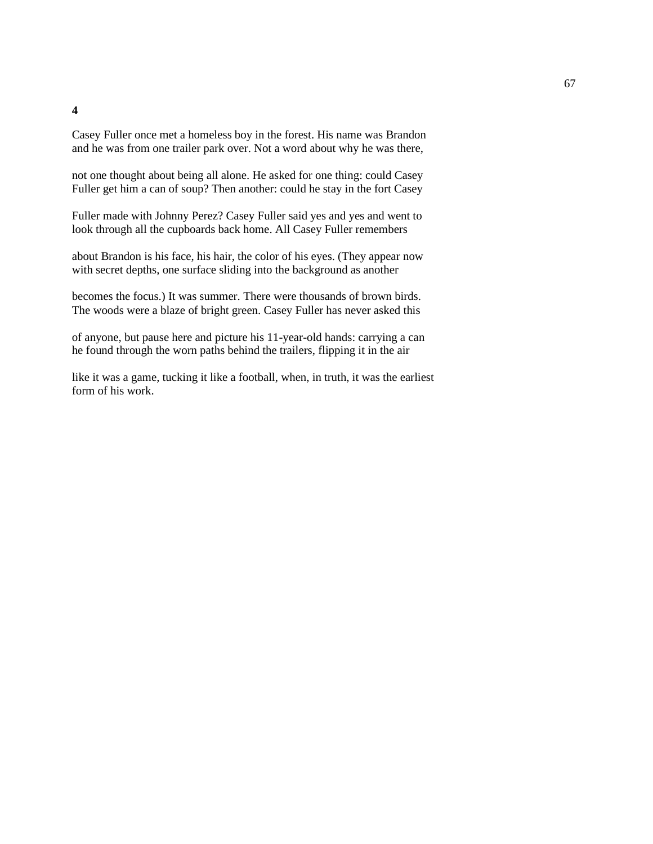#### **4**

Casey Fuller once met a homeless boy in the forest. His name was Brandon and he was from one trailer park over. Not a word about why he was there,

not one thought about being all alone. He asked for one thing: could Casey Fuller get him a can of soup? Then another: could he stay in the fort Casey

Fuller made with Johnny Perez? Casey Fuller said yes and yes and went to look through all the cupboards back home. All Casey Fuller remembers

about Brandon is his face, his hair, the color of his eyes. (They appear now with secret depths, one surface sliding into the background as another

becomes the focus.) It was summer. There were thousands of brown birds. The woods were a blaze of bright green. Casey Fuller has never asked this

of anyone, but pause here and picture his 11-year-old hands: carrying a can he found through the worn paths behind the trailers, flipping it in the air

like it was a game, tucking it like a football, when, in truth, it was the earliest form of his work.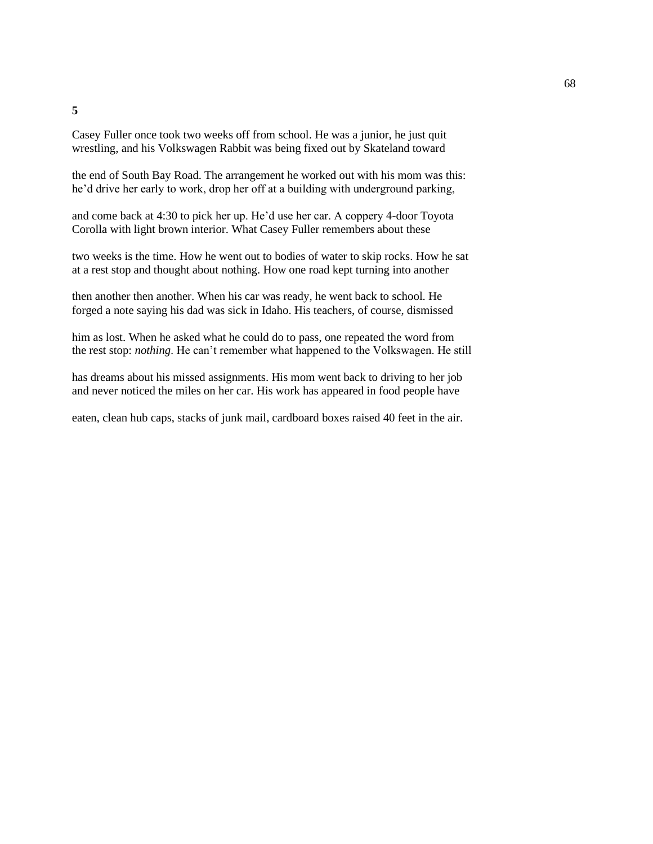**5**

Casey Fuller once took two weeks off from school. He was a junior, he just quit wrestling, and his Volkswagen Rabbit was being fixed out by Skateland toward

the end of South Bay Road. The arrangement he worked out with his mom was this: he'd drive her early to work, drop her off at a building with underground parking,

and come back at 4:30 to pick her up. He'd use her car. A coppery 4-door Toyota Corolla with light brown interior. What Casey Fuller remembers about these

two weeks is the time. How he went out to bodies of water to skip rocks. How he sat at a rest stop and thought about nothing. How one road kept turning into another

then another then another. When his car was ready, he went back to school. He forged a note saying his dad was sick in Idaho. His teachers, of course, dismissed

him as lost. When he asked what he could do to pass, one repeated the word from the rest stop: *nothing*. He can't remember what happened to the Volkswagen. He still

has dreams about his missed assignments. His mom went back to driving to her job and never noticed the miles on her car. His work has appeared in food people have

eaten, clean hub caps, stacks of junk mail, cardboard boxes raised 40 feet in the air.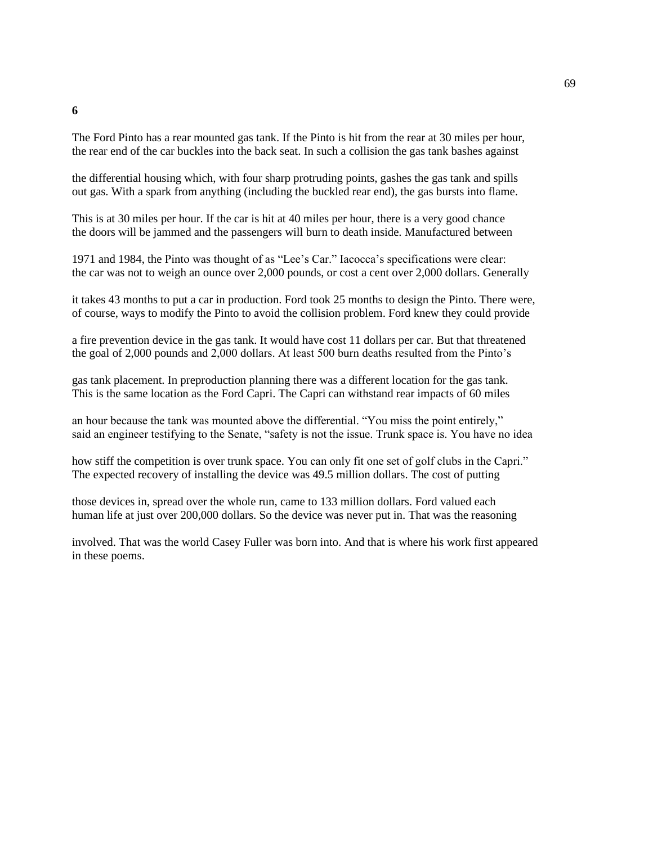The Ford Pinto has a rear mounted gas tank. If the Pinto is hit from the rear at 30 miles per hour, the rear end of the car buckles into the back seat. In such a collision the gas tank bashes against

the differential housing which, with four sharp protruding points, gashes the gas tank and spills out gas. With a spark from anything (including the buckled rear end), the gas bursts into flame.

This is at 30 miles per hour. If the car is hit at 40 miles per hour, there is a very good chance the doors will be jammed and the passengers will burn to death inside. Manufactured between

1971 and 1984, the Pinto was thought of as "Lee's Car." Iacocca's specifications were clear: the car was not to weigh an ounce over 2,000 pounds, or cost a cent over 2,000 dollars. Generally

it takes 43 months to put a car in production. Ford took 25 months to design the Pinto. There were, of course, ways to modify the Pinto to avoid the collision problem. Ford knew they could provide

a fire prevention device in the gas tank. It would have cost 11 dollars per car. But that threatened the goal of 2,000 pounds and 2,000 dollars. At least 500 burn deaths resulted from the Pinto's

gas tank placement. In preproduction planning there was a different location for the gas tank. This is the same location as the Ford Capri. The Capri can withstand rear impacts of 60 miles

an hour because the tank was mounted above the differential. "You miss the point entirely," said an engineer testifying to the Senate, "safety is not the issue. Trunk space is. You have no idea

how stiff the competition is over trunk space. You can only fit one set of golf clubs in the Capri." The expected recovery of installing the device was 49.5 million dollars. The cost of putting

those devices in, spread over the whole run, came to 133 million dollars. Ford valued each human life at just over 200,000 dollars. So the device was never put in. That was the reasoning

involved. That was the world Casey Fuller was born into. And that is where his work first appeared in these poems.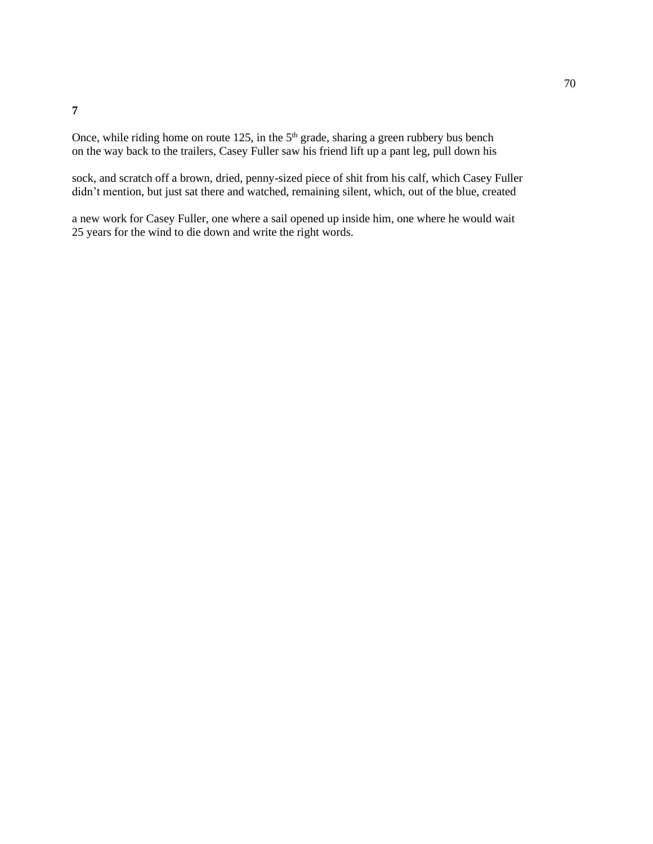# **7**

Once, while riding home on route 125, in the  $5<sup>th</sup>$  grade, sharing a green rubbery bus bench on the way back to the trailers, Casey Fuller saw his friend lift up a pant leg, pull down his

sock, and scratch off a brown, dried, penny-sized piece of shit from his calf, which Casey Fuller didn't mention, but just sat there and watched, remaining silent, which, out of the blue, created

a new work for Casey Fuller, one where a sail opened up inside him, one where he would wait 25 years for the wind to die down and write the right words.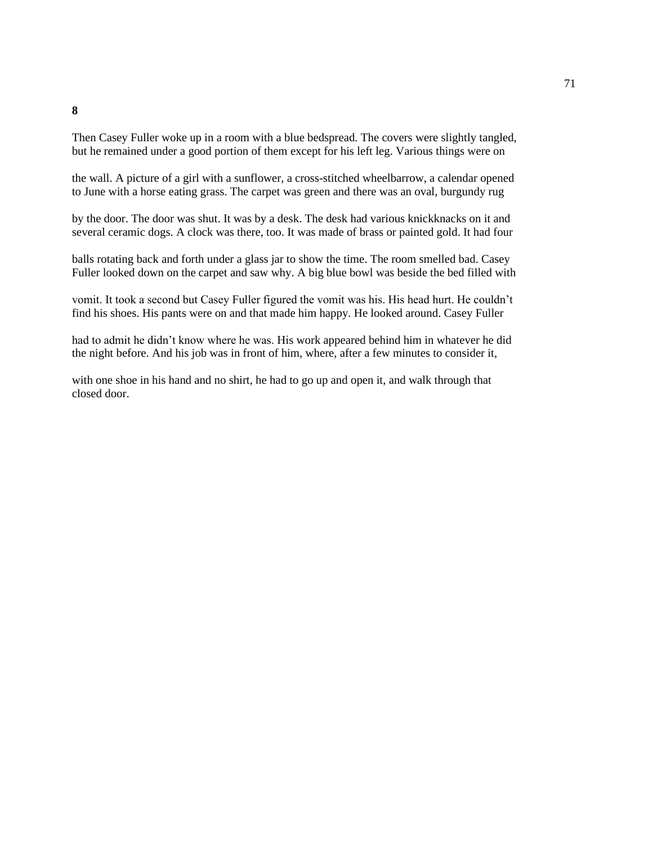# Then Casey Fuller woke up in a room with a blue bedspread. The covers were slightly tangled, but he remained under a good portion of them except for his left leg. Various things were on

the wall. A picture of a girl with a sunflower, a cross-stitched wheelbarrow, a calendar opened to June with a horse eating grass. The carpet was green and there was an oval, burgundy rug

by the door. The door was shut. It was by a desk. The desk had various knickknacks on it and several ceramic dogs. A clock was there, too. It was made of brass or painted gold. It had four

balls rotating back and forth under a glass jar to show the time. The room smelled bad. Casey Fuller looked down on the carpet and saw why. A big blue bowl was beside the bed filled with

vomit. It took a second but Casey Fuller figured the vomit was his. His head hurt. He couldn't find his shoes. His pants were on and that made him happy. He looked around. Casey Fuller

had to admit he didn't know where he was. His work appeared behind him in whatever he did the night before. And his job was in front of him, where, after a few minutes to consider it,

with one shoe in his hand and no shirt, he had to go up and open it, and walk through that closed door.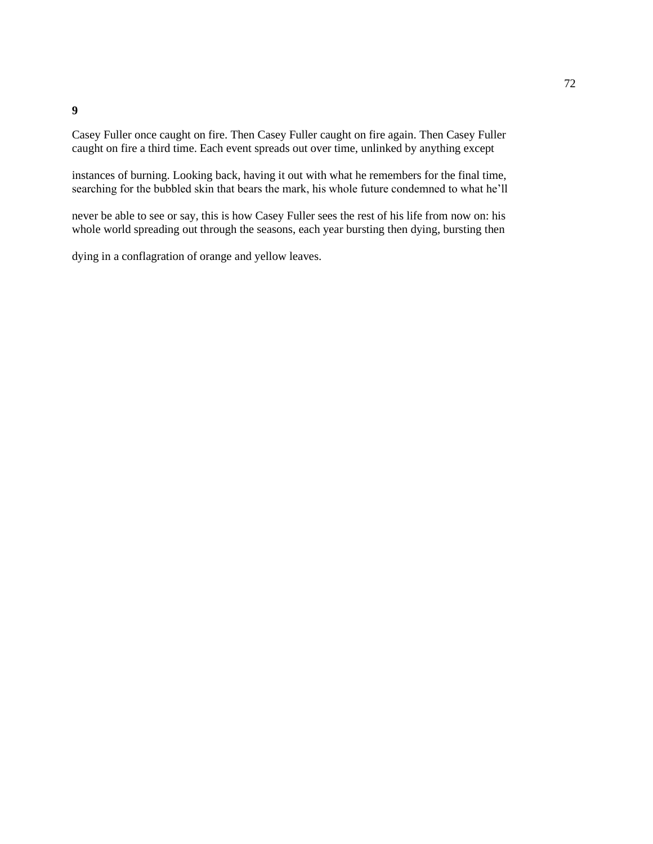Casey Fuller once caught on fire. Then Casey Fuller caught on fire again. Then Casey Fuller caught on fire a third time. Each event spreads out over time, unlinked by anything except

instances of burning. Looking back, having it out with what he remembers for the final time, searching for the bubbled skin that bears the mark, his whole future condemned to what he'll

never be able to see or say, this is how Casey Fuller sees the rest of his life from now on: his whole world spreading out through the seasons, each year bursting then dying, bursting then

dying in a conflagration of orange and yellow leaves.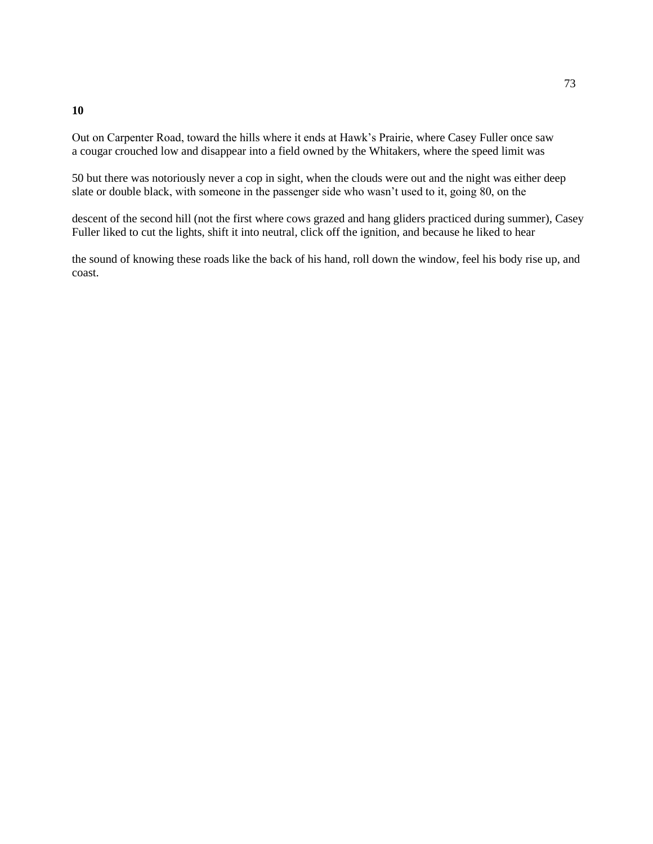Out on Carpenter Road, toward the hills where it ends at Hawk's Prairie, where Casey Fuller once saw a cougar crouched low and disappear into a field owned by the Whitakers, where the speed limit was

50 but there was notoriously never a cop in sight, when the clouds were out and the night was either deep slate or double black, with someone in the passenger side who wasn't used to it, going 80, on the

descent of the second hill (not the first where cows grazed and hang gliders practiced during summer), Casey Fuller liked to cut the lights, shift it into neutral, click off the ignition, and because he liked to hear

the sound of knowing these roads like the back of his hand, roll down the window, feel his body rise up, and coast.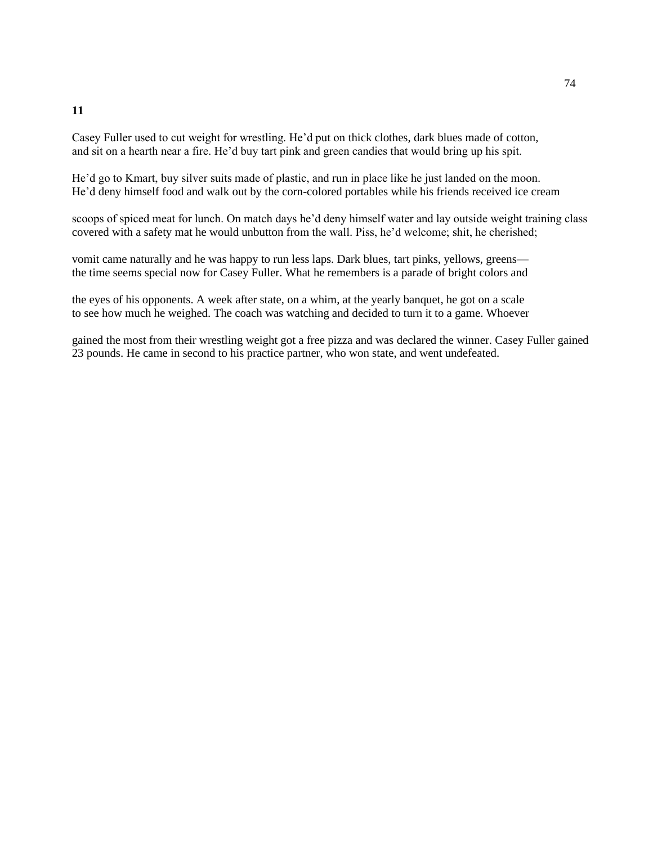Casey Fuller used to cut weight for wrestling. He'd put on thick clothes, dark blues made of cotton, and sit on a hearth near a fire. He'd buy tart pink and green candies that would bring up his spit.

He'd go to Kmart, buy silver suits made of plastic, and run in place like he just landed on the moon. He'd deny himself food and walk out by the corn-colored portables while his friends received ice cream

scoops of spiced meat for lunch. On match days he'd deny himself water and lay outside weight training class covered with a safety mat he would unbutton from the wall. Piss, he'd welcome; shit, he cherished;

vomit came naturally and he was happy to run less laps. Dark blues, tart pinks, yellows, greens the time seems special now for Casey Fuller. What he remembers is a parade of bright colors and

the eyes of his opponents. A week after state, on a whim, at the yearly banquet, he got on a scale to see how much he weighed. The coach was watching and decided to turn it to a game. Whoever

gained the most from their wrestling weight got a free pizza and was declared the winner. Casey Fuller gained 23 pounds. He came in second to his practice partner, who won state, and went undefeated.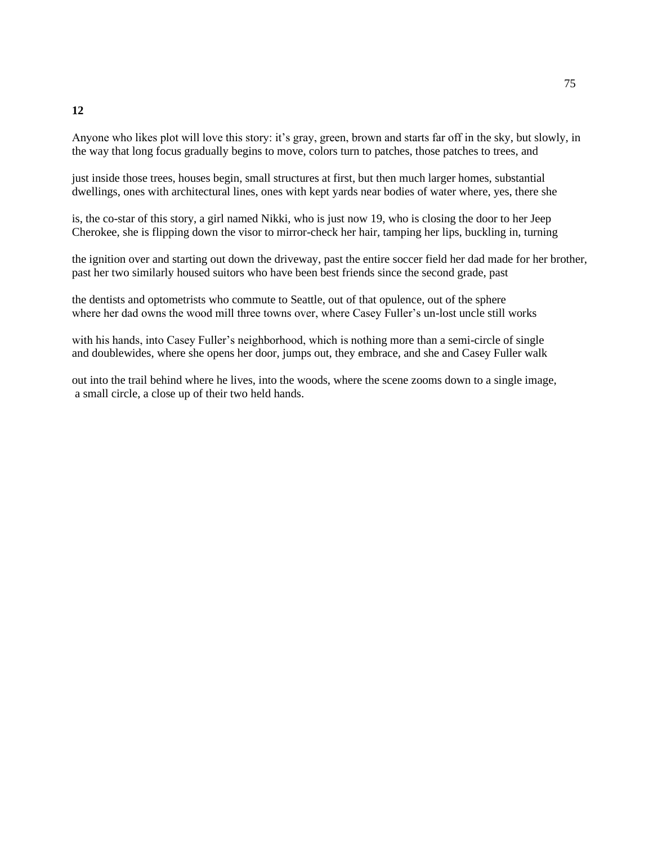Anyone who likes plot will love this story: it's gray, green, brown and starts far off in the sky, but slowly, in the way that long focus gradually begins to move, colors turn to patches, those patches to trees, and

just inside those trees, houses begin, small structures at first, but then much larger homes, substantial dwellings, ones with architectural lines, ones with kept yards near bodies of water where, yes, there she

is, the co-star of this story, a girl named Nikki, who is just now 19, who is closing the door to her Jeep Cherokee, she is flipping down the visor to mirror-check her hair, tamping her lips, buckling in, turning

the ignition over and starting out down the driveway, past the entire soccer field her dad made for her brother, past her two similarly housed suitors who have been best friends since the second grade, past

the dentists and optometrists who commute to Seattle, out of that opulence, out of the sphere where her dad owns the wood mill three towns over, where Casey Fuller's un-lost uncle still works

with his hands, into Casey Fuller's neighborhood, which is nothing more than a semi-circle of single and doublewides, where she opens her door, jumps out, they embrace, and she and Casey Fuller walk

out into the trail behind where he lives, into the woods, where the scene zooms down to a single image, a small circle, a close up of their two held hands.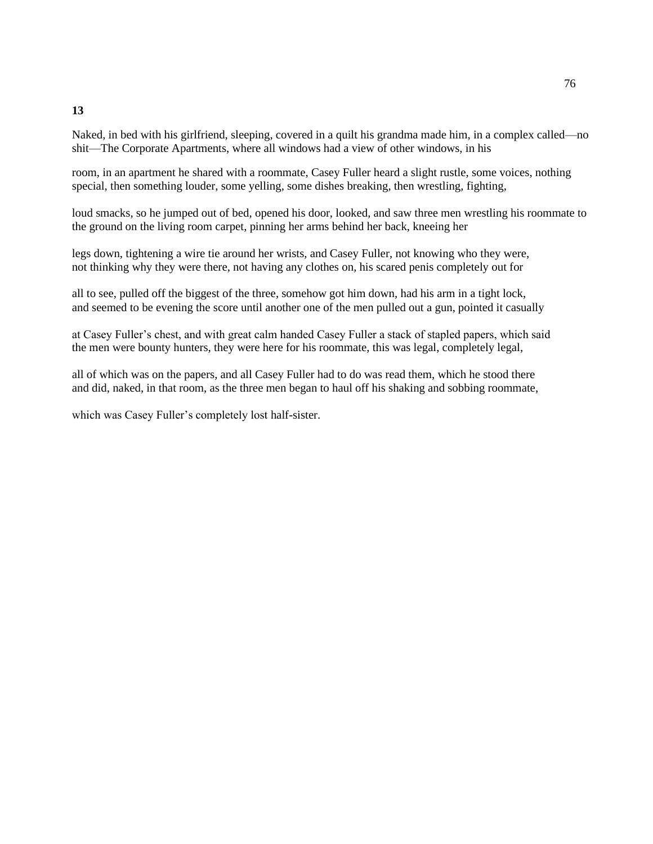Naked, in bed with his girlfriend, sleeping, covered in a quilt his grandma made him, in a complex called—no shit—The Corporate Apartments, where all windows had a view of other windows, in his

room, in an apartment he shared with a roommate, Casey Fuller heard a slight rustle, some voices, nothing special, then something louder, some yelling, some dishes breaking, then wrestling, fighting,

loud smacks, so he jumped out of bed, opened his door, looked, and saw three men wrestling his roommate to the ground on the living room carpet, pinning her arms behind her back, kneeing her

legs down, tightening a wire tie around her wrists, and Casey Fuller, not knowing who they were, not thinking why they were there, not having any clothes on, his scared penis completely out for

all to see, pulled off the biggest of the three, somehow got him down, had his arm in a tight lock, and seemed to be evening the score until another one of the men pulled out a gun, pointed it casually

at Casey Fuller's chest, and with great calm handed Casey Fuller a stack of stapled papers, which said the men were bounty hunters, they were here for his roommate, this was legal, completely legal,

all of which was on the papers, and all Casey Fuller had to do was read them, which he stood there and did, naked, in that room, as the three men began to haul off his shaking and sobbing roommate,

which was Casey Fuller's completely lost half-sister.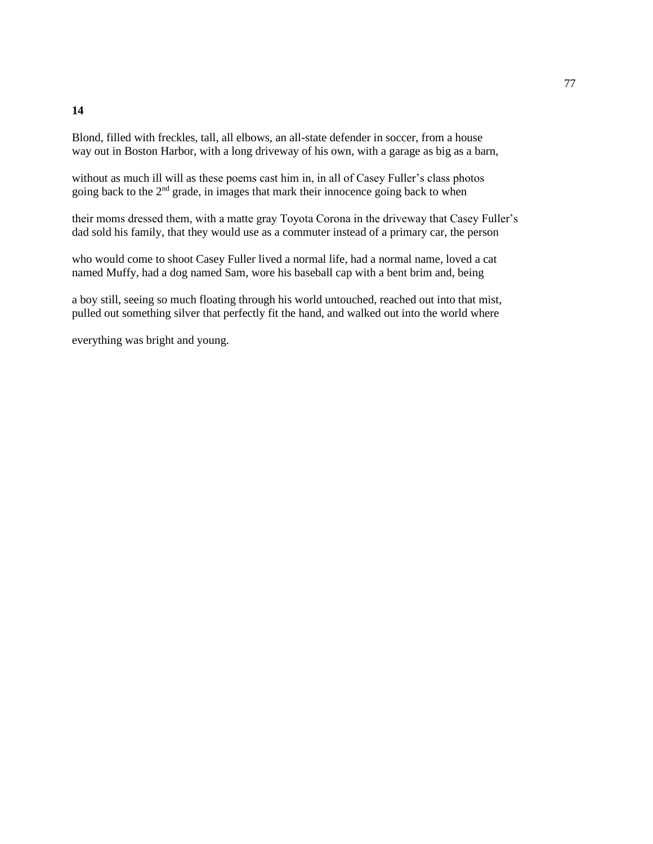Blond, filled with freckles, tall, all elbows, an all-state defender in soccer, from a house way out in Boston Harbor, with a long driveway of his own, with a garage as big as a barn,

without as much ill will as these poems cast him in, in all of Casey Fuller's class photos going back to the 2<sup>nd</sup> grade, in images that mark their innocence going back to when

their moms dressed them, with a matte gray Toyota Corona in the driveway that Casey Fuller's dad sold his family, that they would use as a commuter instead of a primary car, the person

who would come to shoot Casey Fuller lived a normal life, had a normal name, loved a cat named Muffy, had a dog named Sam, wore his baseball cap with a bent brim and, being

a boy still, seeing so much floating through his world untouched, reached out into that mist, pulled out something silver that perfectly fit the hand, and walked out into the world where

everything was bright and young.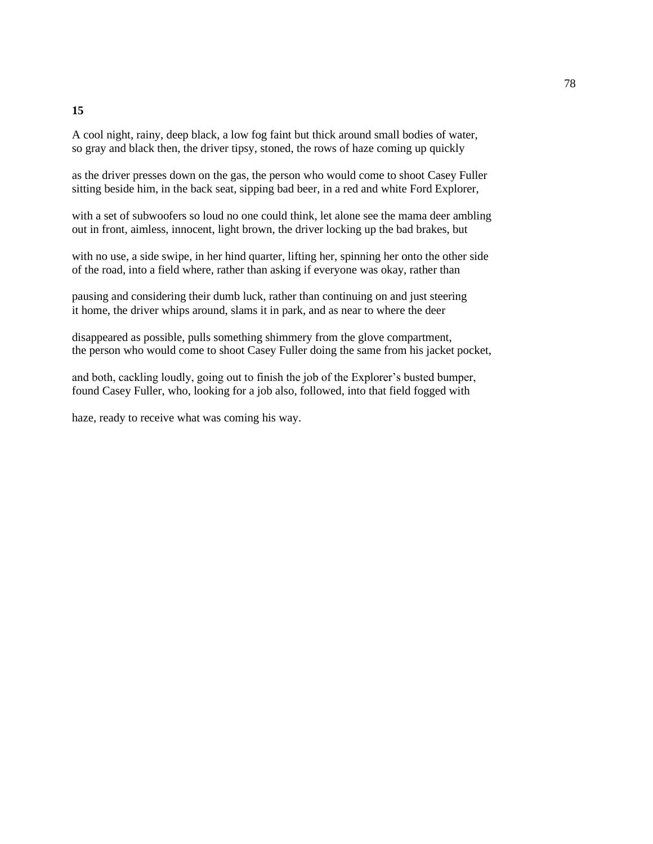A cool night, rainy, deep black, a low fog faint but thick around small bodies of water, so gray and black then, the driver tipsy, stoned, the rows of haze coming up quickly

as the driver presses down on the gas, the person who would come to shoot Casey Fuller sitting beside him, in the back seat, sipping bad beer, in a red and white Ford Explorer,

with a set of subwoofers so loud no one could think, let alone see the mama deer ambling out in front, aimless, innocent, light brown, the driver locking up the bad brakes, but

with no use, a side swipe, in her hind quarter, lifting her, spinning her onto the other side of the road, into a field where, rather than asking if everyone was okay, rather than

pausing and considering their dumb luck, rather than continuing on and just steering it home, the driver whips around, slams it in park, and as near to where the deer

disappeared as possible, pulls something shimmery from the glove compartment, the person who would come to shoot Casey Fuller doing the same from his jacket pocket,

and both, cackling loudly, going out to finish the job of the Explorer's busted bumper, found Casey Fuller, who, looking for a job also, followed, into that field fogged with

haze, ready to receive what was coming his way.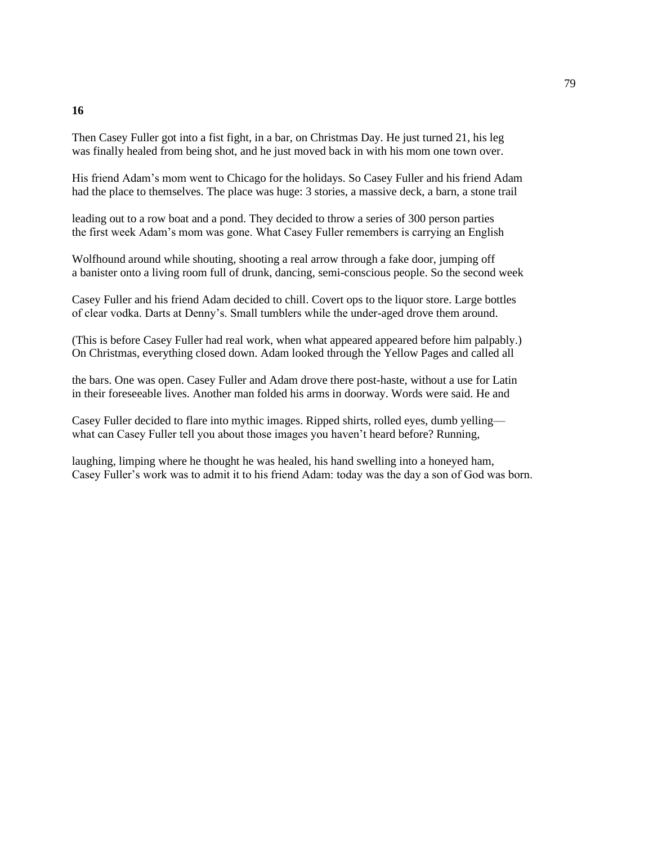Then Casey Fuller got into a fist fight, in a bar, on Christmas Day. He just turned 21, his leg was finally healed from being shot, and he just moved back in with his mom one town over.

His friend Adam's mom went to Chicago for the holidays. So Casey Fuller and his friend Adam had the place to themselves. The place was huge: 3 stories, a massive deck, a barn, a stone trail

leading out to a row boat and a pond. They decided to throw a series of 300 person parties the first week Adam's mom was gone. What Casey Fuller remembers is carrying an English

Wolfhound around while shouting, shooting a real arrow through a fake door, jumping off a banister onto a living room full of drunk, dancing, semi-conscious people. So the second week

Casey Fuller and his friend Adam decided to chill. Covert ops to the liquor store. Large bottles of clear vodka. Darts at Denny's. Small tumblers while the under-aged drove them around.

(This is before Casey Fuller had real work, when what appeared appeared before him palpably.) On Christmas, everything closed down. Adam looked through the Yellow Pages and called all

the bars. One was open. Casey Fuller and Adam drove there post-haste, without a use for Latin in their foreseeable lives. Another man folded his arms in doorway. Words were said. He and

Casey Fuller decided to flare into mythic images. Ripped shirts, rolled eyes, dumb yelling what can Casey Fuller tell you about those images you haven't heard before? Running,

laughing, limping where he thought he was healed, his hand swelling into a honeyed ham, Casey Fuller's work was to admit it to his friend Adam: today was the day a son of God was born.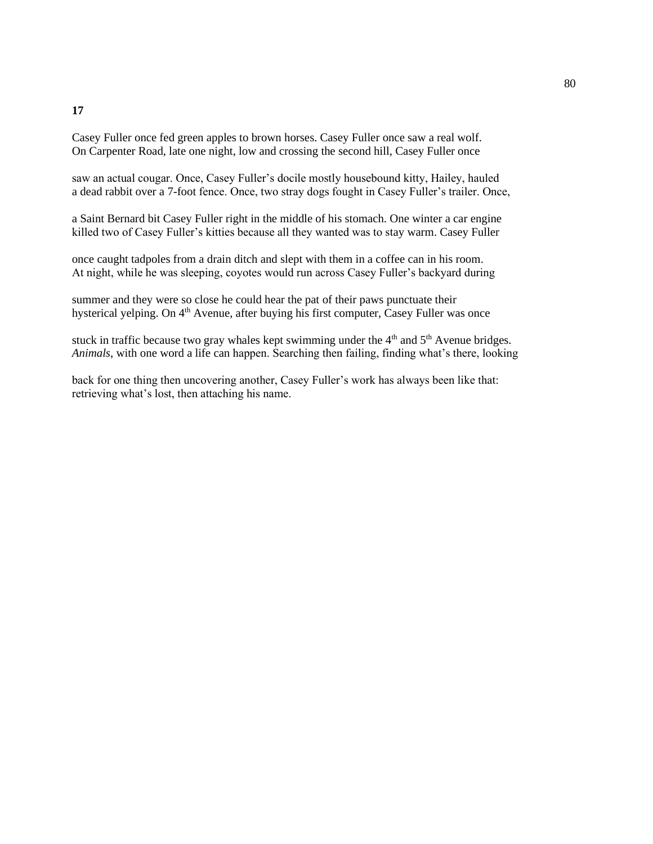Casey Fuller once fed green apples to brown horses. Casey Fuller once saw a real wolf. On Carpenter Road, late one night, low and crossing the second hill, Casey Fuller once

saw an actual cougar. Once, Casey Fuller's docile mostly housebound kitty, Hailey, hauled a dead rabbit over a 7-foot fence. Once, two stray dogs fought in Casey Fuller's trailer. Once,

a Saint Bernard bit Casey Fuller right in the middle of his stomach. One winter a car engine killed two of Casey Fuller's kitties because all they wanted was to stay warm. Casey Fuller

once caught tadpoles from a drain ditch and slept with them in a coffee can in his room. At night, while he was sleeping, coyotes would run across Casey Fuller's backyard during

summer and they were so close he could hear the pat of their paws punctuate their hysterical yelping. On 4<sup>th</sup> Avenue, after buying his first computer, Casey Fuller was once

stuck in traffic because two gray whales kept swimming under the 4<sup>th</sup> and 5<sup>th</sup> Avenue bridges. *Animals*, with one word a life can happen. Searching then failing, finding what's there, looking

back for one thing then uncovering another, Casey Fuller's work has always been like that: retrieving what's lost, then attaching his name.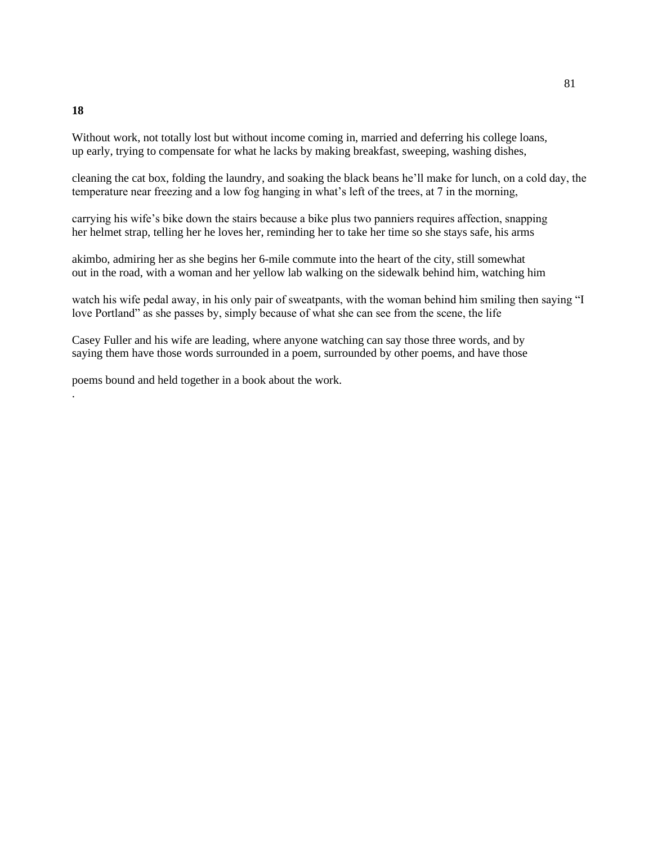.

Without work, not totally lost but without income coming in, married and deferring his college loans, up early, trying to compensate for what he lacks by making breakfast, sweeping, washing dishes,

cleaning the cat box, folding the laundry, and soaking the black beans he'll make for lunch, on a cold day, the temperature near freezing and a low fog hanging in what's left of the trees, at 7 in the morning,

carrying his wife's bike down the stairs because a bike plus two panniers requires affection, snapping her helmet strap, telling her he loves her, reminding her to take her time so she stays safe, his arms

akimbo, admiring her as she begins her 6-mile commute into the heart of the city, still somewhat out in the road, with a woman and her yellow lab walking on the sidewalk behind him, watching him

watch his wife pedal away, in his only pair of sweatpants, with the woman behind him smiling then saying "I love Portland" as she passes by, simply because of what she can see from the scene, the life

Casey Fuller and his wife are leading, where anyone watching can say those three words, and by saying them have those words surrounded in a poem, surrounded by other poems, and have those

poems bound and held together in a book about the work.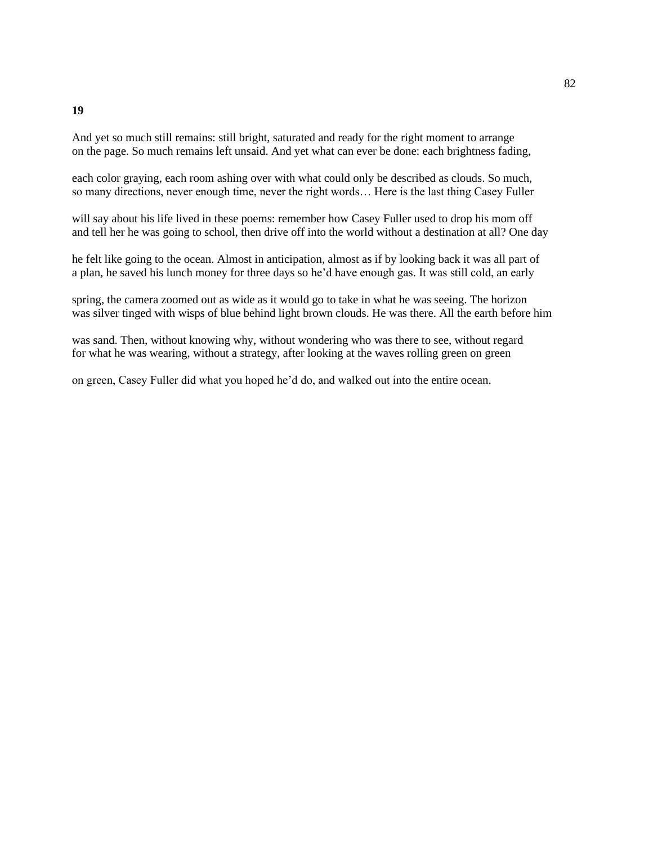And yet so much still remains: still bright, saturated and ready for the right moment to arrange on the page. So much remains left unsaid. And yet what can ever be done: each brightness fading,

each color graying, each room ashing over with what could only be described as clouds. So much, so many directions, never enough time, never the right words… Here is the last thing Casey Fuller

will say about his life lived in these poems: remember how Casey Fuller used to drop his mom off and tell her he was going to school, then drive off into the world without a destination at all? One day

he felt like going to the ocean. Almost in anticipation, almost as if by looking back it was all part of a plan, he saved his lunch money for three days so he'd have enough gas. It was still cold, an early

spring, the camera zoomed out as wide as it would go to take in what he was seeing. The horizon was silver tinged with wisps of blue behind light brown clouds. He was there. All the earth before him

was sand. Then, without knowing why, without wondering who was there to see, without regard for what he was wearing, without a strategy, after looking at the waves rolling green on green

on green, Casey Fuller did what you hoped he'd do, and walked out into the entire ocean.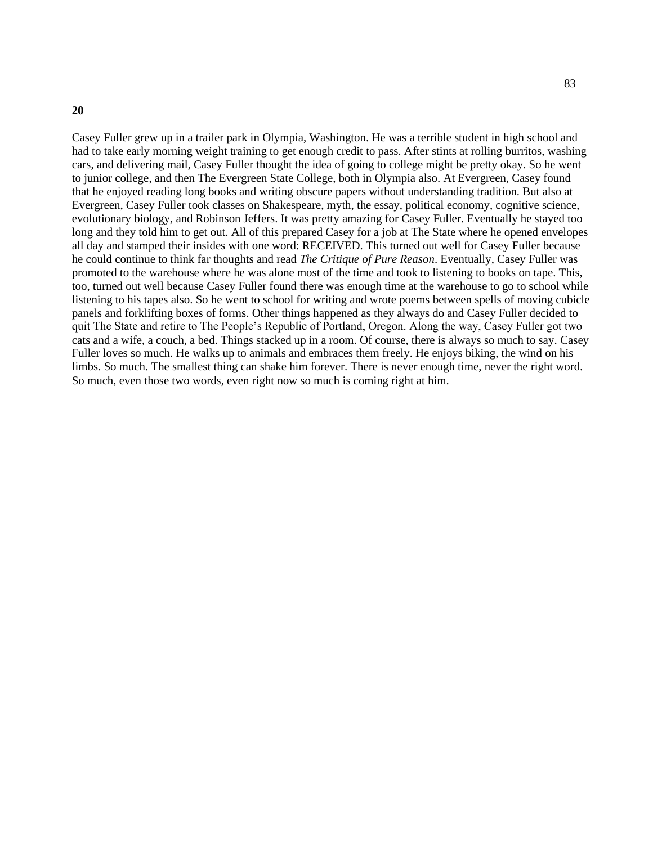Casey Fuller grew up in a trailer park in Olympia, Washington. He was a terrible student in high school and had to take early morning weight training to get enough credit to pass. After stints at rolling burritos, washing cars, and delivering mail, Casey Fuller thought the idea of going to college might be pretty okay. So he went to junior college, and then The Evergreen State College, both in Olympia also. At Evergreen, Casey found that he enjoyed reading long books and writing obscure papers without understanding tradition. But also at Evergreen, Casey Fuller took classes on Shakespeare, myth, the essay, political economy, cognitive science, evolutionary biology, and Robinson Jeffers. It was pretty amazing for Casey Fuller. Eventually he stayed too long and they told him to get out. All of this prepared Casey for a job at The State where he opened envelopes all day and stamped their insides with one word: RECEIVED. This turned out well for Casey Fuller because he could continue to think far thoughts and read *The Critique of Pure Reason*. Eventually, Casey Fuller was promoted to the warehouse where he was alone most of the time and took to listening to books on tape. This, too, turned out well because Casey Fuller found there was enough time at the warehouse to go to school while listening to his tapes also. So he went to school for writing and wrote poems between spells of moving cubicle panels and forklifting boxes of forms. Other things happened as they always do and Casey Fuller decided to quit The State and retire to The People's Republic of Portland, Oregon. Along the way, Casey Fuller got two cats and a wife, a couch, a bed. Things stacked up in a room. Of course, there is always so much to say. Casey Fuller loves so much. He walks up to animals and embraces them freely. He enjoys biking, the wind on his limbs. So much. The smallest thing can shake him forever. There is never enough time, never the right word. So much, even those two words, even right now so much is coming right at him.